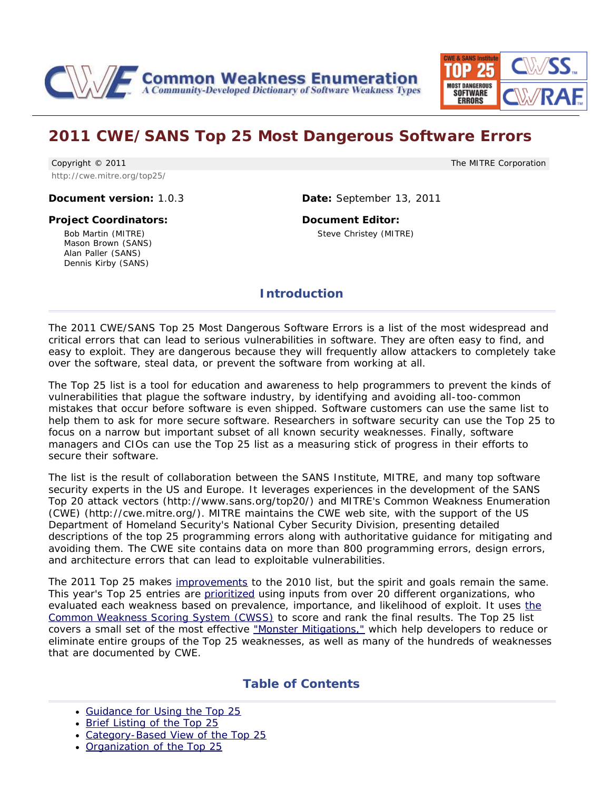<span id="page-0-0"></span>



## **2011 CWE/SANS Top 25 Most Dangerous Software Errors**

Copyright © 2011 http://cwe.mitre.org/top25/ The MITRE Corporation

**Document version:** 1.0.3 **Date:** September 13, 2011

## **Project Coordinators:**

Bob Martin (MITRE) Mason Brown (SANS) Alan Paller (SANS) Dennis Kirby (SANS)

**Document Editor:** Steve Christey (MITRE)

## **Introduction**

The 2011 CWE/SANS Top 25 Most Dangerous Software Errors is a list of the most widespread and critical errors that can lead to serious vulnerabilities in software. They are often easy to find, and easy to exploit. They are dangerous because they will frequently allow attackers to completely take over the software, steal data, or prevent the software from working at all.

The Top 25 list is a tool for education and awareness to help programmers to prevent the kinds of vulnerabilities that plague the software industry, by identifying and avoiding all-too-common mistakes that occur before software is even shipped. Software customers can use the same list to help them to ask for more secure software. Researchers in software security can use the Top 25 to focus on a narrow but important subset of all known security weaknesses. Finally, software managers and CIOs can use the Top 25 list as a measuring stick of progress in their efforts to secure their software.

The list is the result of collaboration between the SANS Institute, MITRE, and many top software security experts in the US and Europe. It leverages experiences in the development of the SANS Top 20 attack vectors (http://www.sans.org/top20/) and MITRE's Common Weakness Enumeration (CWE) (http://cwe.mitre.org/). MITRE maintains the CWE web site, with the support of the US Department of Homeland Security's National Cyber Security Division, presenting detailed descriptions of the top 25 programming errors along with authoritative guidance for mitigating and avoiding them. The CWE site contains data on more than 800 programming errors, design errors, and architecture errors that can lead to exploitable vulnerabilities.

The 2011 Top 25 makes [improvements](#page-37-0) to the 2010 list, but the spirit and goals remain the same. This year's Top 25 entries are [prioritized](#page-2-0) using inputs from over 20 different organizations, who evaluated each weakness based on prevalence, importance, and likelihood of exploit. It uses [the](http://cwe.mitre.org/cwss) [Common Weakness Scoring System \(CWSS\)](http://cwe.mitre.org/cwss) to score and rank the final results. The Top 25 list covers a small set of the most effective ["Monster Mitigations,"](#page-34-0) which help developers to reduce or eliminate entire groups of the Top 25 weaknesses, as well as many of the hundreds of weaknesses that are documented by CWE.

## **Table of Contents**

- [Guidance for Using the Top 25](#page-1-0)
- [Brief Listing of the Top 25](#page-2-0)
- [Category-Based View of the Top 25](#page-3-0)
- [Organization of the Top 25](#page-5-0)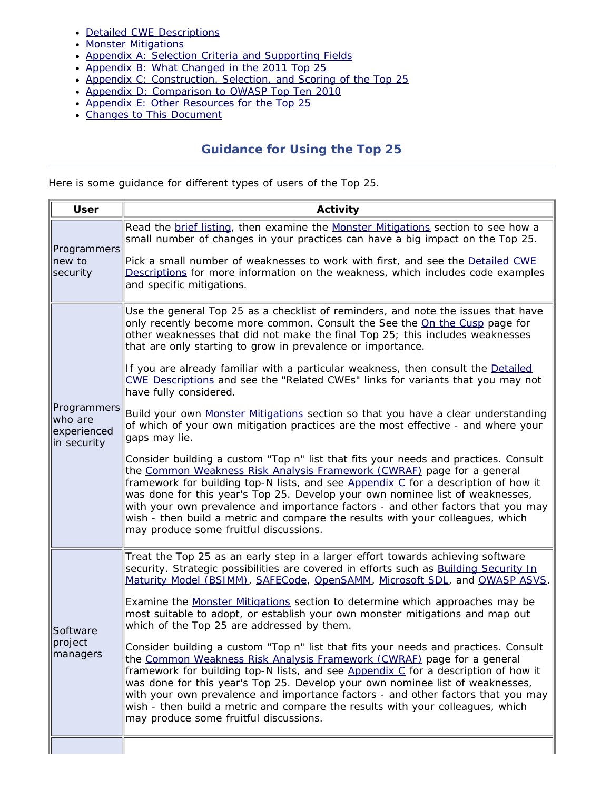- [Detailed CWE Descriptions](#page-6-0)
- [Monster Mitigations](#page-34-0)
- [Appendix A: Selection Criteria and Supporting Fields](#page-35-0)
- [Appendix B: What Changed in the 2011 Top 25](#page-37-0)
- [Appendix C: Construction, Selection, and Scoring of the Top 25](#page-38-0)
- [Appendix D: Comparison to OWASP Top Ten 2010](#page-38-1)
- [Appendix E: Other Resources for the Top 25](#page-39-0)
- [Changes to This Document](#page-39-1)

## **Guidance for Using the Top 25**

<span id="page-1-0"></span>Here is some guidance for different types of users of the Top 25.

| <b>User</b>                                          | Activity                                                                                                                                                                                                                                                                                                                                                                                                                                                                                                                                             |  |  |
|------------------------------------------------------|------------------------------------------------------------------------------------------------------------------------------------------------------------------------------------------------------------------------------------------------------------------------------------------------------------------------------------------------------------------------------------------------------------------------------------------------------------------------------------------------------------------------------------------------------|--|--|
| Programmers<br>new to<br>security                    | Read the brief listing, then examine the Monster Mitigations section to see how a<br>small number of changes in your practices can have a big impact on the Top 25.                                                                                                                                                                                                                                                                                                                                                                                  |  |  |
|                                                      | Pick a small number of weaknesses to work with first, and see the Detailed CWE<br>Descriptions for more information on the weakness, which includes code examples<br>and specific mitigations.                                                                                                                                                                                                                                                                                                                                                       |  |  |
|                                                      | Use the general Top 25 as a checklist of reminders, and note the issues that have<br>only recently become more common. Consult the See the On the Cusp page for<br>other weaknesses that did not make the final Top 25; this includes weaknesses<br>that are only starting to grow in prevalence or importance.                                                                                                                                                                                                                                      |  |  |
|                                                      | If you are already familiar with a particular weakness, then consult the Detailed<br>CWE Descriptions and see the "Related CWEs" links for variants that you may not<br>have fully considered.                                                                                                                                                                                                                                                                                                                                                       |  |  |
| Programmers<br>who are<br>experienced<br>in security | Build your own Monster Mitigations section so that you have a clear understanding<br>of which of your own mitigation practices are the most effective - and where your<br>gaps may lie.                                                                                                                                                                                                                                                                                                                                                              |  |  |
|                                                      | Consider building a custom "Top n" list that fits your needs and practices. Consult<br>the Common Weakness Risk Analysis Framework (CWRAF) page for a general<br>framework for building top-N lists, and see Appendix C for a description of how it<br>was done for this year's Top 25. Develop your own nominee list of weaknesses,<br>with your own prevalence and importance factors - and other factors that you may<br>wish - then build a metric and compare the results with your colleagues, which<br>may produce some fruitful discussions. |  |  |
|                                                      | Treat the Top 25 as an early step in a larger effort towards achieving software<br>security. Strategic possibilities are covered in efforts such as Building Security In<br>Maturity Model (BSIMM), SAFECode, OpenSAMM, Microsoft SDL, and OWASP ASVS.                                                                                                                                                                                                                                                                                               |  |  |
| Software<br>project<br>managers                      | Examine the Monster Mitigations section to determine which approaches may be<br>most suitable to adopt, or establish your own monster mitigations and map out<br>which of the Top 25 are addressed by them.                                                                                                                                                                                                                                                                                                                                          |  |  |
|                                                      | Consider building a custom "Top n" list that fits your needs and practices. Consult<br>the Common Weakness Risk Analysis Framework (CWRAF) page for a general<br>framework for building top-N lists, and see Appendix C for a description of how it<br>was done for this year's Top 25. Develop your own nominee list of weaknesses,<br>with your own prevalence and importance factors - and other factors that you may<br>wish - then build a metric and compare the results with your colleagues, which<br>may produce some fruitful discussions. |  |  |
|                                                      |                                                                                                                                                                                                                                                                                                                                                                                                                                                                                                                                                      |  |  |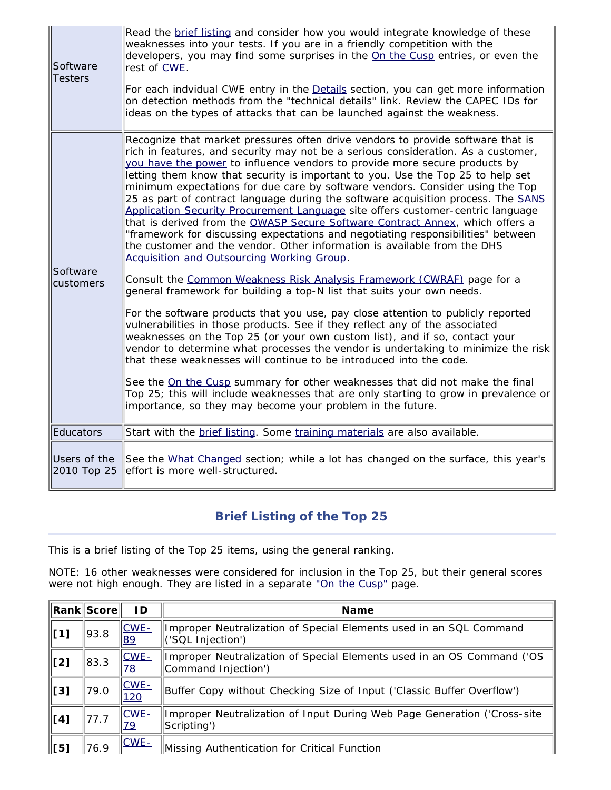| Software<br><b>Testers</b>  | Read the brief listing and consider how you would integrate knowledge of these<br>weaknesses into your tests. If you are in a friendly competition with the<br>developers, you may find some surprises in the On the Cusp entries, or even the<br>rest of CWE.<br>For each indvidual CWE entry in the Details section, you can get more information<br>on detection methods from the "technical details" link. Review the CAPEC IDs for<br>ideas on the types of attacks that can be launched against the weakness.                                                                                                                                                                                                                                                                                                                                                                                                                                                                                                                                                                                                                                                                                                                                                                                                                                                                                                                                                                                                                                                                                                                                                                                    |
|-----------------------------|--------------------------------------------------------------------------------------------------------------------------------------------------------------------------------------------------------------------------------------------------------------------------------------------------------------------------------------------------------------------------------------------------------------------------------------------------------------------------------------------------------------------------------------------------------------------------------------------------------------------------------------------------------------------------------------------------------------------------------------------------------------------------------------------------------------------------------------------------------------------------------------------------------------------------------------------------------------------------------------------------------------------------------------------------------------------------------------------------------------------------------------------------------------------------------------------------------------------------------------------------------------------------------------------------------------------------------------------------------------------------------------------------------------------------------------------------------------------------------------------------------------------------------------------------------------------------------------------------------------------------------------------------------------------------------------------------------|
| Software<br>customers       | Recognize that market pressures often drive vendors to provide software that is<br>rich in features, and security may not be a serious consideration. As a customer,<br>you have the power to influence vendors to provide more secure products by<br>letting them know that security is important to you. Use the Top 25 to help set<br>minimum expectations for due care by software vendors. Consider using the Top<br>25 as part of contract language during the software acquisition process. The SANS<br>Application Security Procurement Language site offers customer-centric language<br>that is derived from the OWASP Secure Software Contract Annex, which offers a<br>"framework for discussing expectations and negotiating responsibilities" between<br>the customer and the vendor. Other information is available from the DHS<br>Acquisition and Outsourcing Working Group.<br>Consult the Common Weakness Risk Analysis Framework (CWRAF) page for a<br>general framework for building a top-N list that suits your own needs.<br>For the software products that you use, pay close attention to publicly reported<br>vulnerabilities in those products. See if they reflect any of the associated<br>weaknesses on the Top 25 (or your own custom list), and if so, contact your<br>vendor to determine what processes the vendor is undertaking to minimize the risk<br>that these weaknesses will continue to be introduced into the code.<br>See the On the Cusp summary for other weaknesses that did not make the final<br>Top 25; this will include weaknesses that are only starting to grow in prevalence or<br>importance, so they may become your problem in the future. |
| Educators                   | Start with the brief listing. Some training materials are also available.                                                                                                                                                                                                                                                                                                                                                                                                                                                                                                                                                                                                                                                                                                                                                                                                                                                                                                                                                                                                                                                                                                                                                                                                                                                                                                                                                                                                                                                                                                                                                                                                                              |
| Users of the<br>2010 Top 25 | See the What Changed section; while a lot has changed on the surface, this year's<br>effort is more well-structured.                                                                                                                                                                                                                                                                                                                                                                                                                                                                                                                                                                                                                                                                                                                                                                                                                                                                                                                                                                                                                                                                                                                                                                                                                                                                                                                                                                                                                                                                                                                                                                                   |

## **Brief Listing of the Top 25**

<span id="page-2-0"></span>This is a brief listing of the Top 25 items, using the general ranking.

NOTE: 16 other weaknesses were considered for inclusion in the Top 25, but their general scores were not high enough. They are listed in a separate ["On the Cusp"](http://cwe.mitre.org/top25/archive/2011/2011_onthecusp.html) page.

|                     | <b>Rank Score</b> | ID.                  | <b>Name</b>                                                                                   |
|---------------------|-------------------|----------------------|-----------------------------------------------------------------------------------------------|
| $\vert$ [1]         | 93.8              | $CWE -$<br>89        | Improper Neutralization of Special Elements used in an SQL Command<br>('SQL Injection')       |
| $\lfloor 2 \rfloor$ | 83.3              | $CWE -$<br><u>78</u> | Improper Neutralization of Special Elements used in an OS Command ('OS<br>Command Injection') |
| $\vert$ [3]         | 79.0              | $CWE-$<br>120        | Buffer Copy without Checking Size of Input ('Classic Buffer Overflow')                        |
| $\vert$ [4]         | 77.7              | $CWE -$<br><u>79</u> | Improper Neutralization of Input During Web Page Generation ('Cross-site<br>Scripting')       |
| [5]                 | 76.9              | $CWE-$               | Missing Authentication for Critical Function                                                  |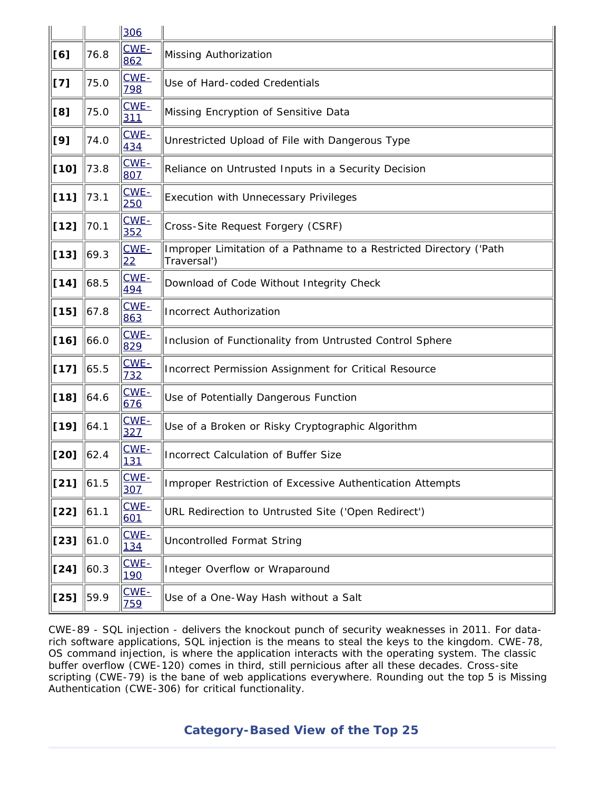|        |                    | 306            |                                                                                   |  |  |  |
|--------|--------------------|----------------|-----------------------------------------------------------------------------------|--|--|--|
| [6]    | 76.8               | CWE-<br>862    | Missing Authorization                                                             |  |  |  |
| [7]    | 75.0               | CWE-<br>798    | Use of Hard-coded Credentials                                                     |  |  |  |
| [8]    | 75.0               | $CWE -$<br>311 | Missing Encryption of Sensitive Data                                              |  |  |  |
| [9]    | 74.0               | $CWE-$<br>434  | Unrestricted Upload of File with Dangerous Type                                   |  |  |  |
| $[10]$ | 73.8               | CWE-<br>807    | Reliance on Untrusted Inputs in a Security Decision                               |  |  |  |
| $[11]$ | 73.1               | CWE-<br>250    | <b>Execution with Unnecessary Privileges</b>                                      |  |  |  |
| $[12]$ | 70.1               | CWE-<br>352    | Cross-Site Request Forgery (CSRF)                                                 |  |  |  |
| $[13]$ | $\vert 69.3 \vert$ | CWE-<br>22     | Improper Limitation of a Pathname to a Restricted Directory ('Path<br>Traversal') |  |  |  |
| $[14]$ | 68.5               | CWE-<br>494    | Download of Code Without Integrity Check                                          |  |  |  |
| $[15]$ | 67.8               | $CWE -$<br>863 | <b>Incorrect Authorization</b>                                                    |  |  |  |
| $[16]$ | 66.0               | CWE-<br>829    | Inclusion of Functionality from Untrusted Control Sphere                          |  |  |  |
| $[17]$ | 65.5               | $CWE -$<br>732 | Incorrect Permission Assignment for Critical Resource                             |  |  |  |
| $[18]$ | 64.6               | CWE-<br>676    | Use of Potentially Dangerous Function                                             |  |  |  |
| $[19]$ | 64.1               | CWE-<br>327    | Use of a Broken or Risky Cryptographic Algorithm                                  |  |  |  |
| [20]   | 62.4               | $CWE -$<br>131 | <b>Incorrect Calculation of Buffer Size</b>                                       |  |  |  |
| $[21]$ | 61.5               | CWE-<br>307    | Improper Restriction of Excessive Authentication Attempts                         |  |  |  |
| $[22]$ | $\  61.1$          | $CWE -$<br>601 | URL Redirection to Untrusted Site ('Open Redirect')                               |  |  |  |
| $[23]$ | 61.0               | CWE-<br>134    | <b>Uncontrolled Format String</b>                                                 |  |  |  |
| $[24]$ | 60.3               | $CWE-$<br>190  | Integer Overflow or Wraparound                                                    |  |  |  |
| $[25]$ | 59.9               | $CWE -$<br>759 | Use of a One-Way Hash without a Salt                                              |  |  |  |

<span id="page-3-0"></span>CWE-89 - SQL injection - delivers the knockout punch of security weaknesses in 2011. For datarich software applications, SQL injection is the means to steal the keys to the kingdom. CWE-78, OS command injection, is where the application interacts with the operating system. The classic buffer overflow (CWE-120) comes in third, still pernicious after all these decades. Cross-site scripting (CWE-79) is the bane of web applications everywhere. Rounding out the top 5 is Missing Authentication (CWE-306) for critical functionality.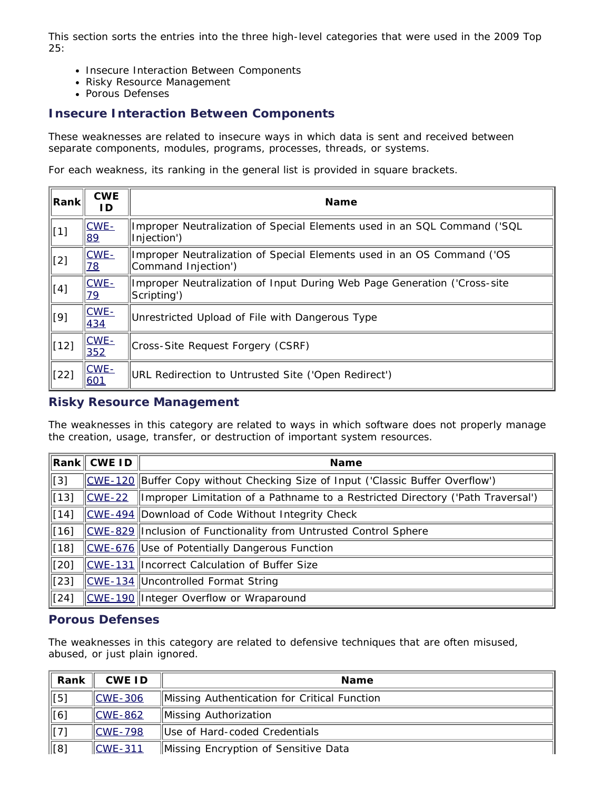This section sorts the entries into the three high-level categories that were used in the 2009 Top 25:

- Insecure Interaction Between Components
- Risky Resource Management
- Porous Defenses

## **Insecure Interaction Between Components**

These weaknesses are related to insecure ways in which data is sent and received between separate components, modules, programs, processes, threads, or systems.

For each weakness, its ranking in the general list is provided in square brackets.

| Rank        | <b>CWE</b><br>ID.    | <b>Name</b>                                                                                   |
|-------------|----------------------|-----------------------------------------------------------------------------------------------|
| $\ $ [1]    | $CWE -$<br>89        | Improper Neutralization of Special Elements used in an SQL Command ('SQL<br>Injection')       |
| $\ $ [2]    | $CWE -$<br><u>78</u> | Improper Neutralization of Special Elements used in an OS Command ('OS<br>Command Injection') |
| $\Vert [4]$ | CWE-<br>79           | Improper Neutralization of Input During Web Page Generation ('Cross-site<br>Scripting')       |
| [9]         | $CWE -$<br>434       | Unrestricted Upload of File with Dangerous Type                                               |
| $\ $ [12]   | $CWE -$<br>352       | Cross-Site Request Forgery (CSRF)                                                             |
| [22]        | $CWE -$<br>601       | URL Redirection to Untrusted Site ('Open Redirect')                                           |

### **Risky Resource Management**

The weaknesses in this category are related to ways in which software does not properly manage the creation, usage, transfer, or destruction of important system resources.

|              | $\bm{\mathsf{Rank}}\,$ CWE ID | <b>Name</b>                                                                    |
|--------------|-------------------------------|--------------------------------------------------------------------------------|
| $\vert$ [3]  |                               | CWE-120 Buffer Copy without Checking Size of Input ('Classic Buffer Overflow') |
| $\vert$ [13] | $CWE-22$                      | Improper Limitation of a Pathname to a Restricted Directory ('Path Traversal') |
| $\vert$ [14] |                               | CWE-494 Download of Code Without Integrity Check                               |
| $\vert$ [16] |                               | CWE-829 Inclusion of Functionality from Untrusted Control Sphere               |
| $\vert$ [18] |                               | CWE-676 Use of Potentially Dangerous Function                                  |
| [20]         |                               | CWE-131 Incorrect Calculation of Buffer Size                                   |
| $\vert$ [23] |                               | CWE-134 Uncontrolled Format String                                             |
| $\vert$ [24] |                               | CWE-190 Integer Overflow or Wraparound                                         |

## **Porous Defenses**

The weaknesses in this category are related to defensive techniques that are often misused, abused, or just plain ignored.

| Rank            | <b>CWE ID</b>    | <b>Name</b>                                  |
|-----------------|------------------|----------------------------------------------|
| [5]             | $\angle$ CWE-306 | Missing Authentication for Critical Function |
| [6]             | $ICWE-862$       | Missing Authorization                        |
| $\parallel$ [7] | $\ CWE - 798\ $  | Use of Hard-coded Credentials                |
| ∥[8]            | $ICWE-311$       | Missing Encryption of Sensitive Data         |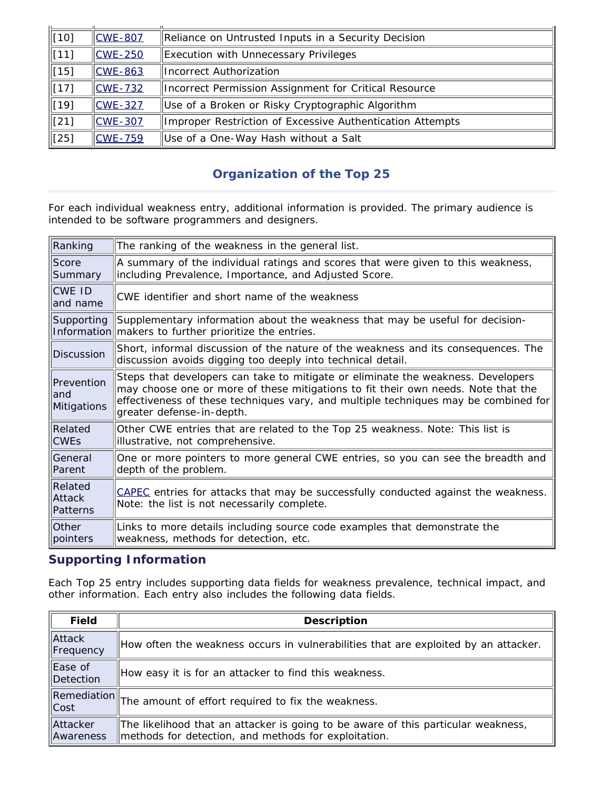| $\parallel$ [10] | $CCWE - 807$                | Reliance on Untrusted Inputs in a Security Decision       |
|------------------|-----------------------------|-----------------------------------------------------------|
| $\ $ [11]        | $CCWE-250$                  | Execution with Unnecessary Privileges                     |
| $\ $ [15]        | $\overline{\text{CWE-863}}$ | Incorrect Authorization                                   |
| $\ $ [17]        | $\textsf{CWE-732}$          | Incorrect Permission Assignment for Critical Resource     |
| $\parallel$ [19] | $\text{CWE}-327$            | Use of a Broken or Risky Cryptographic Algorithm          |
| $\parallel$ [21] | $\text{CWE}-307$            | Improper Restriction of Excessive Authentication Attempts |
| l[25]            | $CCWE - 759$                | Use of a One-Way Hash without a Salt                      |

## **Organization of the Top 25**

<span id="page-5-0"></span>For each individual weakness entry, additional information is provided. The primary audience is intended to be software programmers and designers.

| Ranking                          | The ranking of the weakness in the general list.                                                                                                                                                                                                                                          |  |  |  |  |
|----------------------------------|-------------------------------------------------------------------------------------------------------------------------------------------------------------------------------------------------------------------------------------------------------------------------------------------|--|--|--|--|
| Score<br>Summary                 | A summary of the individual ratings and scores that were given to this weakness,<br>including Prevalence, Importance, and Adjusted Score.                                                                                                                                                 |  |  |  |  |
| CWE ID<br>and name               | CWE identifier and short name of the weakness                                                                                                                                                                                                                                             |  |  |  |  |
| Supporting                       | Supplementary information about the weakness that may be useful for decision-<br>Information makers to further prioritize the entries.                                                                                                                                                    |  |  |  |  |
| <b>Discussion</b>                | Short, informal discussion of the nature of the weakness and its consequences. The<br>discussion avoids digging too deeply into technical detail.                                                                                                                                         |  |  |  |  |
| Prevention<br>and<br>Mitigations | Steps that developers can take to mitigate or eliminate the weakness. Developers<br>may choose one or more of these mitigations to fit their own needs. Note that the<br>effectiveness of these techniques vary, and multiple techniques may be combined for<br>greater defense-in-depth. |  |  |  |  |
| Related<br><b>CWEs</b>           | Other CWE entries that are related to the Top 25 weakness. Note: This list is<br>illustrative, not comprehensive.                                                                                                                                                                         |  |  |  |  |
| General<br>Parent                | One or more pointers to more general CWE entries, so you can see the breadth and<br>depth of the problem.                                                                                                                                                                                 |  |  |  |  |
| Related<br>Attack<br>Patterns    | CAPEC entries for attacks that may be successfully conducted against the weakness.<br>Note: the list is not necessarily complete.                                                                                                                                                         |  |  |  |  |
| Other<br>pointers                | Links to more details including source code examples that demonstrate the<br>weakness, methods for detection, etc.                                                                                                                                                                        |  |  |  |  |

## **Supporting Information**

Each Top 25 entry includes supporting data fields for weakness prevalence, technical impact, and other information. Each entry also includes the following data fields.

| <b>Field</b>          | <b>Description</b>                                                                                                                        |
|-----------------------|-------------------------------------------------------------------------------------------------------------------------------------------|
| Attack<br>Frequency   | How often the weakness occurs in vulnerabilities that are exploited by an attacker.                                                       |
| Ease of<br>Detection  | How easy it is for an attacker to find this weakness.                                                                                     |
| Remediation<br>  Cost | The amount of effort required to fix the weakness.                                                                                        |
| Attacker<br>Awareness | The likelihood that an attacker is going to be aware of this particular weakness,<br>methods for detection, and methods for exploitation. |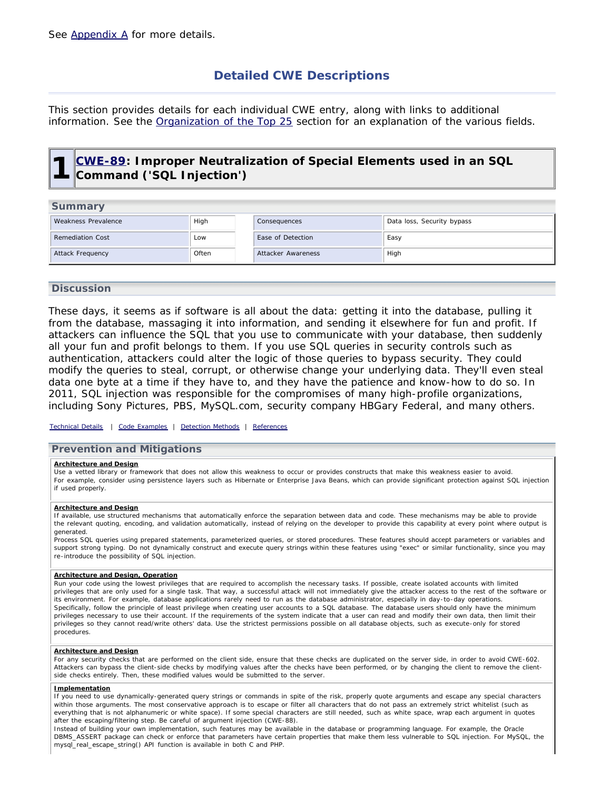## **Detailed CWE Descriptions**

<span id="page-6-1"></span><span id="page-6-0"></span>This section provides details for each individual CWE entry, along with links to additional information. See the [Organization of the Top 25](#page-5-0) section for an explanation of the various fields.

## **1 [CWE-89](http://cwe.mitre.org/data/definitions/89.html): Improper Neutralization of Special Elements used in an SQL Command ('SQL Injection')**

| Summary                 |       |                    |                            |
|-------------------------|-------|--------------------|----------------------------|
| Weakness Prevalence     | High  | Consequences       | Data loss, Security bypass |
| <b>Remediation Cost</b> | Low   | Ease of Detection  | Easy                       |
| Attack Frequency        | Often | Attacker Awareness | High                       |

### **Discussion**

These days, it seems as if software is all about the data: getting it into the database, pulling it from the database, massaging it into information, and sending it elsewhere for fun and profit. If attackers can influence the SQL that you use to communicate with your database, then suddenly all your fun and profit belongs to them. If you use SQL queries in security controls such as authentication, attackers could alter the logic of those queries to bypass security. They could modify the queries to steal, corrupt, or otherwise change your underlying data. They'll even steal data one byte at a time if they have to, and they have the patience and know-how to do so. In 2011, SQL injection was responsible for the compromises of many high-profile organizations, including Sony Pictures, PBS, MySQL.com, security company HBGary Federal, and many others.

### *[Technical Details](http://cwe.mitre.org/data/definitions/89.html) | [Code Examples](http://cwe.mitre.org/data/definitions/89.html#Demonstrative%20Examples) | [Detection Methods](http://cwe.mitre.org/data/definitions/89.html#Detection%20Methods) | [References](http://cwe.mitre.org/data/definitions/89.html#References)*

### **Prevention and Mitigations**

#### **Architecture and Design**

Use a vetted library or framework that does not allow this weakness to occur or provides constructs that make this weakness easier to avoid. For example, consider using persistence layers such as Hibernate or Enterprise Java Beans, which can provide significant protection against SQL injection if used properly.

#### **Architecture and Design**

If available, use structured mechanisms that automatically enforce the separation between data and code. These mechanisms may be able to provide the relevant quoting, encoding, and validation automatically, instead of relying on the developer to provide this capability at every point where output is generated.

Process SQL queries using prepared statements, parameterized queries, or stored procedures. These features should accept parameters or variables and support strong typing. Do not dynamically construct and execute query strings within these features using "exec" or similar functionality, since you may re-introduce the possibility of SQL injection.

#### **Architecture and Design, Operation**

Run your code using the lowest privileges that are required to accomplish the necessary tasks. If possible, create isolated accounts with limited privileges that are only used for a single task. That way, a successful attack will not immediately give the attacker access to the rest of the software or its environment. For example, database applications rarely need to run as the database administrator, especially in day-to-day operations. Specifically, follow the principle of least privilege when creating user accounts to a SQL database. The database users should only have the minimum privileges necessary to use their account. If the requirements of the system indicate that a user can read and modify their own data, then limit their privileges so they cannot read/write others' data. Use the strictest permissions possible on all database objects, such as execute-only for stored procedures.

#### **Architecture and Design**

For any security checks that are performed on the client side, ensure that these checks are duplicated on the server side, in order to avoid CWE-602. Attackers can bypass the client-side checks by modifying values after the checks have been performed, or by changing the client to remove the clientside checks entirely. Then, these modified values would be submitted to the server.

#### **Implementation**

If you need to use dynamically-generated query strings or commands in spite of the risk, properly quote arguments and escape any special characters within those arguments. The most conservative approach is to escape or filter all characters that do not pass an extremely strict whitelist (such as everything that is not alphanumeric or white space). If some special characters are still needed, such as white space, wrap each argument in quotes after the escaping/filtering step. Be careful of argument injection (CWE-88).

Instead of building your own implementation, such features may be available in the database or programming language. For example, the Oracle DBMS\_ASSERT package can check or enforce that parameters have certain properties that make them less vulnerable to SQL injection. For MySQL, the mysql\_real\_escape\_string() API function is available in both C and PHP.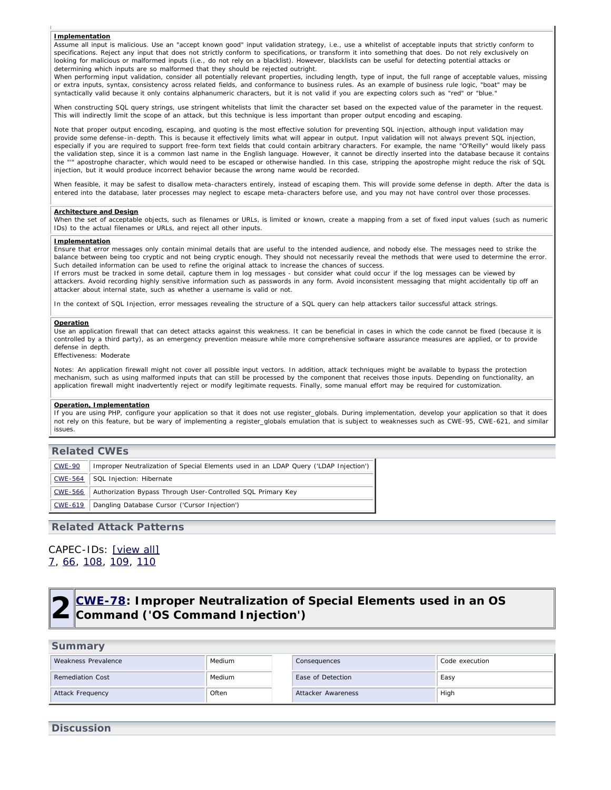#### **Implementation**

Assume all input is malicious. Use an "accept known good" input validation strategy, i.e., use a whitelist of acceptable inputs that strictly conform to specifications. Reject any input that does not strictly conform to specifications, or transform it into something that does. Do not rely exclusively on looking for malicious or malformed inputs (i.e., do not rely on a blacklist). However, blacklists can be useful for detecting potential attacks or determining which inputs are so malformed that they should be rejected outright.

When performing input validation, consider all potentially relevant properties, including length, type of input, the full range of acceptable values, missing or extra inputs, syntax, consistency across related fields, and conformance to business rules. As an example of business rule logic, "boat" may be syntactically valid because it only contains alphanumeric characters, but it is not valid if you are expecting colors such as "red" or "blue."

When constructing SQL query strings, use stringent whitelists that limit the character set based on the expected value of the parameter in the request. This will indirectly limit the scope of an attack, but this technique is less important than proper output encoding and escaping.

Note that proper output encoding, escaping, and quoting is the most effective solution for preventing SQL injection, although input validation may provide some defense-in-depth. This is because it effectively limits what will appear in output. Input validation will not always prevent SQL injection, especially if you are required to support free-form text fields that could contain arbitrary characters. For example, the name "O'Reilly" would likely pass the validation step, since it is a common last name in the English language. However, it cannot be directly inserted into the database because it contains the "'" apostrophe character, which would need to be escaped or otherwise handled. In this case, stripping the apostrophe might reduce the risk of SQL injection, but it would produce incorrect behavior because the wrong name would be recorded.

When feasible, it may be safest to disallow meta-characters entirely, instead of escaping them. This will provide some defense in depth. After the data is entered into the database, later processes may neglect to escape meta-characters before use, and you may not have control over those processes.

#### **Architecture and Design**

When the set of acceptable objects, such as filenames or URLs, is limited or known, create a mapping from a set of fixed input values (such as numeric IDs) to the actual filenames or URLs, and reject all other inputs.

#### **Implementation**

Ensure that error messages only contain minimal details that are useful to the intended audience, and nobody else. The messages need to strike the balance between being too cryptic and not being cryptic enough. They should not necessarily reveal the methods that were used to determine the error. Such detailed information can be used to refine the original attack to increase the chances of success.

If errors must be tracked in some detail, capture them in log messages - but consider what could occur if the log messages can be viewed by attackers. Avoid recording highly sensitive information such as passwords in any form. Avoid inconsistent messaging that might accidentally tip off an attacker about internal state, such as whether a username is valid or not.

In the context of SQL Injection, error messages revealing the structure of a SQL query can help attackers tailor successful attack strings.

#### **Operation**

Use an application firewall that can detect attacks against this weakness. It can be beneficial in cases in which the code cannot be fixed (because it is controlled by a third party), as an emergency prevention measure while more comprehensive software assurance measures are applied, or to provide defense in depth.

Effectiveness: Moderate

Notes: An application firewall might not cover all possible input vectors. In addition, attack techniques might be available to bypass the protection mechanism, such as using malformed inputs that can still be processed by the component that receives those inputs. Depending on functionality, an application firewall might inadvertently reject or modify legitimate requests. Finally, some manual effort may be required for customization.

#### **Operation, Implementation**

If you are using PHP, configure your application so that it does not use register\_globals. During implementation, develop your application so that it does not rely on this feature, but be wary of implementing a register\_globals emulation that is subject to weaknesses such as CWE-95, CWE-621, and similar issues.

### **Related CWEs**

| <u>CWE-90</u>  | Improper Neutralization of Special Elements used in an LDAP Query ('LDAP Injection') |
|----------------|--------------------------------------------------------------------------------------|
| <b>CWE-564</b> | SQL Injection: Hibernate                                                             |
| CWE-566        | Authorization Bypass Through User-Controlled SQL Primary Key                         |
| CWE-619        | Dangling Database Cursor ('Cursor Injection')                                        |

### **Related Attack Patterns**

### <span id="page-7-0"></span>CAPEC-IDs: [\[view all\]](http://cwe.mitre.org/data/definitions/89.html#Related_Attack_Patterns) [7,](http://capec.mitre.org/data/definitions/7.html) [66](http://capec.mitre.org/data/definitions/66.html), [108,](http://capec.mitre.org/data/definitions/108.html) [109](http://capec.mitre.org/data/definitions/109.html), [110](http://capec.mitre.org/data/definitions/110.html)

## **2 [CWE-78](http://cwe.mitre.org/data/definitions/78.html): Improper Neutralization of Special Elements used in an OS Command ('OS Command Injection')**

| Summary                 |        |                           |                |  |  |
|-------------------------|--------|---------------------------|----------------|--|--|
| Weakness Prevalence     | Medium | Consequences              | Code execution |  |  |
| <b>Remediation Cost</b> | Medium | Ease of Detection         | Easy           |  |  |
| Attack Frequency        | Often  | <b>Attacker Awareness</b> | High           |  |  |

### **Discussion**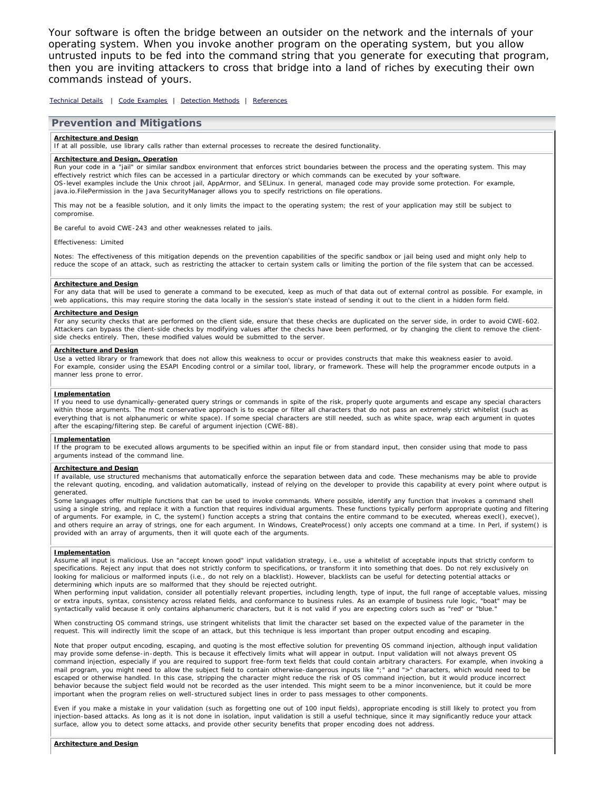Your software is often the bridge between an outsider on the network and the internals of your operating system. When you invoke another program on the operating system, but you allow untrusted inputs to be fed into the command string that you generate for executing that program, then you are inviting attackers to cross that bridge into a land of riches by executing their own commands instead of yours.

*[Technical Details](http://cwe.mitre.org/data/definitions/78.html) | [Code Examples](http://cwe.mitre.org/data/definitions/78.html#Demonstrative%20Examples) | [Detection Methods](http://cwe.mitre.org/data/definitions/78.html#Detection%20Methods) | [References](http://cwe.mitre.org/data/definitions/78.html#References)*

#### **Prevention and Mitigations**

#### **Architecture and Design**

If at all possible, use library calls rather than external processes to recreate the desired functionality.

#### **Architecture and Design, Operation**

Run your code in a "jail" or similar sandbox environment that enforces strict boundaries between the process and the operating system. This may effectively restrict which files can be accessed in a particular directory or which commands can be executed by your software. OS-level examples include the Unix chroot jail, AppArmor, and SELinux. In general, managed code may provide some protection. For example, java.io.FilePermission in the Java SecurityManager allows you to specify restrictions on file operations.

This may not be a feasible solution, and it only limits the impact to the operating system; the rest of your application may still be subject to compromise.

Be careful to avoid CWE-243 and other weaknesses related to jails.

Effectiveness: Limited

Notes: The effectiveness of this mitigation depends on the prevention capabilities of the specific sandbox or jail being used and might only help to reduce the scope of an attack, such as restricting the attacker to certain system calls or limiting the portion of the file system that can be accessed.

#### **Architecture and Design**

For any data that will be used to generate a command to be executed, keep as much of that data out of external control as possible. For example, in web applications, this may require storing the data locally in the session's state instead of sending it out to the client in a hidden form field.

#### **Architecture and Design**

For any security checks that are performed on the client side, ensure that these checks are duplicated on the server side, in order to avoid CWE-602. Attackers can bypass the client-side checks by modifying values after the checks have been performed, or by changing the client to remove the clientside checks entirely. Then, these modified values would be submitted to the server.

#### **Architecture and Design**

Use a vetted library or framework that does not allow this weakness to occur or provides constructs that make this weakness easier to avoid. For example, consider using the ESAPI Encoding control or a similar tool, library, or framework. These will help the programmer encode outputs in a manner less prone to error.

#### **Implementation**

If you need to use dynamically-generated query strings or commands in spite of the risk, properly quote arguments and escape any special characters within those arguments. The most conservative approach is to escape or filter all characters that do not pass an extremely strict whitelist (such as everything that is not alphanumeric or white space). If some special characters are still needed, such as white space, wrap each argument in quotes after the escaping/filtering step. Be careful of argument injection (CWE-88).

#### **Implementation**

If the program to be executed allows arguments to be specified within an input file or from standard input, then consider using that mode to pass arguments instead of the command line.

#### **Architecture and Design**

If available, use structured mechanisms that automatically enforce the separation between data and code. These mechanisms may be able to provide the relevant quoting, encoding, and validation automatically, instead of relying on the developer to provide this capability at every point where output is generated.

Some languages offer multiple functions that can be used to invoke commands. Where possible, identify any function that invokes a command shell using a single string, and replace it with a function that requires individual arguments. These functions typically perform appropriate quoting and filtering of arguments. For example, in C, the system() function accepts a string that contains the entire command to be executed, whereas execl(), execve(), and others require an array of strings, one for each argument. In Windows, CreateProcess() only accepts one command at a time. In Perl, if system() is provided with an array of arguments, then it will quote each of the arguments.

#### **Implementation**

Assume all input is malicious. Use an "accept known good" input validation strategy, i.e., use a whitelist of acceptable inputs that strictly conform to specifications. Reject any input that does not strictly conform to specifications, or transform it into something that does. Do not rely exclusively on looking for malicious or malformed inputs (i.e., do not rely on a blacklist). However, blacklists can be useful for detecting potential attacks or determining which inputs are so malformed that they should be rejected outright.

When performing input validation, consider all potentially relevant properties, including length, type of input, the full range of acceptable values, missing or extra inputs, syntax, consistency across related fields, and conformance to business rules. As an example of business rule logic, "boat" may be syntactically valid because it only contains alphanumeric characters, but it is not valid if you are expecting colors such as "red" or "blue."

When constructing OS command strings, use stringent whitelists that limit the character set based on the expected value of the parameter in the request. This will indirectly limit the scope of an attack, but this technique is less important than proper output encoding and escaping.

Note that proper output encoding, escaping, and quoting is the most effective solution for preventing OS command injection, although input validation may provide some defense-in-depth. This is because it effectively limits what will appear in output. Input validation will not always prevent OS command injection, especially if you are required to support free-form text fields that could contain arbitrary characters. For example, when invoking a mail program, you might need to allow the subject field to contain otherwise-dangerous inputs like ";" and ">" characters, which would need to be escaped or otherwise handled. In this case, stripping the character might reduce the risk of OS command injection, but it would produce incorrect behavior because the subject field would not be recorded as the user intended. This might seem to be a minor inconvenience, but it could be more important when the program relies on well-structured subject lines in order to pass messages to other components.

Even if you make a mistake in your validation (such as forgetting one out of 100 input fields), appropriate encoding is still likely to protect you from injection-based attacks. As long as it is not done in isolation, input validation is still a useful technique, since it may significantly reduce your attack surface, allow you to detect some attacks, and provide other security benefits that proper encoding does not address.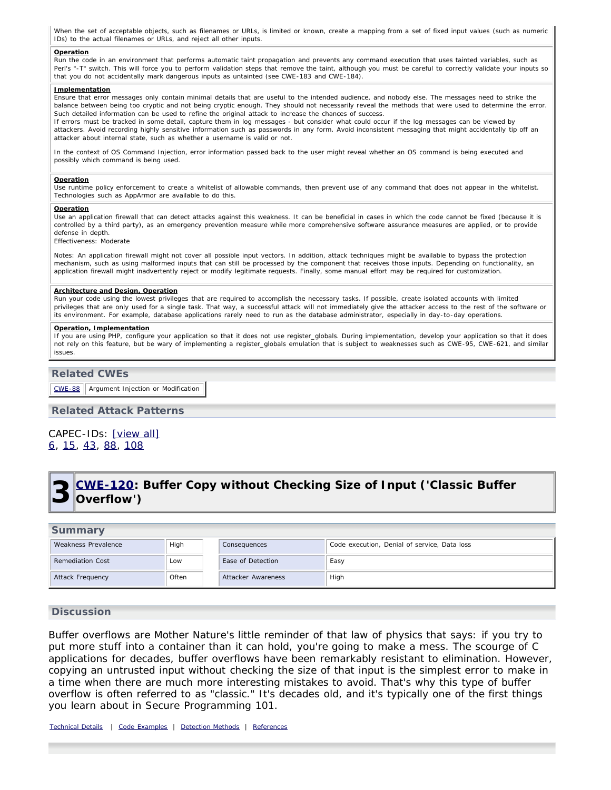When the set of acceptable objects, such as filenames or URLs, is limited or known, create a mapping from a set of fixed input values (such as numeric IDs) to the actual filenames or URLs, and reject all other inputs.

#### **Operation**

Run the code in an environment that performs automatic taint propagation and prevents any command execution that uses tainted variables, such as Perl's "-T" switch. This will force you to perform validation steps that remove the taint, although you must be careful to correctly validate your inputs so that you do not accidentally mark dangerous inputs as untainted (see CWE-183 and CWE-184).

#### **Implementation**

Ensure that error messages only contain minimal details that are useful to the intended audience, and nobody else. The messages need to strike the balance between being too cryptic and not being cryptic enough. They should not necessarily reveal the methods that were used to determine the error. Such detailed information can be used to refine the original attack to increase the chances of success.

If errors must be tracked in some detail, capture them in log messages - but consider what could occur if the log messages can be viewed by attackers. Avoid recording highly sensitive information such as passwords in any form. Avoid inconsistent messaging that might accidentally tip off an attacker about internal state, such as whether a username is valid or not.

In the context of OS Command Injection, error information passed back to the user might reveal whether an OS command is being executed and possibly which command is being used.

#### **Operation**

Use runtime policy enforcement to create a whitelist of allowable commands, then prevent use of any command that does not appear in the whitelist. Technologies such as AppArmor are available to do this.

#### **Operation**

Use an application firewall that can detect attacks against this weakness. It can be beneficial in cases in which the code cannot be fixed (because it is controlled by a third party), as an emergency prevention measure while more comprehensive software assurance measures are applied, or to provide defense in depth.

Effectiveness: Moderate

Notes: An application firewall might not cover all possible input vectors. In addition, attack techniques might be available to bypass the protection mechanism, such as using malformed inputs that can still be processed by the component that receives those inputs. Depending on functionality, an application firewall might inadvertently reject or modify legitimate requests. Finally, some manual effort may be required for customization.

#### **Architecture and Design, Operation**

Run your code using the lowest privileges that are required to accomplish the necessary tasks. If possible, create isolated accounts with limited privileges that are only used for a single task. That way, a successful attack will not immediately give the attacker access to the rest of the software or its environment. For example, database applications rarely need to run as the database administrator, especially in day-to-day operations.

#### **Operation, Implementation**

If you are using PHP, configure your application so that it does not use register\_globals. During implementation, develop your application so that it does not rely on this feature, but be wary of implementing a register\_globals emulation that is subject to weaknesses such as CWE-95, CWE-621, and similar issues.

### **Related CWEs**

 $CWE-88$  Argument Injection or Modification

### **Related Attack Patterns**

### CAPEC-IDs: [\[view all\]](http://cwe.mitre.org/data/definitions/78.html#Related_Attack_Patterns) [6,](http://capec.mitre.org/data/definitions/6.html) [15](http://capec.mitre.org/data/definitions/15.html), [43,](http://capec.mitre.org/data/definitions/43.html) [88](http://capec.mitre.org/data/definitions/88.html), [108](http://capec.mitre.org/data/definitions/108.html)

## <span id="page-9-0"></span>**3 [CWE-120:](http://cwe.mitre.org/data/definitions/120.html) Buffer Copy without Checking Size of Input ('Classic Buffer Overflow')**

## **Summary** Weakness Prevalence High Consequences Code execution, Denial of service, Data loss Remediation Cost **Low** Ease of Detection Easy Attack Frequency **Often Attacker Awareness** High

### **Discussion**

Buffer overflows are Mother Nature's little reminder of that law of physics that says: if you try to put more stuff into a container than it can hold, you're going to make a mess. The scourge of C applications for decades, buffer overflows have been remarkably resistant to elimination. However, copying an untrusted input without checking the size of that input is the simplest error to make in a time when there are much more interesting mistakes to avoid. That's why this type of buffer overflow is often referred to as "classic." It's decades old, and it's typically one of the first things you learn about in Secure Programming 101.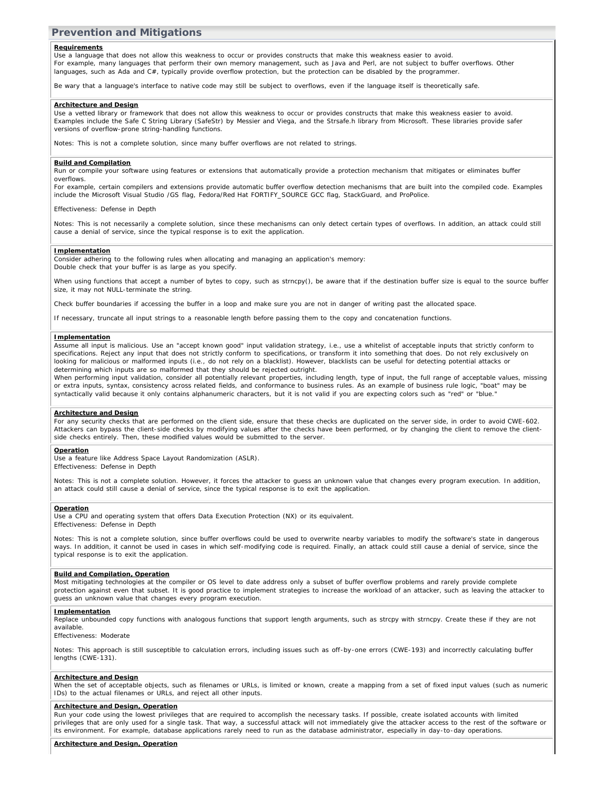### **Prevention and Mitigations**

#### **Requirements**

Use a language that does not allow this weakness to occur or provides constructs that make this weakness easier to avoid. For example, many languages that perform their own memory management, such as Java and Perl, are not subject to buffer overflows. Other languages, such as Ada and C#, typically provide overflow protection, but the protection can be disabled by the programmer.

Be wary that a language's interface to native code may still be subject to overflows, even if the language itself is theoretically safe.

#### **Architecture and Design**

Use a vetted library or framework that does not allow this weakness to occur or provides constructs that make this weakness easier to avoid. Examples include the Safe C String Library (SafeStr) by Messier and Viega, and the Strsafe.h library from Microsoft. These libraries provide safer versions of overflow-prone string-handling functions.

Notes: This is not a complete solution, since many buffer overflows are not related to strings.

#### **Build and Compilation**

Run or compile your software using features or extensions that automatically provide a protection mechanism that mitigates or eliminates buffer overflows.

For example, certain compilers and extensions provide automatic buffer overflow detection mechanisms that are built into the compiled code. Examples include the Microsoft Visual Studio /GS flag, Fedora/Red Hat FORTIFY\_SOURCE GCC flag, StackGuard, and ProPolice.

Effectiveness: Defense in Depth

Notes: This is not necessarily a complete solution, since these mechanisms can only detect certain types of overflows. In addition, an attack could still cause a denial of service, since the typical response is to exit the application.

#### **Implementation**

Consider adhering to the following rules when allocating and managing an application's memory: Double check that your buffer is as large as you specify.

When using functions that accept a number of bytes to copy, such as strncpy(), be aware that if the destination buffer size is equal to the source buffer size, it may not NULL-terminate the string.

Check buffer boundaries if accessing the buffer in a loop and make sure you are not in danger of writing past the allocated space.

If necessary, truncate all input strings to a reasonable length before passing them to the copy and concatenation functions.

#### **Implementation**

Assume all input is malicious. Use an "accept known good" input validation strategy, i.e., use a whitelist of acceptable inputs that strictly conform to specifications. Reject any input that does not strictly conform to specifications, or transform it into something that does. Do not rely exclusively on looking for malicious or malformed inputs (i.e., do not rely on a blacklist). However, blacklists can be useful for detecting potential attacks or determining which inputs are so malformed that they should be rejected outright.

When performing input validation, consider all potentially relevant properties, including length, type of input, the full range of acceptable values, missing or extra inputs, syntax, consistency across related fields, and conformance to business rules. As an example of business rule logic, "boat" may be syntactically valid because it only contains alphanumeric characters, but it is not valid if you are expecting colors such as "red" or "blue."

#### **Architecture and Design**

For any security checks that are performed on the client side, ensure that these checks are duplicated on the server side, in order to avoid CWE-602. Attackers can bypass the client-side checks by modifying values after the checks have been performed, or by changing the client to remove the clientside checks entirely. Then, these modified values would be submitted to the server.

#### **Operation**

Use a feature like Address Space Layout Randomization (ASLR). Effectiveness: Defense in Depth

Notes: This is not a complete solution. However, it forces the attacker to guess an unknown value that changes every program execution. In addition, an attack could still cause a denial of service, since the typical response is to exit the application.

#### **Operation**

Use a CPU and operating system that offers Data Execution Protection (NX) or its equivalent. Effectiveness: Defense in Depth

Notes: This is not a complete solution, since buffer overflows could be used to overwrite nearby variables to modify the software's state in dangerous ways. In addition, it cannot be used in cases in which self-modifying code is required. Finally, an attack could still cause a denial of service, since the typical response is to exit the application.

#### **Build and Compilation, Operation**

Most mitigating technologies at the compiler or OS level to date address only a subset of buffer overflow problems and rarely provide complete protection against even that subset. It is good practice to implement strategies to increase the workload of an attacker, such as leaving the attacker to guess an unknown value that changes every program execution.

#### **Implementation**

Replace unbounded copy functions with analogous functions that support length arguments, such as strcpy with strncpy. Create these if they are not available.

Effectiveness: Moderate

Notes: This approach is still susceptible to calculation errors, including issues such as off-by-one errors (CWE-193) and incorrectly calculating buffer lengths (CWE-131).

#### **Architecture and Design**

When the set of acceptable objects, such as filenames or URLs, is limited or known, create a mapping from a set of fixed input values (such as numeric IDs) to the actual filenames or URLs, and reject all other inputs.

#### **Architecture and Design, Operation**

Run your code using the lowest privileges that are required to accomplish the necessary tasks. If possible, create isolated accounts with limited privileges that are only used for a single task. That way, a successful attack will not immediately give the attacker access to the rest of the software or its environment. For example, database applications rarely need to run as the database administrator, especially in day-to-day operations.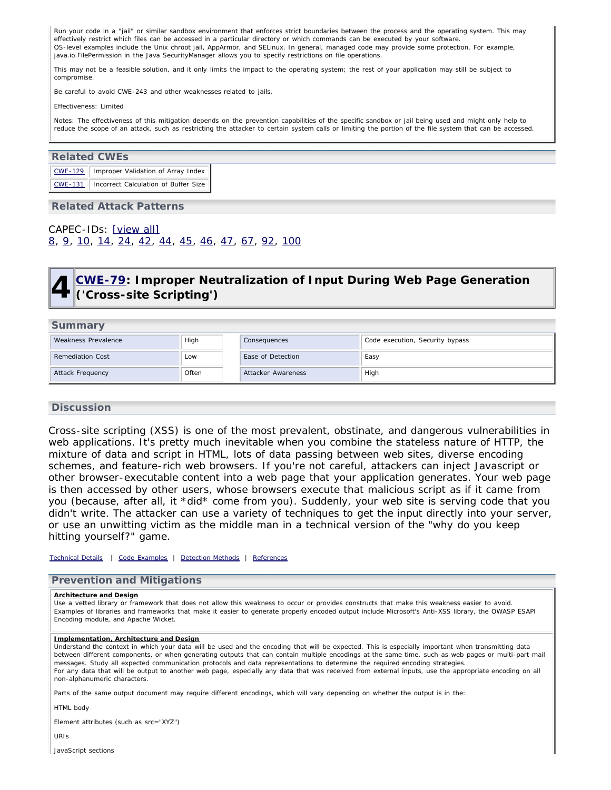Run your code in a "jail" or similar sandbox environment that enforces strict boundaries between the process and the operating system. This may effectively restrict which files can be accessed in a particular directory or which commands can be executed by your software. OS-level examples include the Unix chroot jail, AppArmor, and SELinux. In general, managed code may provide some protection. For example, java.io.FilePermission in the Java SecurityManager allows you to specify restrictions on file operations.

This may not be a feasible solution, and it only limits the impact to the operating system; the rest of your application may still be subject to compromise.

Be careful to avoid CWE-243 and other weaknesses related to jails.

Effectiveness: Limited

Notes: The effectiveness of this mitigation depends on the prevention capabilities of the specific sandbox or jail being used and might only help to reduce the scope of an attack, such as restricting the attacker to certain system calls or limiting the portion of the file system that can be accessed.

### **Related CWEs**

| CWE-129   Improper Validation of Array Index   |
|------------------------------------------------|
| CWE-131   Incorrect Calculation of Buffer Size |

### **Related Attack Patterns**

<span id="page-11-0"></span>CAPEC-IDs: [\[view all\]](http://cwe.mitre.org/data/definitions/120.html#Related_Attack_Patterns) [8,](http://capec.mitre.org/data/definitions/8.html) [9,](http://capec.mitre.org/data/definitions/9.html) [10](http://capec.mitre.org/data/definitions/10.html), [14,](http://capec.mitre.org/data/definitions/14.html) [24](http://capec.mitre.org/data/definitions/24.html), [42](http://capec.mitre.org/data/definitions/42.html), [44](http://capec.mitre.org/data/definitions/44.html), [45](http://capec.mitre.org/data/definitions/45.html), [46,](http://capec.mitre.org/data/definitions/46.html) [47](http://capec.mitre.org/data/definitions/47.html), [67,](http://capec.mitre.org/data/definitions/67.html) [92](http://capec.mitre.org/data/definitions/92.html), [100](http://capec.mitre.org/data/definitions/100.html)

## **4 [CWE-79](http://cwe.mitre.org/data/definitions/79.html): Improper Neutralization of Input During Web Page Generation ('Cross-site Scripting')**

### **Summary**

| Weakness Prevalence     | High  | Consequences       | Code execution, Security bypass |
|-------------------------|-------|--------------------|---------------------------------|
| <b>Remediation Cost</b> | Low   | Ease of Detection  | Easy                            |
| Attack Frequency        | Often | Attacker Awareness | High                            |

### **Discussion**

Cross-site scripting (XSS) is one of the most prevalent, obstinate, and dangerous vulnerabilities in web applications. It's pretty much inevitable when you combine the stateless nature of HTTP, the mixture of data and script in HTML, lots of data passing between web sites, diverse encoding schemes, and feature-rich web browsers. If you're not careful, attackers can inject Javascript or other browser-executable content into a web page that your application generates. Your web page is then accessed by other users, whose browsers execute that malicious script as if it came from you (because, after all, it \*did\* come from you). Suddenly, your web site is serving code that you didn't write. The attacker can use a variety of techniques to get the input directly into your server, or use an unwitting victim as the middle man in a technical version of the "why do you keep hitting yourself?" game.

*[Technical Details](http://cwe.mitre.org/data/definitions/79.html) | [Code Examples](http://cwe.mitre.org/data/definitions/79.html#Demonstrative%20Examples) | [Detection Methods](http://cwe.mitre.org/data/definitions/79.html#Detection%20Methods) | [References](http://cwe.mitre.org/data/definitions/79.html#References)*

### **Prevention and Mitigations**

#### **Architecture and Design**

Use a vetted library or framework that does not allow this weakness to occur or provides constructs that make this weakness easier to avoid. Examples of libraries and frameworks that make it easier to generate properly encoded output include Microsoft's Anti-XSS library, the OWASP ESAPI Encoding module, and Apache Wicket.

#### **Implementation, Architecture and Design**

Understand the context in which your data will be used and the encoding that will be expected. This is especially important when transmitting data between different components, or when generating outputs that can contain multiple encodings at the same time, such as web pages or multi-part mail messages. Study all expected communication protocols and data representations to determine the required encoding strategies. For any data that will be output to another web page, especially any data that was received from external inputs, use the appropriate encoding on all non-alphanumeric characters.

Parts of the same output document may require different encodings, which will vary depending on whether the output is in the:

HTML body

Element attributes (such as src="XYZ")

URIs

JavaScript sections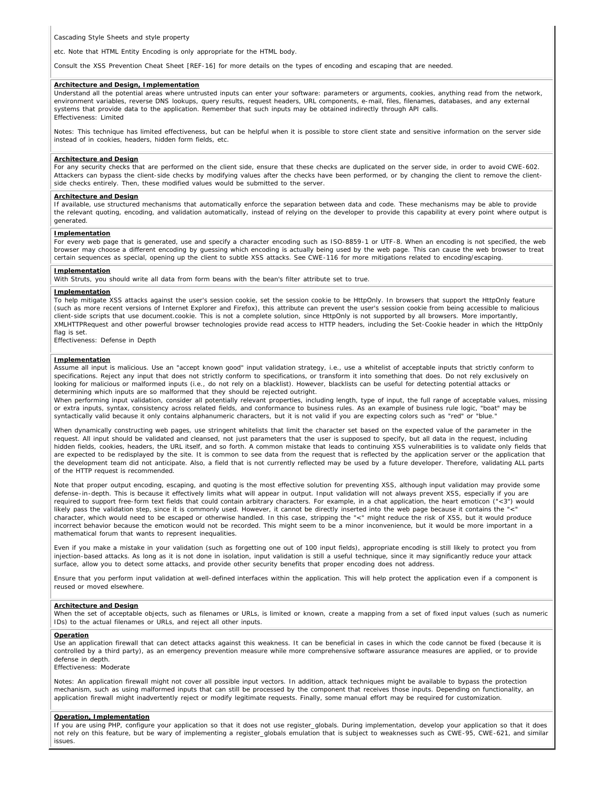Cascading Style Sheets and style property

etc. Note that HTML Entity Encoding is only appropriate for the HTML body.

Consult the XSS Prevention Cheat Sheet [REF-16] for more details on the types of encoding and escaping that are needed.

#### **Architecture and Design, Implementation**

Understand all the potential areas where untrusted inputs can enter your software: parameters or arguments, cookies, anything read from the network, environment variables, reverse DNS lookups, query results, request headers, URL components, e-mail, files, filenames, databases, and any external systems that provide data to the application. Remember that such inputs may be obtained indirectly through API calls. Effectiveness: Limited

Notes: This technique has limited effectiveness, but can be helpful when it is possible to store client state and sensitive information on the server side instead of in cookies, headers, hidden form fields, etc.

#### **Architecture and Design**

For any security checks that are performed on the client side, ensure that these checks are duplicated on the server side, in order to avoid CWE-602. Attackers can bypass the client-side checks by modifying values after the checks have been performed, or by changing the client to remove the clientside checks entirely. Then, these modified values would be submitted to the server.

#### **Architecture and Design**

If available, use structured mechanisms that automatically enforce the separation between data and code. These mechanisms may be able to provide the relevant quoting, encoding, and validation automatically, instead of relying on the developer to provide this capability at every point where output is generated.

#### **Implementation**

For every web page that is generated, use and specify a character encoding such as ISO-8859-1 or UTF-8. When an encoding is not specified, the web browser may choose a different encoding by guessing which encoding is actually being used by the web page. This can cause the web browser to treat certain sequences as special, opening up the client to subtle XSS attacks. See CWE-116 for more mitigations related to encoding/escaping.

#### **Implementation**

With Struts, you should write all data from form beans with the bean's filter attribute set to true.

#### **Implementation**

To help mitigate XSS attacks against the user's session cookie, set the session cookie to be HttpOnly. In browsers that support the HttpOnly feature (such as more recent versions of Internet Explorer and Firefox), this attribute can prevent the user's session cookie from being accessible to malicious client-side scripts that use document.cookie. This is not a complete solution, since HttpOnly is not supported by all browsers. More importantly, XMLHTTPRequest and other powerful browser technologies provide read access to HTTP headers, including the Set-Cookie header in which the HttpOnly flag is set.

Effectiveness: Defense in Depth

#### **Implementation**

Assume all input is malicious. Use an "accept known good" input validation strategy, i.e., use a whitelist of acceptable inputs that strictly conform to specifications. Reject any input that does not strictly conform to specifications, or transform it into something that does. Do not rely exclusively on looking for malicious or malformed inputs (i.e., do not rely on a blacklist). However, blacklists can be useful for detecting potential attacks or determining which inputs are so malformed that they should be rejected outright.

When performing input validation, consider all potentially relevant properties, including length, type of input, the full range of acceptable values, missing or extra inputs, syntax, consistency across related fields, and conformance to business rules. As an example of business rule logic, "boat" may be syntactically valid because it only contains alphanumeric characters, but it is not valid if you are expecting colors such as "red" or "blue.

When dynamically constructing web pages, use stringent whitelists that limit the character set based on the expected value of the parameter in the request. All input should be validated and cleansed, not just parameters that the user is supposed to specify, but all data in the request, including hidden fields, cookies, headers, the URL itself, and so forth. A common mistake that leads to continuing XSS vulnerabilities is to validate only fields that are expected to be redisplayed by the site. It is common to see data from the request that is reflected by the application server or the application that the development team did not anticipate. Also, a field that is not currently reflected may be used by a future developer. Therefore, validating ALL parts of the HTTP request is recommended.

Note that proper output encoding, escaping, and quoting is the most effective solution for preventing XSS, although input validation may provide some defense-in-depth. This is because it effectively limits what will appear in output. Input validation will not always prevent XSS, especially if you are required to support free-form text fields that could contain arbitrary characters. For example, in a chat application, the heart emoticon ("<3") would likely pass the validation step, since it is commonly used. However, it cannot be directly inserted into the web page because it contains the "<" character, which would need to be escaped or otherwise handled. In this case, stripping the "<" might reduce the risk of XSS, but it would produce incorrect behavior because the emoticon would not be recorded. This might seem to be a minor inconvenience, but it would be more important in a mathematical forum that wants to represent inequalities.

Even if you make a mistake in your validation (such as forgetting one out of 100 input fields), appropriate encoding is still likely to protect you from injection-based attacks. As long as it is not done in isolation, input validation is still a useful technique, since it may significantly reduce your attack surface, allow you to detect some attacks, and provide other security benefits that proper encoding does not address.

Ensure that you perform input validation at well-defined interfaces within the application. This will help protect the application even if a component is reused or moved elsewhere.

#### **Architecture and Design**

When the set of acceptable objects, such as filenames or URLs, is limited or known, create a mapping from a set of fixed input values (such as numeric IDs) to the actual filenames or URLs, and reject all other inputs.

#### **Operation**

Use an application firewall that can detect attacks against this weakness. It can be beneficial in cases in which the code cannot be fixed (because it is controlled by a third party), as an emergency prevention measure while more comprehensive software assurance measures are applied, or to provide defense in depth.

Effectiveness: Moderate

Notes: An application firewall might not cover all possible input vectors. In addition, attack techniques might be available to bypass the protection mechanism, such as using malformed inputs that can still be processed by the component that receives those inputs. Depending on functionality, an application firewall might inadvertently reject or modify legitimate requests. Finally, some manual effort may be required for customization.

#### **Operation, Implementation**

If you are using PHP, configure your application so that it does not use register\_globals. During implementation, develop your application so that it does not rely on this feature, but be wary of implementing a register\_globals emulation that is subject to weaknesses such as CWE-95, CWE-621, and similar issues.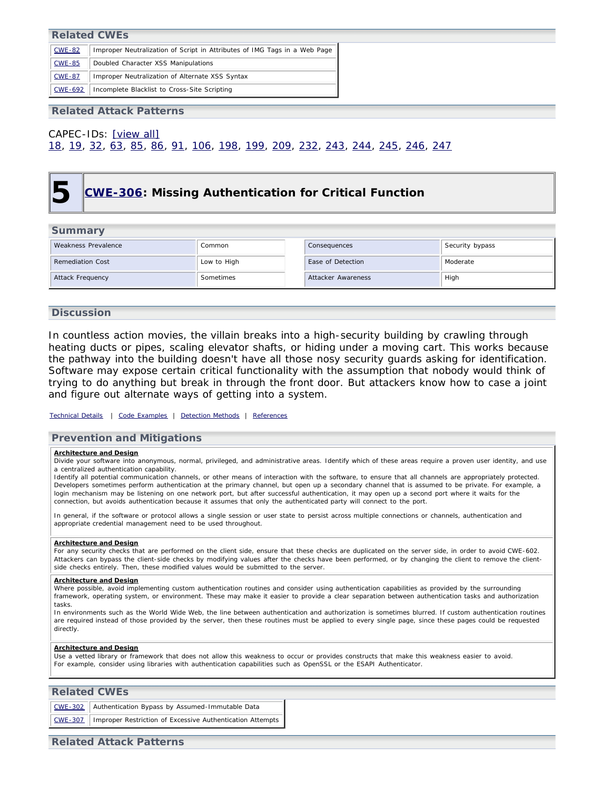### **Related CWEs**

| <b>CWE-82</b>  | Improper Neutralization of Script in Attributes of IMG Tags in a Web Page |
|----------------|---------------------------------------------------------------------------|
| <b>CWE-85</b>  | Doubled Character XSS Manipulations                                       |
| <b>CWE-87</b>  | Improper Neutralization of Alternate XSS Syntax                           |
| <b>CWE-692</b> | Incomplete Blacklist to Cross-Site Scripting                              |

**Related Attack Patterns**

## <span id="page-13-0"></span>CAPEC-IDs: [\[view all\]](http://cwe.mitre.org/data/definitions/79.html#Related_Attack_Patterns) [18,](http://capec.mitre.org/data/definitions/18.html) [19](http://capec.mitre.org/data/definitions/19.html), [32,](http://capec.mitre.org/data/definitions/32.html) [63](http://capec.mitre.org/data/definitions/63.html), [85,](http://capec.mitre.org/data/definitions/85.html) [86](http://capec.mitre.org/data/definitions/86.html), [91](http://capec.mitre.org/data/definitions/91.html), [106,](http://capec.mitre.org/data/definitions/106.html) [198](http://capec.mitre.org/data/definitions/198.html), [199](http://capec.mitre.org/data/definitions/199.html), [209](http://capec.mitre.org/data/definitions/209.html), [232,](http://capec.mitre.org/data/definitions/232.html) [243](http://capec.mitre.org/data/definitions/243.html), [244](http://capec.mitre.org/data/definitions/244.html), [245](http://capec.mitre.org/data/definitions/245.html), [246](http://capec.mitre.org/data/definitions/246.html), [247](http://capec.mitre.org/data/definitions/247.html)

## **5 [CWE-306:](http://cwe.mitre.org/data/definitions/306.html) Missing Authentication for Critical Function**

### **Summary**

| $-$ - $        -$       |             |                    |                 |  |  |  |
|-------------------------|-------------|--------------------|-----------------|--|--|--|
| Weakness Prevalence     | Common      | Consequences       | Security bypass |  |  |  |
| <b>Remediation Cost</b> | Low to High | Ease of Detection  | Moderate        |  |  |  |
| Attack Frequency        | Sometimes   | Attacker Awareness | High            |  |  |  |

### **Discussion**

In countless action movies, the villain breaks into a high-security building by crawling through heating ducts or pipes, scaling elevator shafts, or hiding under a moving cart. This works because the pathway into the building doesn't have all those nosy security guards asking for identification. Software may expose certain critical functionality with the assumption that nobody would think of trying to do anything but break in through the front door. But attackers know how to case a joint and figure out alternate ways of getting into a system.

### *[Technical Details](http://cwe.mitre.org/data/definitions/306.html) | [Code Examples](http://cwe.mitre.org/data/definitions/306.html#Demonstrative%20Examples) | [Detection Methods](http://cwe.mitre.org/data/definitions/306.html#Detection%20Methods) | [References](http://cwe.mitre.org/data/definitions/306.html#References)*

### **Prevention and Mitigations**

#### **Architecture and Design**

Divide your software into anonymous, normal, privileged, and administrative areas. Identify which of these areas require a proven user identity, and use a centralized authentication capability.

Identify all potential communication channels, or other means of interaction with the software, to ensure that all channels are appropriately protected. Developers sometimes perform authentication at the primary channel, but open up a secondary channel that is assumed to be private. For example, a login mechanism may be listening on one network port, but after successful authentication, it may open up a second port where it waits for the connection, but avoids authentication because it assumes that only the authenticated party will connect to the port.

In general, if the software or protocol allows a single session or user state to persist across multiple connections or channels, authentication and appropriate credential management need to be used throughout.

#### **Architecture and Design**

For any security checks that are performed on the client side, ensure that these checks are duplicated on the server side, in order to avoid CWE-602. Attackers can bypass the client-side checks by modifying values after the checks have been performed, or by changing the client to remove the clientside checks entirely. Then, these modified values would be submitted to the server.

#### **Architecture and Design**

Where possible, avoid implementing custom authentication routines and consider using authentication capabilities as provided by the surrounding framework, operating system, or environment. These may make it easier to provide a clear separation between authentication tasks and authorization tasks.

In environments such as the World Wide Web, the line between authentication and authorization is sometimes blurred. If custom authentication routines are required instead of those provided by the server, then these routines must be applied to every single page, since these pages could be requested directly.

#### **Architecture and Design**

Use a vetted library or framework that does not allow this weakness to occur or provides constructs that make this weakness easier to avoid. For example, consider using libraries with authentication capabilities such as OpenSSL or the ESAPI Authenticator.

## **Related CWEs** [CWE-302](http://cwe.mitre.org/data/definitions/302.html) Authentication Bypass by Assumed-Immutable Data [CWE-307](http://cwe.mitre.org/data/definitions/307.html) | Improper Restriction of Excessive Authentication Attempts

### **Related Attack Patterns**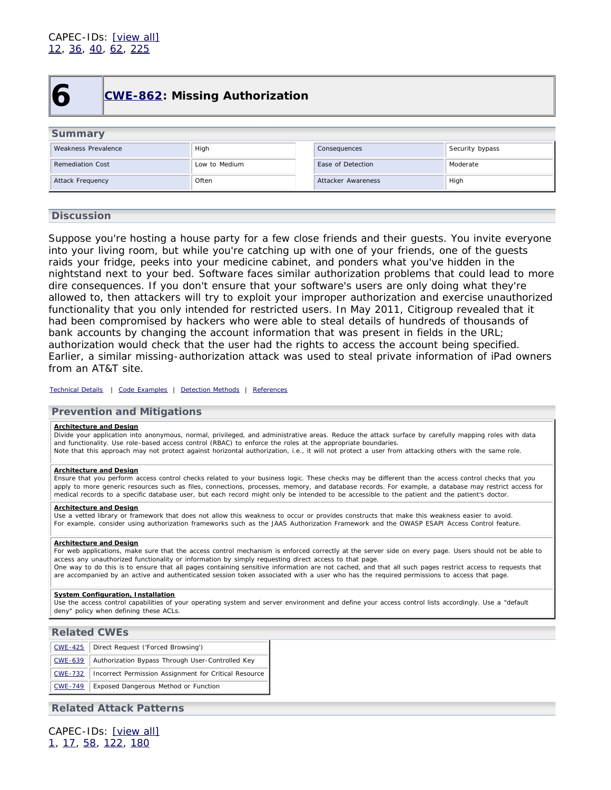<span id="page-14-0"></span>

## **6 [CWE-862:](http://cwe.mitre.org/data/definitions/862.html) Missing Authorization**

| Summary                 |               |  |                    |                 |  |  |
|-------------------------|---------------|--|--------------------|-----------------|--|--|
| Weakness Prevalence     | High          |  | Consequences       | Security bypass |  |  |
| <b>Remediation Cost</b> | Low to Medium |  | Ease of Detection  | Moderate        |  |  |
| Attack Frequency        | Often         |  | Attacker Awareness | High            |  |  |

### **Discussion**

Suppose you're hosting a house party for a few close friends and their guests. You invite everyone into your living room, but while you're catching up with one of your friends, one of the guests raids your fridge, peeks into your medicine cabinet, and ponders what you've hidden in the nightstand next to your bed. Software faces similar authorization problems that could lead to more dire consequences. If you don't ensure that your software's users are only doing what they're allowed to, then attackers will try to exploit your improper authorization and exercise unauthorized functionality that you only intended for restricted users. In May 2011, Citigroup revealed that it had been compromised by hackers who were able to steal details of hundreds of thousands of bank accounts by changing the account information that was present in fields in the URL; authorization would check that the user had the rights to access the account being specified. Earlier, a similar missing-authorization attack was used to steal private information of iPad owners from an AT&T site.

*[Technical Details](http://cwe.mitre.org/data/definitions/862.html) | [Code Examples](http://cwe.mitre.org/data/definitions/862.html#Demonstrative%20Examples) | [Detection Methods](http://cwe.mitre.org/data/definitions/862.html#Detection%20Methods) | [References](http://cwe.mitre.org/data/definitions/862.html#References)*

### **Prevention and Mitigations**

### **Architecture and Design**

Divide your application into anonymous, normal, privileged, and administrative areas. Reduce the attack surface by carefully mapping roles with data and functionality. Use role-based access control (RBAC) to enforce the roles at the appropriate boundaries.

Note that this approach may not protect against horizontal authorization, i.e., it will not protect a user from attacking others with the same role.

#### **Architecture and Design**

Ensure that you perform access control checks related to your business logic. These checks may be different than the access control checks that you apply to more generic resources such as files, connections, processes, memory, and database records. For example, a database may restrict access for medical records to a specific database user, but each record might only be intended to be accessible to the patient and the patient's doctor.

#### **Architecture and Design**

Use a vetted library or framework that does not allow this weakness to occur or provides constructs that make this weakness easier to avoid. For example, consider using authorization frameworks such as the JAAS Authorization Framework and the OWASP ESAPI Access Control feature.

#### **Architecture and Design**

For web applications, make sure that the access control mechanism is enforced correctly at the server side on every page. Users should not be able to access any unauthorized functionality or information by simply requesting direct access to that page. One way to do this is to ensure that all pages containing sensitive information are not cached, and that all such pages restrict access to requests that

are accompanied by an active and authenticated session token associated with a user who has the required permissions to access that page.

#### **System Configuration, Installation**

Use the access control capabilities of your operating system and server environment and define your access control lists accordingly. Use a "default deny" policy when defining these ACLs.

### **Related CWEs**

| <u>CWE-425</u> | Direct Request ('Forced Browsing')                    |
|----------------|-------------------------------------------------------|
| <b>CWE-639</b> | Authorization Bypass Through User-Controlled Key      |
| <b>CWE-732</b> | Incorrect Permission Assignment for Critical Resource |
| <b>CWE-749</b> | Exposed Dangerous Method or Function                  |

### **Related Attack Patterns**

CAPEC-IDs: [\[view all\]](http://cwe.mitre.org/data/definitions/862.html#Related_Attack_Patterns) [1,](http://capec.mitre.org/data/definitions/1.html) [17](http://capec.mitre.org/data/definitions/17.html), [58,](http://capec.mitre.org/data/definitions/58.html) [122](http://capec.mitre.org/data/definitions/122.html), [180](http://capec.mitre.org/data/definitions/180.html)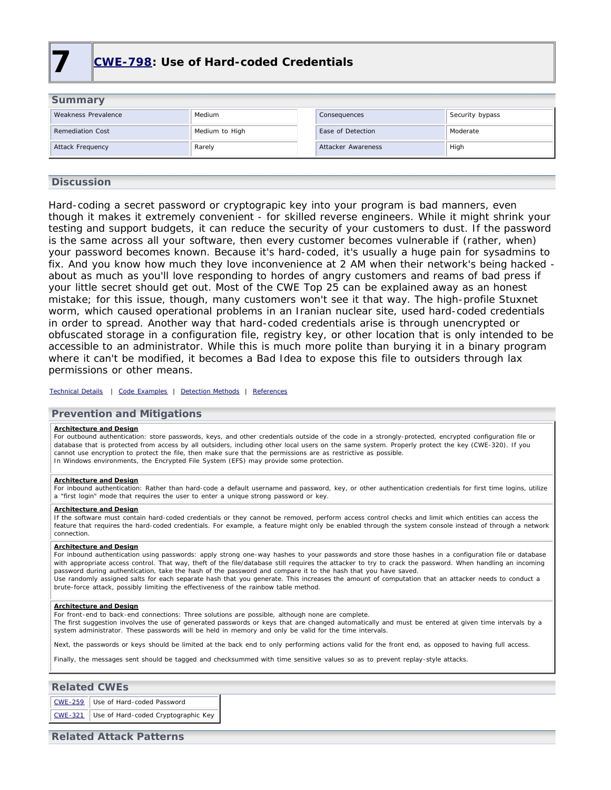<span id="page-15-0"></span>

| <b>Summary</b>          |                |  |                    |                 |  |
|-------------------------|----------------|--|--------------------|-----------------|--|
| Weakness Prevalence     | Medium         |  | Consequences       | Security bypass |  |
| <b>Remediation Cost</b> | Medium to High |  | Ease of Detection  | Moderate        |  |
| Attack Frequency        | Rarely         |  | Attacker Awareness | High            |  |

### **Discussion**

Hard-coding a secret password or cryptograpic key into your program is bad manners, even though it makes it extremely convenient - for skilled reverse engineers. While it might shrink your testing and support budgets, it can reduce the security of your customers to dust. If the password is the same across all your software, then every customer becomes vulnerable if (rather, when) your password becomes known. Because it's hard-coded, it's usually a huge pain for sysadmins to fix. And you know how much they love inconvenience at 2 AM when their network's being hacked about as much as you'll love responding to hordes of angry customers and reams of bad press if your little secret should get out. Most of the CWE Top 25 can be explained away as an honest mistake; for this issue, though, many customers won't see it that way. The high-profile Stuxnet worm, which caused operational problems in an Iranian nuclear site, used hard-coded credentials in order to spread. Another way that hard-coded credentials arise is through unencrypted or obfuscated storage in a configuration file, registry key, or other location that is only intended to be accessible to an administrator. While this is much more polite than burying it in a binary program where it can't be modified, it becomes a Bad Idea to expose this file to outsiders through lax permissions or other means.

*[Technical Details](http://cwe.mitre.org/data/definitions/798.html) | [Code Examples](http://cwe.mitre.org/data/definitions/798.html#Demonstrative%20Examples) | [Detection Methods](http://cwe.mitre.org/data/definitions/798.html#Detection%20Methods) | [References](http://cwe.mitre.org/data/definitions/798.html#References)*

### **Prevention and Mitigations**

#### **Architecture and Design**

For outbound authentication: store passwords, keys, and other credentials outside of the code in a strongly-protected, encrypted configuration file or database that is protected from access by all outsiders, including other local users on the same system. Properly protect the key (CWE-320). If you cannot use encryption to protect the file, then make sure that the permissions are as restrictive as possible. In Windows environments, the Encrypted File System (EFS) may provide some protection.

#### **Architecture and Design**

For inbound authentication: Rather than hard-code a default username and password, key, or other authentication credentials for first time logins, utilize a "first login" mode that requires the user to enter a unique strong password or key.

#### **Architecture and Design**

If the software must contain hard-coded credentials or they cannot be removed, perform access control checks and limit which entities can access the feature that requires the hard-coded credentials. For example, a feature might only be enabled through the system console instead of through a network connection.

#### **Architecture and Design**

For inbound authentication using passwords: apply strong one-way hashes to your passwords and store those hashes in a configuration file or database with appropriate access control. That way, theft of the file/database still requires the attacker to try to crack the password. When handling an incoming password during authentication, take the hash of the password and compare it to the hash that you have saved. Use randomly assigned salts for each separate hash that you generate. This increases the amount of computation that an attacker needs to conduct a brute-force attack, possibly limiting the effectiveness of the rainbow table method.

#### **Architecture and Design**

For front-end to back-end connections: Three solutions are possible, although none are complete.

The first suggestion involves the use of generated passwords or keys that are changed automatically and must be entered at given time intervals by a system administrator. These passwords will be held in memory and only be valid for the time intervals.

Next, the passwords or keys should be limited at the back end to only performing actions valid for the front end, as opposed to having full access.

Finally, the messages sent should be tagged and checksummed with time sensitive values so as to prevent replay-style attacks.

#### **Related CWEs**

[CWE-259](http://cwe.mitre.org/data/definitions/259.html) Use of Hard-coded Password [CWE-321](http://cwe.mitre.org/data/definitions/321.html) Use of Hard-coded Cryptographic Key

### **Related Attack Patterns**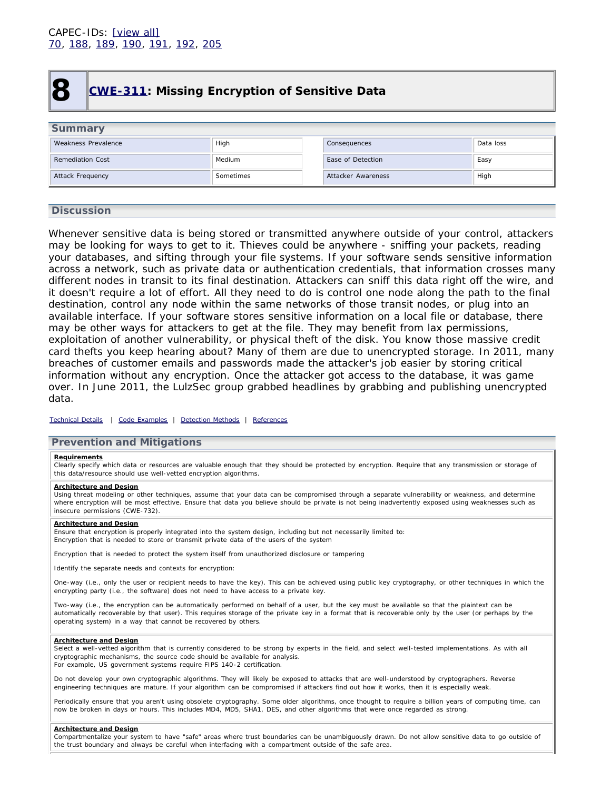<span id="page-16-0"></span>

## **8 [CWE-311:](http://cwe.mitre.org/data/definitions/311.html) Missing Encryption of Sensitive Data**

| <b>Summary</b>          |           |                    |           |
|-------------------------|-----------|--------------------|-----------|
| Weakness Prevalence     | High      | Consequences       | Data loss |
| <b>Remediation Cost</b> | Medium    | Ease of Detection  | Easy      |
| Attack Frequency        | Sometimes | Attacker Awareness | High      |
|                         |           |                    |           |

### **Discussion**

Whenever sensitive data is being stored or transmitted anywhere outside of your control, attackers may be looking for ways to get to it. Thieves could be anywhere - sniffing your packets, reading your databases, and sifting through your file systems. If your software sends sensitive information across a network, such as private data or authentication credentials, that information crosses many different nodes in transit to its final destination. Attackers can sniff this data right off the wire, and it doesn't require a lot of effort. All they need to do is control one node along the path to the final destination, control any node within the same networks of those transit nodes, or plug into an available interface. If your software stores sensitive information on a local file or database, there may be other ways for attackers to get at the file. They may benefit from lax permissions, exploitation of another vulnerability, or physical theft of the disk. You know those massive credit card thefts you keep hearing about? Many of them are due to unencrypted storage. In 2011, many breaches of customer emails and passwords made the attacker's job easier by storing critical information without any encryption. Once the attacker got access to the database, it was game over. In June 2011, the LulzSec group grabbed headlines by grabbing and publishing unencrypted data.

#### *[Technical Details](http://cwe.mitre.org/data/definitions/311.html) | [Code Examples](http://cwe.mitre.org/data/definitions/311.html#Demonstrative%20Examples) | [Detection Methods](http://cwe.mitre.org/data/definitions/311.html#Detection%20Methods) | [References](http://cwe.mitre.org/data/definitions/311.html#References)*

### **Prevention and Mitigations**

#### **Requirements**

Clearly specify which data or resources are valuable enough that they should be protected by encryption. Require that any transmission or storage of this data/resource should use well-vetted encryption algorithms.

### **Architecture and Design**

Using threat modeling or other techniques, assume that your data can be compromised through a separate vulnerability or weakness, and determine where encryption will be most effective. Ensure that data you believe should be private is not being inadvertently exposed using weaknesses such as insecure permissions (CWE-732).

#### **Architecture and Design**

Ensure that encryption is properly integrated into the system design, including but not necessarily limited to: Encryption that is needed to store or transmit private data of the users of the system

Encryption that is needed to protect the system itself from unauthorized disclosure or tampering

Identify the separate needs and contexts for encryption:

One-way (i.e., only the user or recipient needs to have the key). This can be achieved using public key cryptography, or other techniques in which the encrypting party (i.e., the software) does not need to have access to a private key.

Two-way (i.e., the encryption can be automatically performed on behalf of a user, but the key must be available so that the plaintext can be automatically recoverable by that user). This requires storage of the private key in a format that is recoverable only by the user (or perhaps by the operating system) in a way that cannot be recovered by others.

#### **Architecture and Design**

Select a well-vetted algorithm that is currently considered to be strong by experts in the field, and select well-tested implementations. As with all cryptographic mechanisms, the source code should be available for analysis. For example, US government systems require FIPS 140-2 certification.

Do not develop your own cryptographic algorithms. They will likely be exposed to attacks that are well-understood by cryptographers. Reverse engineering techniques are mature. If your algorithm can be compromised if attackers find out how it works, then it is especially weak.

Periodically ensure that you aren't using obsolete cryptography. Some older algorithms, once thought to require a billion years of computing time, can now be broken in days or hours. This includes MD4, MD5, SHA1, DES, and other algorithms that were once regarded as strong.

#### **Architecture and Design**

Compartmentalize your system to have "safe" areas where trust boundaries can be unambiguously drawn. Do not allow sensitive data to go outside of the trust boundary and always be careful when interfacing with a compartment outside of the safe area.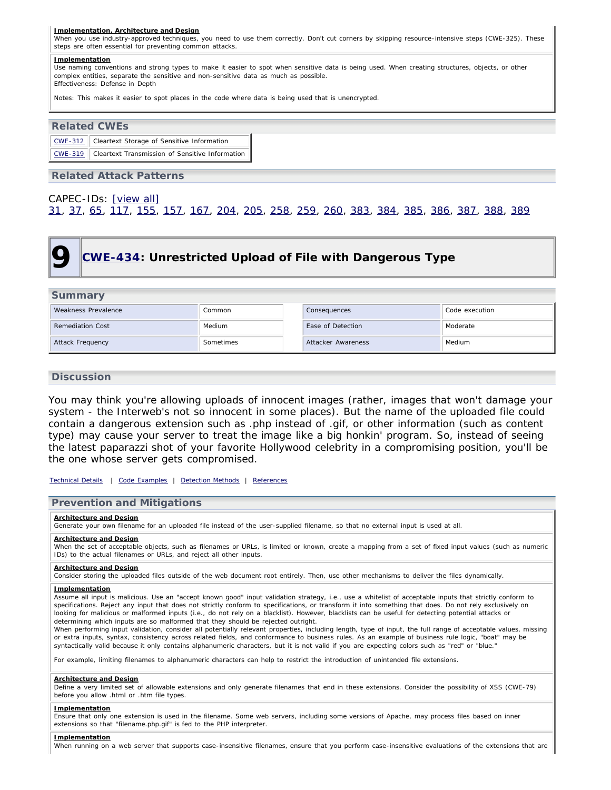#### **Implementation, Architecture and Design**

When you use industry-approved techniques, you need to use them correctly. Don't cut corners by skipping resource-intensive steps (CWE-325). These steps are often essential for preventing common attacks.

#### **Implementation**

Use naming conventions and strong types to make it easier to spot when sensitive data is being used. When creating structures, objects, or other complex entities, separate the sensitive and non-sensitive data as much as possible. Effectiveness: Defense in Depth

Notes: This makes it easier to spot places in the code where data is being used that is unencrypted.

## **Related CWEs** [CWE-312](http://cwe.mitre.org/data/definitions/312.html) Cleartext Storage of Sensitive Information [CWE-319](http://cwe.mitre.org/data/definitions/319.html) Cleartext Transmission of Sensitive Information

### **Related Attack Patterns**

CAPEC-IDs: [\[view all\]](http://cwe.mitre.org/data/definitions/311.html#Related_Attack_Patterns)

<span id="page-17-0"></span>[31,](http://capec.mitre.org/data/definitions/31.html) [37](http://capec.mitre.org/data/definitions/37.html), [65,](http://capec.mitre.org/data/definitions/65.html) [117](http://capec.mitre.org/data/definitions/117.html), [155](http://capec.mitre.org/data/definitions/155.html), [157](http://capec.mitre.org/data/definitions/157.html), [167,](http://capec.mitre.org/data/definitions/167.html) [204](http://capec.mitre.org/data/definitions/204.html), [205](http://capec.mitre.org/data/definitions/205.html), [258](http://capec.mitre.org/data/definitions/258.html), [259](http://capec.mitre.org/data/definitions/259.html), [260,](http://capec.mitre.org/data/definitions/260.html) [383](http://capec.mitre.org/data/definitions/383.html), [384](http://capec.mitre.org/data/definitions/384.html), [385](http://capec.mitre.org/data/definitions/385.html), [386](http://capec.mitre.org/data/definitions/386.html), [387](http://capec.mitre.org/data/definitions/387.html), [388](http://capec.mitre.org/data/definitions/388.html), [389](http://capec.mitre.org/data/definitions/389.html)

## **9 [CWE-434:](http://cwe.mitre.org/data/definitions/434.html) Unrestricted Upload of File with Dangerous Type**

### **Summary**

| Weakness Prevalence     | Common    | Consequences       | Code execution |
|-------------------------|-----------|--------------------|----------------|
| <b>Remediation Cost</b> | Medium    | Ease of Detection  | Moderate       |
| Attack Frequency        | Sometimes | Attacker Awareness | Medium         |

### **Discussion**

You may think you're allowing uploads of innocent images (rather, images that won't damage your system - the Interweb's not so innocent in some places). But the name of the uploaded file could contain a dangerous extension such as .php instead of .gif, or other information (such as content type) may cause your server to treat the image like a big honkin' program. So, instead of seeing the latest paparazzi shot of your favorite Hollywood celebrity in a compromising position, you'll be the one whose server gets compromised.

*[Technical Details](http://cwe.mitre.org/data/definitions/434.html) | [Code Examples](http://cwe.mitre.org/data/definitions/434.html#Demonstrative%20Examples) | [Detection Methods](http://cwe.mitre.org/data/definitions/434.html#Detection%20Methods) | [References](http://cwe.mitre.org/data/definitions/434.html#References)*

### **Prevention and Mitigations**

#### **Architecture and Design**

Generate your own filename for an uploaded file instead of the user-supplied filename, so that no external input is used at all.

#### **Architecture and Design**

When the set of acceptable objects, such as filenames or URLs, is limited or known, create a mapping from a set of fixed input values (such as numeric IDs) to the actual filenames or URLs, and reject all other inputs.

#### **Architecture and Design**

Consider storing the uploaded files outside of the web document root entirely. Then, use other mechanisms to deliver the files dynamically.

#### **Implementation**

Assume all input is malicious. Use an "accept known good" input validation strategy, i.e., use a whitelist of acceptable inputs that strictly conform to specifications. Reject any input that does not strictly conform to specifications, or transform it into something that does. Do not rely exclusively on looking for malicious or malformed inputs (i.e., do not rely on a blacklist). However, blacklists can be useful for detecting potential attacks or determining which inputs are so malformed that they should be rejected outright.

When performing input validation, consider all potentially relevant properties, including length, type of input, the full range of acceptable values, missing or extra inputs, syntax, consistency across related fields, and conformance to business rules. As an example of business rule logic, "boat" may be syntactically valid because it only contains alphanumeric characters, but it is not valid if you are expecting colors such as "red" or "blue."

For example, limiting filenames to alphanumeric characters can help to restrict the introduction of unintended file extensions.

#### **Architecture and Design**

Define a very limited set of allowable extensions and only generate filenames that end in these extensions. Consider the possibility of XSS (CWE-79) before you allow .html or .htm file types.

#### **Implementation**

Ensure that only one extension is used in the filename. Some web servers, including some versions of Apache, may process files based on inner extensions so that "filename.php.gif" is fed to the PHP interpreter.

#### **Implementation**

When running on a web server that supports case-insensitive filenames, ensure that you perform case-insensitive evaluations of the extensions that are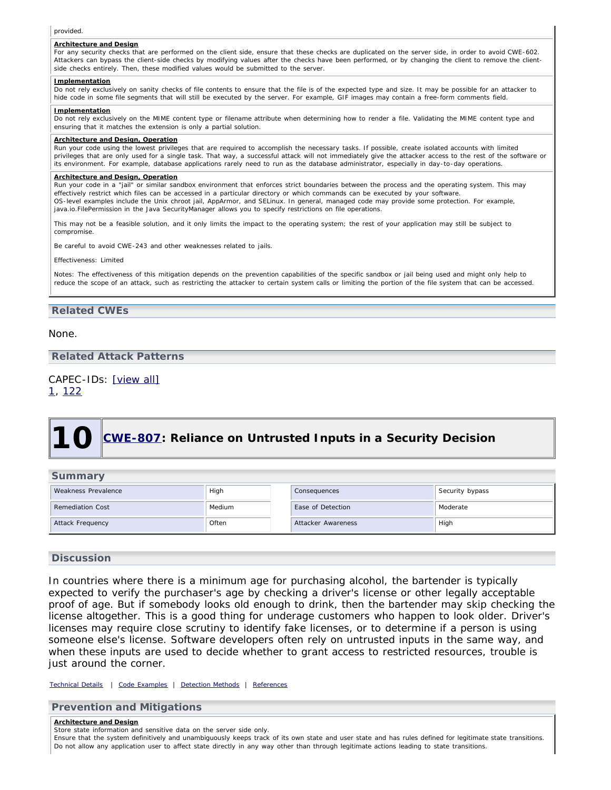#### provided.

#### **Architecture and Design**

For any security checks that are performed on the client side, ensure that these checks are duplicated on the server side, in order to avoid CWE-602. Attackers can bypass the client-side checks by modifying values after the checks have been performed, or by changing the client to remove the clientside checks entirely. Then, these modified values would be submitted to the server.

#### **Implementation**

Do not rely exclusively on sanity checks of file contents to ensure that the file is of the expected type and size. It may be possible for an attacker to hide code in some file segments that will still be executed by the server. For example, GIF images may contain a free-form comments field.

#### **Implementation**

Do not rely exclusively on the MIME content type or filename attribute when determining how to render a file. Validating the MIME content type and ensuring that it matches the extension is only a partial solution.

### **Architecture and Design, Operation**

Run your code using the lowest privileges that are required to accomplish the necessary tasks. If possible, create isolated accounts with limited privileges that are only used for a single task. That way, a successful attack will not immediately give the attacker access to the rest of the software or its environment. For example, database applications rarely need to run as the database administrator, especially in day-to-day operations.

#### **Architecture and Design, Operation**

Run your code in a "jail" or similar sandbox environment that enforces strict boundaries between the process and the operating system. This may effectively restrict which files can be accessed in a particular directory or which commands can be executed by your software. OS-level examples include the Unix chroot jail, AppArmor, and SELinux. In general, managed code may provide some protection. For example, java.io.FilePermission in the Java SecurityManager allows you to specify restrictions on file operations

This may not be a feasible solution, and it only limits the impact to the operating system; the rest of your application may still be subject to compromise.

Be careful to avoid CWE-243 and other weaknesses related to jails.

#### Effectiveness: Limited

Notes: The effectiveness of this mitigation depends on the prevention capabilities of the specific sandbox or jail being used and might only help to reduce the scope of an attack, such as restricting the attacker to certain system calls or limiting the portion of the file system that can be accessed.

### **Related CWEs**

None.

### **Related Attack Patterns**

### CAPEC-IDs: [\[view all\]](http://cwe.mitre.org/data/definitions/434.html#Related_Attack_Patterns)

<span id="page-18-0"></span>[1,](http://capec.mitre.org/data/definitions/1.html) [122](http://capec.mitre.org/data/definitions/122.html)

# **10 [CWE-807:](http://cwe.mitre.org/data/definitions/807.html) Reliance on Untrusted Inputs in a Security Decision**

| <b>Summary</b>          |        |                    |                 |  |  |  |
|-------------------------|--------|--------------------|-----------------|--|--|--|
| Weakness Prevalence     | High   | Consequences       | Security bypass |  |  |  |
| <b>Remediation Cost</b> | Medium | Ease of Detection  | Moderate        |  |  |  |
| Attack Frequency        | Often  | Attacker Awareness | High            |  |  |  |

### **Discussion**

In countries where there is a minimum age for purchasing alcohol, the bartender is typically expected to verify the purchaser's age by checking a driver's license or other legally acceptable proof of age. But if somebody looks old enough to drink, then the bartender may skip checking the license altogether. This is a good thing for underage customers who happen to look older. Driver's licenses may require close scrutiny to identify fake licenses, or to determine if a person is using someone else's license. Software developers often rely on untrusted inputs in the same way, and when these inputs are used to decide whether to grant access to restricted resources, trouble is just around the corner.

*[Technical Details](http://cwe.mitre.org/data/definitions/807.html) | [Code Examples](http://cwe.mitre.org/data/definitions/807.html#Demonstrative%20Examples) | [Detection Methods](http://cwe.mitre.org/data/definitions/807.html#Detection%20Methods) | [References](http://cwe.mitre.org/data/definitions/807.html#References)*

**Prevention and Mitigations**

**Architecture and Design**

Store state information and sensitive data on the server side only.

Ensure that the system definitively and unambiguously keeps track of its own state and user state and has rules defined for legitimate state transitions. Do not allow any application user to affect state directly in any way other than through legitimate actions leading to state transitions.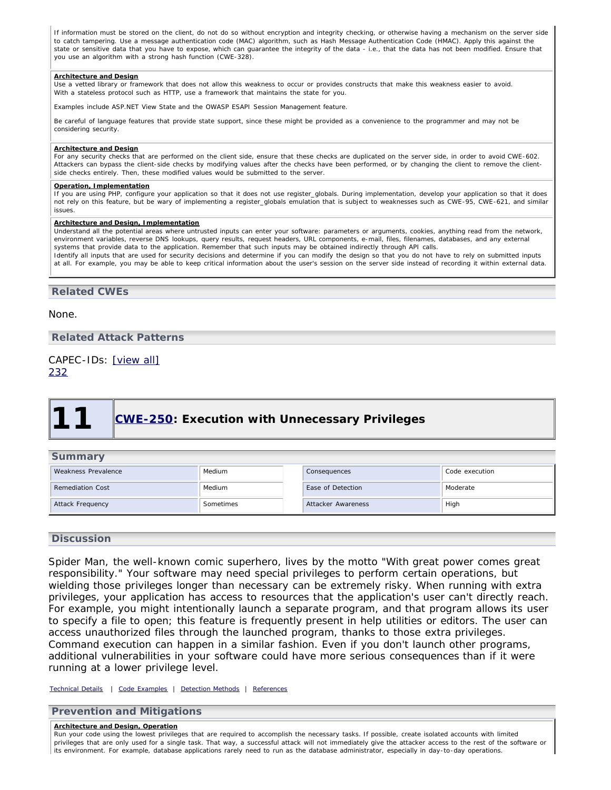If information must be stored on the client, do not do so without encryption and integrity checking, or otherwise having a mechanism on the server side to catch tampering. Use a message authentication code (MAC) algorithm, such as Hash Message Authentication Code (HMAC). Apply this against the state or sensitive data that you have to expose, which can guarantee the integrity of the data - i.e., that the data has not been modified. Ensure that you use an algorithm with a strong hash function (CWE-328).

#### **Architecture and Design**

Use a vetted library or framework that does not allow this weakness to occur or provides constructs that make this weakness easier to avoid. With a stateless protocol such as HTTP, use a framework that maintains the state for you.

Examples include ASP.NET View State and the OWASP ESAPI Session Management feature.

Be careful of language features that provide state support, since these might be provided as a convenience to the programmer and may not be considering security.

#### **Architecture and Design**

For any security checks that are performed on the client side, ensure that these checks are duplicated on the server side, in order to avoid CWE-602. Attackers can bypass the client-side checks by modifying values after the checks have been performed, or by changing the client to remove the clientside checks entirely. Then, these modified values would be submitted to the server.

#### **Operation, Implementation**

If you are using PHP, configure your application so that it does not use register\_globals. During implementation, develop your application so that it does not rely on this feature, but be wary of implementing a register\_globals emulation that is subject to weaknesses such as CWE-95, CWE-621, and similar issues

#### **Architecture and Design, Implementation**

Understand all the potential areas where untrusted inputs can enter your software: parameters or arguments, cookies, anything read from the network, environment variables, reverse DNS lookups, query results, request headers, URL components, e-mail, files, filenames, databases, and any external systems that provide data to the application. Remember that such inputs may be obtained indirectly through API calls. Identify all inputs that are used for security decisions and determine if you can modify the design so that you do not have to rely on submitted inputs

at all. For example, you may be able to keep critical information about the user's session on the server side instead of recording it within external data.

### **Related CWEs**

None.

**Related Attack Patterns**

<span id="page-19-0"></span>CAPEC-IDs: [\[view all\]](http://cwe.mitre.org/data/definitions/807.html#Related_Attack_Patterns) [232](http://capec.mitre.org/data/definitions/232.html)

## **11 [CWE-250:](http://cwe.mitre.org/data/definitions/250.html) Execution with Unnecessary Privileges**

| <b>Summary</b>          |           |                    |                |  |  |
|-------------------------|-----------|--------------------|----------------|--|--|
| Weakness Prevalence     | Medium    | Consequences       | Code execution |  |  |
| <b>Remediation Cost</b> | Medium    | Ease of Detection  | Moderate       |  |  |
| Attack Frequency        | Sometimes | Attacker Awareness | High           |  |  |

### **Discussion**

Spider Man, the well-known comic superhero, lives by the motto "With great power comes great responsibility." Your software may need special privileges to perform certain operations, but wielding those privileges longer than necessary can be extremely risky. When running with extra privileges, your application has access to resources that the application's user can't directly reach. For example, you might intentionally launch a separate program, and that program allows its user to specify a file to open; this feature is frequently present in help utilities or editors. The user can access unauthorized files through the launched program, thanks to those extra privileges. Command execution can happen in a similar fashion. Even if you don't launch other programs, additional vulnerabilities in your software could have more serious consequences than if it were running at a lower privilege level.

*[Technical Details](http://cwe.mitre.org/data/definitions/250.html) | [Code Examples](http://cwe.mitre.org/data/definitions/250.html#Demonstrative%20Examples) | [Detection Methods](http://cwe.mitre.org/data/definitions/250.html#Detection%20Methods) | [References](http://cwe.mitre.org/data/definitions/250.html#References)*

### **Prevention and Mitigations**

#### **Architecture and Design, Operation**

Run your code using the lowest privileges that are required to accomplish the necessary tasks. If possible, create isolated accounts with limited privileges that are only used for a single task. That way, a successful attack will not immediately give the attacker access to the rest of the software or its environment. For example, database applications rarely need to run as the database administrator, especially in day-to-day operations.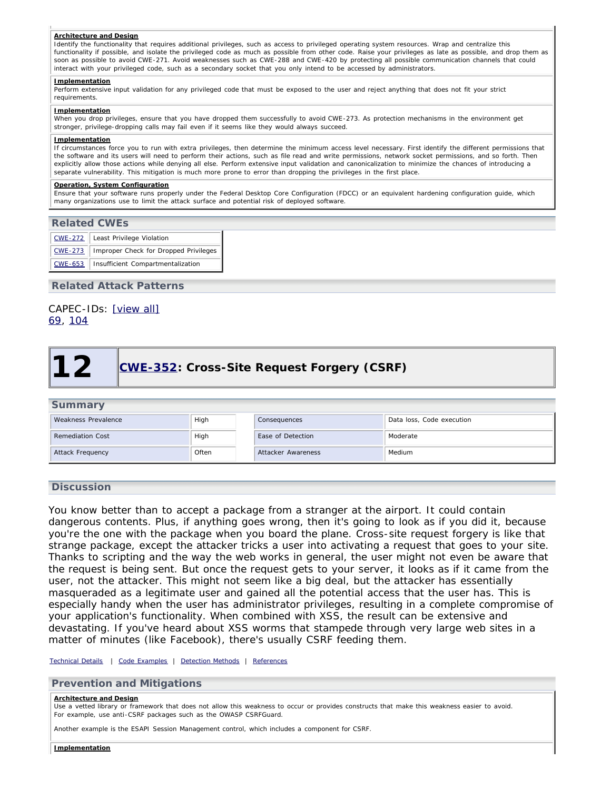#### **Architecture and Design**

Identify the functionality that requires additional privileges, such as access to privileged operating system resources. Wrap and centralize this functionality if possible, and isolate the privileged code as much as possible from other code. Raise your privileges as late as possible, and drop them as soon as possible to avoid CWE-271. Avoid weaknesses such as CWE-288 and CWE-420 by protecting all possible communication channels that could interact with your privileged code, such as a secondary socket that you only intend to be accessed by administrators.

#### **Implementation**

Perform extensive input validation for any privileged code that must be exposed to the user and reject anything that does not fit your strict requirements.

#### **Implementation**

When you drop privileges, ensure that you have dropped them successfully to avoid CWE-273. As protection mechanisms in the environment get stronger, privilege-dropping calls may fail even if it seems like they would always succeed.

#### **Implementation**

If circumstances force you to run with extra privileges, then determine the minimum access level necessary. First identify the different permissions that the software and its users will need to perform their actions, such as file read and write permissions, network socket permissions, and so forth. Then explicitly allow those actions while denying all else. Perform extensive input validation and canonicalization to minimize the chances of introducing a separate vulnerability. This mitigation is much more prone to error than dropping the privileges in the first place.

#### **Operation, System Configuration**

Ensure that your software runs properly under the Federal Desktop Core Configuration (FDCC) or an equivalent hardening configuration guide, which many organizations use to limit the attack surface and potential risk of deployed software.

| <b>Related CWES</b> |                                              |  |  |  |  |
|---------------------|----------------------------------------------|--|--|--|--|
|                     | CWE-272   Least Privilege Violation          |  |  |  |  |
| CWE-273             | Improper Check for Dropped Privileges<br>. I |  |  |  |  |
| CWE-653             | Insufficient Compartmentalization            |  |  |  |  |

### **Related Attack Patterns**

### <span id="page-20-0"></span>CAPEC-IDs: [\[view all\]](http://cwe.mitre.org/data/definitions/250.html#Related_Attack_Patterns) [69,](http://capec.mitre.org/data/definitions/69.html) [104](http://capec.mitre.org/data/definitions/104.html)

## **12** [CWE-352:](http://cwe.mitre.org/data/definitions/352.html) Cross-Site Request Forgery (CSRF)

|  | <b>Summary</b> |  |  |
|--|----------------|--|--|
|  |                |  |  |

| Weakness Prevalence     | High  | Consequences       | Data loss, Code execution |
|-------------------------|-------|--------------------|---------------------------|
| <b>Remediation Cost</b> | High  | Ease of Detection  | Moderate                  |
| Attack Frequency        | Often | Attacker Awareness | Medium                    |

### **Discussion**

You know better than to accept a package from a stranger at the airport. It could contain dangerous contents. Plus, if anything goes wrong, then it's going to look as if you did it, because you're the one with the package when you board the plane. Cross-site request forgery is like that strange package, except the attacker tricks a user into activating a request that goes to your site. Thanks to scripting and the way the web works in general, the user might not even be aware that the request is being sent. But once the request gets to your server, it looks as if it came from the user, not the attacker. This might not seem like a big deal, but the attacker has essentially masqueraded as a legitimate user and gained all the potential access that the user has. This is especially handy when the user has administrator privileges, resulting in a complete compromise of your application's functionality. When combined with XSS, the result can be extensive and devastating. If you've heard about XSS worms that stampede through very large web sites in a matter of minutes (like Facebook), there's usually CSRF feeding them.

#### *[Technical Details](http://cwe.mitre.org/data/definitions/352.html) | [Code Examples](http://cwe.mitre.org/data/definitions/352.html#Demonstrative%20Examples) | [Detection Methods](http://cwe.mitre.org/data/definitions/352.html#Detection%20Methods) | [References](http://cwe.mitre.org/data/definitions/352.html#References)*

### **Prevention and Mitigations**

#### **Architecture and Design**

Use a vetted library or framework that does not allow this weakness to occur or provides constructs that make this weakness easier to avoid. For example, use anti-CSRF packages such as the OWASP CSRFGuard.

Another example is the ESAPI Session Management control, which includes a component for CSRF.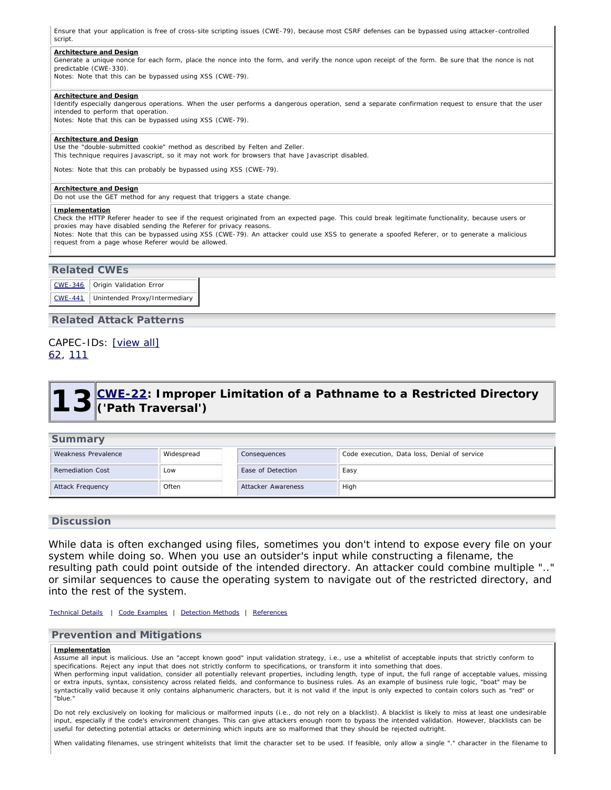Ensure that your application is free of cross-site scripting issues (CWE-79), because most CSRF defenses can be bypassed using attacker-controlled script.

#### **Architecture and Design**

Generate a unique nonce for each form, place the nonce into the form, and verify the nonce upon receipt of the form. Be sure that the nonce is not predictable (CWE-330).

Notes: Note that this can be bypassed using XSS (CWE-79).

#### **Architecture and Design**

Identify especially dangerous operations. When the user performs a dangerous operation, send a separate confirmation request to ensure that the user intended to perform that operation.

Notes: Note that this can be bypassed using XSS (CWE-79).

#### **Architecture and Design**

Use the "double-submitted cookie" method as described by Felten and Zeller. This technique requires Javascript, so it may not work for browsers that have Javascript disabled.

Notes: Note that this can probably be bypassed using XSS (CWE-79).

#### **Architecture and Design**

Do not use the GET method for any request that triggers a state change.

#### **Implementation**

Check the HTTP Referer header to see if the request originated from an expected page. This could break legitimate functionality, because users or proxies may have disabled sending the Referer for privacy reasons.

Notes: Note that this can be bypassed using XSS (CWE-79). An attacker could use XSS to generate a spoofed Referer, or to generate a malicious request from a page whose Referer would be allowed.

### **Related CWEs**

|                | CWE-346   Origin Validation Error |
|----------------|-----------------------------------|
| <b>CWE-441</b> | Unintended Proxy/Intermediary     |

**Related Attack Patterns**

### <span id="page-21-0"></span>CAPEC-IDs: [\[view all\]](http://cwe.mitre.org/data/definitions/352.html#Related_Attack_Patterns) [62,](http://capec.mitre.org/data/definitions/62.html) [111](http://capec.mitre.org/data/definitions/111.html)

## **13 [CWE-22](http://cwe.mitre.org/data/definitions/22.html): Improper Limitation of a Pathname to a Restricted Directory ('Path Traversal')**

| <b>Summary</b>          |            |                    |                                              |  |  |  |
|-------------------------|------------|--------------------|----------------------------------------------|--|--|--|
| Weakness Prevalence     | Widespread | Consequences       | Code execution, Data loss, Denial of service |  |  |  |
| <b>Remediation Cost</b> | Low        | Ease of Detection  | Easy                                         |  |  |  |
| Attack Frequency        | Often      | Attacker Awareness | High                                         |  |  |  |

### **Discussion**

While data is often exchanged using files, sometimes you don't intend to expose every file on your system while doing so. When you use an outsider's input while constructing a filename, the resulting path could point outside of the intended directory. An attacker could combine multiple ".." or similar sequences to cause the operating system to navigate out of the restricted directory, and into the rest of the system.

*[Technical Details](http://cwe.mitre.org/data/definitions/22.html) | [Code Examples](http://cwe.mitre.org/data/definitions/22.html#Demonstrative%20Examples) | [Detection Methods](http://cwe.mitre.org/data/definitions/22.html#Detection%20Methods) | [References](http://cwe.mitre.org/data/definitions/22.html#References)*

### **Prevention and Mitigations**

#### **Implementation**

Assume all input is malicious. Use an "accept known good" input validation strategy, i.e., use a whitelist of acceptable inputs that strictly conform to specifications. Reject any input that does not strictly conform to specifications, or transform it into something that does. When performing input validation, consider all potentially relevant properties, including length, type of input, the full range of acceptable values, missing or extra inputs, syntax, consistency across related fields, and conformance to business rules. As an example of business rule logic, "boat" may be syntactically valid because it only contains alphanumeric characters, but it is not valid if the input is only expected to contain colors such as "red" or "blue."

Do not rely exclusively on looking for malicious or malformed inputs (i.e., do not rely on a blacklist). A blacklist is likely to miss at least one undesirable input, especially if the code's environment changes. This can give attackers enough room to bypass the intended validation. However, blacklists can be useful for detecting potential attacks or determining which inputs are so malformed that they should be rejected outright.

When validating filenames, use stringent whitelists that limit the character set to be used. If feasible, only allow a single "." character in the filename to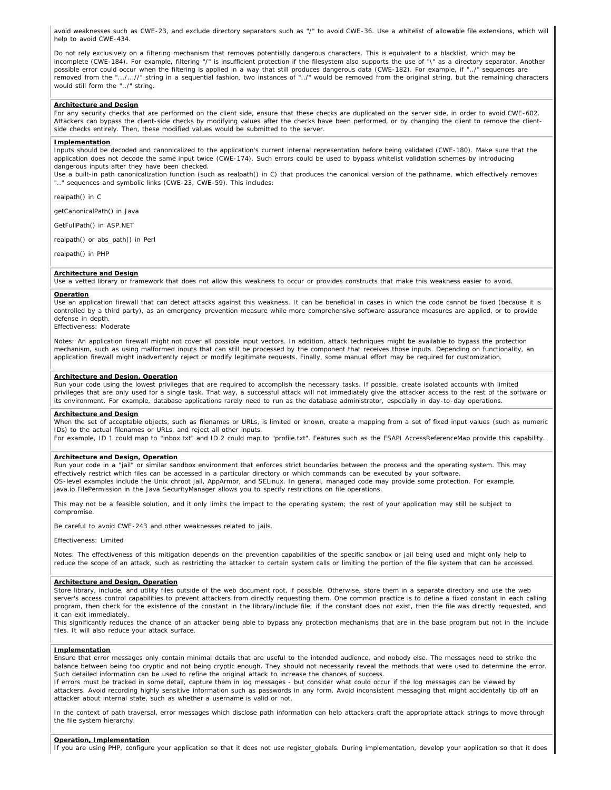avoid weaknesses such as CWE-23, and exclude directory separators such as "/" to avoid CWE-36. Use a whitelist of allowable file extensions, which will help to avoid CWE-434.

Do not rely exclusively on a filtering mechanism that removes potentially dangerous characters. This is equivalent to a blacklist, which may be incomplete (CWE-184). For example, filtering "/" is insufficient protection if the filesystem also supports the use of "\" as a directory separator. Another possible error could occur when the filtering is applied in a way that still produces dangerous data (CWE-182). For example, if "../" sequences are removed from the ".../...//" string in a sequential fashion, two instances of "../" would be removed from the original string, but the remaining characters would still form the "../" string.

#### **Architecture and Design**

For any security checks that are performed on the client side, ensure that these checks are duplicated on the server side, in order to avoid CWE-602. Attackers can bypass the client-side checks by modifying values after the checks have been performed, or by changing the client to remove the clientside checks entirely. Then, these modified values would be submitted to the server.

#### **Implementation**

Inputs should be decoded and canonicalized to the application's current internal representation before being validated (CWE-180). Make sure that the application does not decode the same input twice (CWE-174). Such errors could be used to bypass whitelist validation schemes by introducing dangerous inputs after they have been checked.

Use a built-in path canonicalization function (such as realpath() in C) that produces the canonical version of the pathname, which effectively removes .." sequences and symbolic links (CWE-23, CWE-59). This includes:

realpath() in C

getCanonicalPath() in Java

GetFullPath() in ASP.NET

realpath() or abs\_path() in Perl

realpath() in PHP

#### **Architecture and Design**

Use a vetted library or framework that does not allow this weakness to occur or provides constructs that make this weakness easier to avoid.

#### **Operation**

Use an application firewall that can detect attacks against this weakness. It can be beneficial in cases in which the code cannot be fixed (because it is controlled by a third party), as an emergency prevention measure while more comprehensive software assurance measures are applied, or to provide defense in depth.

Effectiveness: Moderate

Notes: An application firewall might not cover all possible input vectors. In addition, attack techniques might be available to bypass the protection mechanism, such as using malformed inputs that can still be processed by the component that receives those inputs. Depending on functionality, an application firewall might inadvertently reject or modify legitimate requests. Finally, some manual effort may be required for customization.

#### **Architecture and Design, Operation**

Run your code using the lowest privileges that are required to accomplish the necessary tasks. If possible, create isolated accounts with limited privileges that are only used for a single task. That way, a successful attack will not immediately give the attacker access to the rest of the software or its environment. For example, database applications rarely need to run as the database administrator, especially in day-to-day operations.

#### **Architecture and Design**

When the set of acceptable objects, such as filenames or URLs, is limited or known, create a mapping from a set of fixed input values (such as numeric IDs) to the actual filenames or URLs, and reject all other inputs.

For example, ID 1 could map to "inbox.txt" and ID 2 could map to "profile.txt". Features such as the ESAPI AccessReferenceMap provide this capability.

#### **Architecture and Design, Operation**

Run your code in a "jail" or similar sandbox environment that enforces strict boundaries between the process and the operating system. This may effectively restrict which files can be accessed in a particular directory or which commands can be executed by your software. OS-level examples include the Unix chroot jail, AppArmor, and SELinux. In general, managed code may provide some protection. For example, java.io.FilePermission in the Java SecurityManager allows you to specify restrictions on file operations.

This may not be a feasible solution, and it only limits the impact to the operating system; the rest of your application may still be subject to compromise.

Be careful to avoid CWE-243 and other weaknesses related to jails.

#### Effectiveness: Limited

Notes: The effectiveness of this mitigation depends on the prevention capabilities of the specific sandbox or jail being used and might only help to reduce the scope of an attack, such as restricting the attacker to certain system calls or limiting the portion of the file system that can be accessed.

#### **Architecture and Design, Operation**

Store library, include, and utility files outside of the web document root, if possible. Otherwise, store them in a separate directory and use the web server's access control capabilities to prevent attackers from directly requesting them. One common practice is to define a fixed constant in each calling program, then check for the existence of the constant in the library/include file; if the constant does not exist, then the file was directly requested, and it can exit immediately.

This significantly reduces the chance of an attacker being able to bypass any protection mechanisms that are in the base program but not in the include files. It will also reduce your attack surface.

#### **Implementation**

Ensure that error messages only contain minimal details that are useful to the intended audience, and nobody else. The messages need to strike the balance between being too cryptic and not being cryptic enough. They should not necessarily reveal the methods that were used to determine the error. Such detailed information can be used to refine the original attack to increase the chances of success.

If errors must be tracked in some detail, capture them in log messages - but consider what could occur if the log messages can be viewed by attackers. Avoid recording highly sensitive information such as passwords in any form. Avoid inconsistent messaging that might accidentally tip off an attacker about internal state, such as whether a username is valid or not.

In the context of path traversal, error messages which disclose path information can help attackers craft the appropriate attack strings to move through the file system hierarchy.

#### **Operation, Implementation**

If you are using PHP, configure your application so that it does not use register\_globals. During implementation, develop your application so that it does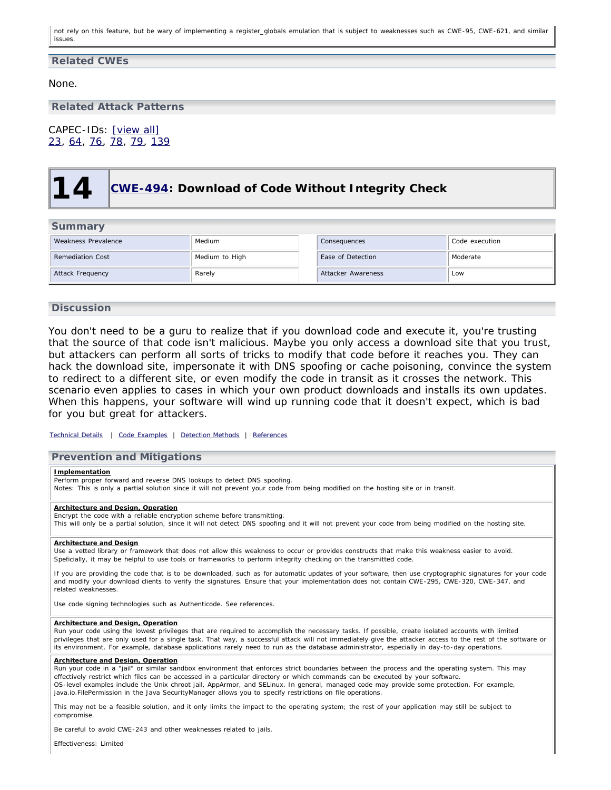not rely on this feature, but be wary of implementing a register\_globals emulation that is subject to weaknesses such as CWE-95, CWE-621, and similar issues.

### **Related CWEs**

None.

### **Related Attack Patterns**

<span id="page-23-0"></span>CAPEC-IDs: [\[view all\]](http://cwe.mitre.org/data/definitions/22.html#Related_Attack_Patterns) [23,](http://capec.mitre.org/data/definitions/23.html) [64](http://capec.mitre.org/data/definitions/64.html), [76,](http://capec.mitre.org/data/definitions/76.html) [78](http://capec.mitre.org/data/definitions/78.html), [79,](http://capec.mitre.org/data/definitions/79.html) [139](http://capec.mitre.org/data/definitions/139.html)

## **14 [CWE-494:](http://cwe.mitre.org/data/definitions/494.html) Download of Code Without Integrity Check**

| Summary                 |                |                    |                |  |
|-------------------------|----------------|--------------------|----------------|--|
| Weakness Prevalence     | Medium         | Consequences       | Code execution |  |
| <b>Remediation Cost</b> | Medium to High | Ease of Detection  | Moderate       |  |
| Attack Frequency        | Rarely         | Attacker Awareness | Low            |  |

### **Discussion**

You don't need to be a guru to realize that if you download code and execute it, you're trusting that the source of that code isn't malicious. Maybe you only access a download site that you trust, but attackers can perform all sorts of tricks to modify that code before it reaches you. They can hack the download site, impersonate it with DNS spoofing or cache poisoning, convince the system to redirect to a different site, or even modify the code in transit as it crosses the network. This scenario even applies to cases in which your own product downloads and installs its own updates. When this happens, your software will wind up running code that it doesn't expect, which is bad for you but great for attackers.

*[Technical Details](http://cwe.mitre.org/data/definitions/494.html) | [Code Examples](http://cwe.mitre.org/data/definitions/494.html#Demonstrative%20Examples) | [Detection Methods](http://cwe.mitre.org/data/definitions/494.html#Detection%20Methods) | [References](http://cwe.mitre.org/data/definitions/494.html#References)*

#### **Prevention and Mitigations**

#### **Implementation**

Perform proper forward and reverse DNS lookups to detect DNS spoofing.

Notes: This is only a partial solution since it will not prevent your code from being modified on the hosting site or in transit.

#### **Architecture and Design, Operation**

Encrypt the code with a reliable encryption scheme before transmitting. This will only be a partial solution, since it will not detect DNS spoofing and it will not prevent your code from being modified on the hosting site.

#### **Architecture and Design**

Use a vetted library or framework that does not allow this weakness to occur or provides constructs that make this weakness easier to avoid. Speficially, it may be helpful to use tools or frameworks to perform integrity checking on the transmitted code.

If you are providing the code that is to be downloaded, such as for automatic updates of your software, then use cryptographic signatures for your code and modify your download clients to verify the signatures. Ensure that your implementation does not contain CWE-295, CWE-320, CWE-347, and related weaknesses.

Use code signing technologies such as Authenticode. See references.

#### **Architecture and Design, Operation**

Run your code using the lowest privileges that are required to accomplish the necessary tasks. If possible, create isolated accounts with limited privileges that are only used for a single task. That way, a successful attack will not immediately give the attacker access to the rest of the software or its environment. For example, database applications rarely need to run as the database administrator, especially in day-to-day operations.

#### **Architecture and Design, Operation**

Run your code in a "jail" or similar sandbox environment that enforces strict boundaries between the process and the operating system. This may effectively restrict which files can be accessed in a particular directory or which commands can be executed by your software. OS-level examples include the Unix chroot jail, AppArmor, and SELinux. In general, managed code may provide some protection. For example, java.io.FilePermission in the Java SecurityManager allows you to specify restrictions on file operations.

This may not be a feasible solution, and it only limits the impact to the operating system; the rest of your application may still be subject to compromise.

Be careful to avoid CWE-243 and other weaknesses related to jails.

Effectiveness: Limited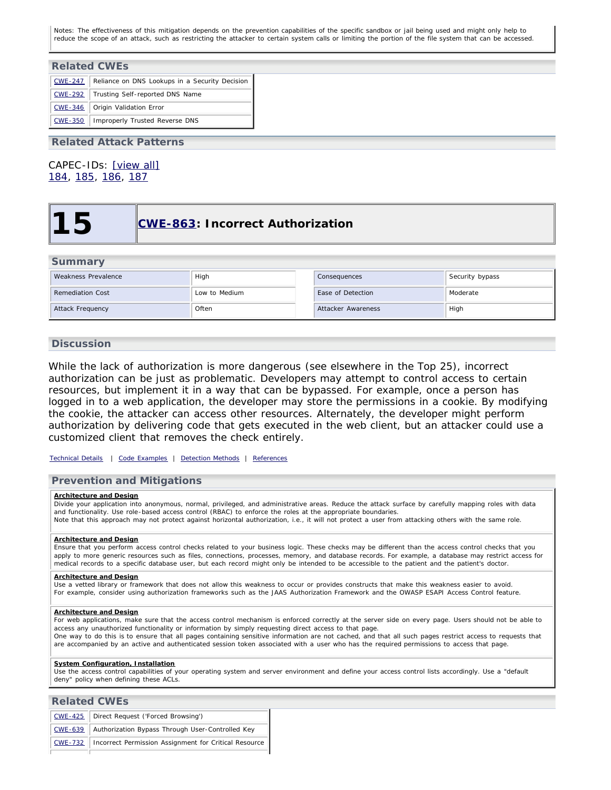Notes: The effectiveness of this mitigation depends on the prevention capabilities of the specific sandbox or jail being used and might only help to reduce the scope of an attack, such as restricting the attacker to certain system calls or limiting the portion of the file system that can be accessed.

| <b>Related CWEs</b> |                                                |  |  |  |
|---------------------|------------------------------------------------|--|--|--|
| $CWE - 247$         | Reliance on DNS Lookups in a Security Decision |  |  |  |
| <b>CWE-292</b>      | Trusting Self-reported DNS Name                |  |  |  |
| <b>CWE-346</b>      | Origin Validation Error                        |  |  |  |
| <b>CWE-350</b>      | Improperly Trusted Reverse DNS                 |  |  |  |

### **Related Attack Patterns**

<span id="page-24-0"></span>CAPEC-IDs: [\[view all\]](http://cwe.mitre.org/data/definitions/494.html#Related_Attack_Patterns) [184,](http://capec.mitre.org/data/definitions/184.html) [185](http://capec.mitre.org/data/definitions/185.html), [186](http://capec.mitre.org/data/definitions/186.html), [187](http://capec.mitre.org/data/definitions/187.html)

## **15 [CWE-863:](http://cwe.mitre.org/data/definitions/863.html) Incorrect Authorization**

### **Summary**

| Weakness Prevalence     | High          | Consequences       | Security bypass |
|-------------------------|---------------|--------------------|-----------------|
| <b>Remediation Cost</b> | Low to Medium | Ease of Detection  | Moderate        |
| Attack Frequency        | Often         | Attacker Awareness | High            |

### **Discussion**

While the lack of authorization is more dangerous (see elsewhere in the Top 25), incorrect authorization can be just as problematic. Developers may attempt to control access to certain resources, but implement it in a way that can be bypassed. For example, once a person has logged in to a web application, the developer may store the permissions in a cookie. By modifying the cookie, the attacker can access other resources. Alternately, the developer might perform authorization by delivering code that gets executed in the web client, but an attacker could use a customized client that removes the check entirely.

*[Technical Details](http://cwe.mitre.org/data/definitions/863.html) | [Code Examples](http://cwe.mitre.org/data/definitions/863.html#Demonstrative%20Examples) | [Detection Methods](http://cwe.mitre.org/data/definitions/863.html#Detection%20Methods) | [References](http://cwe.mitre.org/data/definitions/863.html#References)*

### **Prevention and Mitigations**

#### **Architecture and Design**

Divide your application into anonymous, normal, privileged, and administrative areas. Reduce the attack surface by carefully mapping roles with data and functionality. Use role-based access control (RBAC) to enforce the roles at the appropriate boundaries. Note that this approach may not protect against horizontal authorization, i.e., it will not protect a user from attacking others with the same role.

#### **Architecture and Design**

Ensure that you perform access control checks related to your business logic. These checks may be different than the access control checks that you apply to more generic resources such as files, connections, processes, memory, and database records. For example, a database may restrict access for medical records to a specific database user, but each record might only be intended to be accessible to the patient and the patient's doctor.

#### **Architecture and Design**

Use a vetted library or framework that does not allow this weakness to occur or provides constructs that make this weakness easier to avoid. For example, consider using authorization frameworks such as the JAAS Authorization Framework and the OWASP ESAPI Access Control feature.

#### **Architecture and Design**

For web applications, make sure that the access control mechanism is enforced correctly at the server side on every page. Users should not be able to access any unauthorized functionality or information by simply requesting direct access to that page.

One way to do this is to ensure that all pages containing sensitive information are not cached, and that all such pages restrict access to requests that are accompanied by an active and authenticated session token associated with a user who has the required permissions to access that page.

#### **System Configuration, Installation**

Use the access control capabilities of your operating system and server environment and define your access control lists accordingly. Use a "default deny" policy when defining these ACLs.

### **Related CWEs**

| CWE-425   Direct Request ('Forced Browsing')                    |
|-----------------------------------------------------------------|
| CWE-639   Authorization Bypass Through User-Controlled Key      |
| CWE-732   Incorrect Permission Assignment for Critical Resource |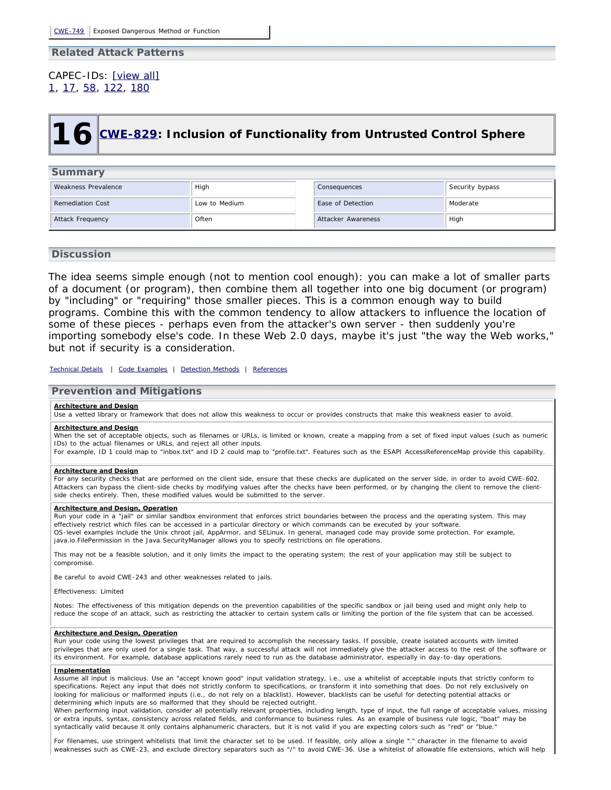### **Related Attack Patterns**

### <span id="page-25-0"></span>CAPEC-IDs: [\[view all\]](http://cwe.mitre.org/data/definitions/863.html#Related_Attack_Patterns) [1,](http://capec.mitre.org/data/definitions/1.html) [17](http://capec.mitre.org/data/definitions/17.html), [58,](http://capec.mitre.org/data/definitions/58.html) [122](http://capec.mitre.org/data/definitions/122.html), [180](http://capec.mitre.org/data/definitions/180.html)

# **16 [CWE-829:](http://cwe.mitre.org/data/definitions/829.html) Inclusion of Functionality from Untrusted Control Sphere**

### **Summary**

| Weakness Prevalence     | High          | Consequences       | Security bypass |
|-------------------------|---------------|--------------------|-----------------|
| <b>Remediation Cost</b> | Low to Medium | Ease of Detection  | Moderate        |
| Attack Frequency        | Often         | Attacker Awareness | High            |

### **Discussion**

The idea seems simple enough (not to mention cool enough): you can make a lot of smaller parts of a document (or program), then combine them all together into one big document (or program) by "including" or "requiring" those smaller pieces. This is a common enough way to build programs. Combine this with the common tendency to allow attackers to influence the location of some of these pieces - perhaps even from the attacker's own server - then suddenly you're importing somebody else's code. In these Web 2.0 days, maybe it's just "the way the Web works," but not if security is a consideration.

*[Technical Details](http://cwe.mitre.org/data/definitions/829.html) | [Code Examples](http://cwe.mitre.org/data/definitions/829.html#Demonstrative%20Examples) | [Detection Methods](http://cwe.mitre.org/data/definitions/829.html#Detection%20Methods) | [References](http://cwe.mitre.org/data/definitions/829.html#References)*

### **Prevention and Mitigations**

#### **Architecture and Design**

Use a vetted library or framework that does not allow this weakness to occur or provides constructs that make this weakness easier to avoid.

#### **Architecture and Design**

When the set of acceptable objects, such as filenames or URLs, is limited or known, create a mapping from a set of fixed input values (such as numeric IDs) to the actual filenames or URLs, and reject all other inputs.

For example, ID 1 could map to "inbox.txt" and ID 2 could map to "profile.txt". Features such as the ESAPI AccessReferenceMap provide this capability.

#### **Architecture and Design**

For any security checks that are performed on the client side, ensure that these checks are duplicated on the server side, in order to avoid CWE-602. Attackers can bypass the client-side checks by modifying values after the checks have been performed, or by changing the client to remove the clientside checks entirely. Then, these modified values would be submitted to the server.

#### **Architecture and Design, Operation**

Run your code in a "jail" or similar sandbox environment that enforces strict boundaries between the process and the operating system. This may effectively restrict which files can be accessed in a particular directory or which commands can be executed by your software. OS-level examples include the Unix chroot jail, AppArmor, and SELinux. In general, managed code may provide some protection. For example, java.io.FilePermission in the Java SecurityManager allows you to specify restrictions on file operations.

This may not be a feasible solution, and it only limits the impact to the operating system; the rest of your application may still be subject to compromise.

Be careful to avoid CWE-243 and other weaknesses related to jails.

Effectiveness: Limited

Notes: The effectiveness of this mitigation depends on the prevention capabilities of the specific sandbox or jail being used and might only help to reduce the scope of an attack, such as restricting the attacker to certain system calls or limiting the portion of the file system that can be accessed.

#### **Architecture and Design, Operation**

Run your code using the lowest privileges that are required to accomplish the necessary tasks. If possible, create isolated accounts with limited privileges that are only used for a single task. That way, a successful attack will not immediately give the attacker access to the rest of the software or its environment. For example, database applications rarely need to run as the database administrator, especially in day-to-day operations.

#### **Implementation**

Assume all input is malicious. Use an "accept known good" input validation strategy, i.e., use a whitelist of acceptable inputs that strictly conform to specifications. Reject any input that does not strictly conform to specifications, or transform it into something that does. Do not rely exclusively on looking for malicious or malformed inputs (i.e., do not rely on a blacklist). However, blacklists can be useful for detecting potential attacks or determining which inputs are so malformed that they should be rejected outright.

When performing input validation, consider all potentially relevant properties, including length, type of input, the full range of acceptable values, missing or extra inputs, syntax, consistency across related fields, and conformance to business rules. As an example of business rule logic, "boat" may be syntactically valid because it only contains alphanumeric characters, but it is not valid if you are expecting colors such as "red" or "blue.

For filenames, use stringent whitelists that limit the character set to be used. If feasible, only allow a single "." character in the filename to avoid weaknesses such as CWE-23, and exclude directory separators such as "/" to avoid CWE-36. Use a whitelist of allowable file extensions, which will help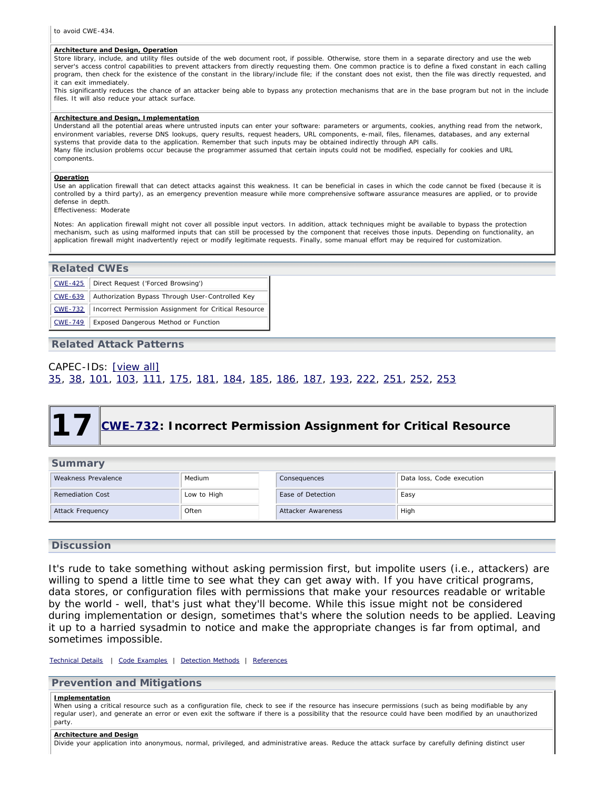#### **Architecture and Design, Operation**

Store library, include, and utility files outside of the web document root, if possible. Otherwise, store them in a separate directory and use the web server's access control capabilities to prevent attackers from directly requesting them. One common practice is to define a fixed constant in each calling program, then check for the existence of the constant in the library/include file; if the constant does not exist, then the file was directly requested, and it can exit immediately.

This significantly reduces the chance of an attacker being able to bypass any protection mechanisms that are in the base program but not in the include files. It will also reduce your attack surface.

#### **Architecture and Design, Implementation**

Understand all the potential areas where untrusted inputs can enter your software: parameters or arguments, cookies, anything read from the network, environment variables, reverse DNS lookups, query results, request headers, URL components, e-mail, files, filenames, databases, and any external systems that provide data to the application. Remember that such inputs may be obtained indirectly through API calls. Many file inclusion problems occur because the programmer assumed that certain inputs could not be modified, especially for cookies and URL components.

#### **Operation**

Use an application firewall that can detect attacks against this weakness. It can be beneficial in cases in which the code cannot be fixed (because it is controlled by a third party), as an emergency prevention measure while more comprehensive software assurance measures are applied, or to provide defense in depth.

```
Effectiveness: Moderate
```
Notes: An application firewall might not cover all possible input vectors. In addition, attack techniques might be available to bypass the protection mechanism, such as using malformed inputs that can still be processed by the component that receives those inputs. Depending on functionality, an application firewall might inadvertently reject or modify legitimate requests. Finally, some manual effort may be required for customization.

### **Related CWEs**

| $CWE - 425$    | Direct Request ('Forced Browsing')                    |  |  |  |
|----------------|-------------------------------------------------------|--|--|--|
| $CWE - 639$    | Authorization Bypass Through User-Controlled Key      |  |  |  |
| <b>CWE-732</b> | Incorrect Permission Assignment for Critical Resource |  |  |  |
| CWE-749        | Exposed Dangerous Method or Function                  |  |  |  |

### **Related Attack Patterns**

### <span id="page-26-0"></span>CAPEC-IDs: [\[view all\]](http://cwe.mitre.org/data/definitions/829.html#Related_Attack_Patterns) [35,](http://capec.mitre.org/data/definitions/35.html) [38](http://capec.mitre.org/data/definitions/38.html), [101](http://capec.mitre.org/data/definitions/101.html), [103,](http://capec.mitre.org/data/definitions/103.html) [111](http://capec.mitre.org/data/definitions/111.html), [175](http://capec.mitre.org/data/definitions/175.html), [181](http://capec.mitre.org/data/definitions/181.html), [184,](http://capec.mitre.org/data/definitions/184.html) [185](http://capec.mitre.org/data/definitions/185.html), [186](http://capec.mitre.org/data/definitions/186.html), [187](http://capec.mitre.org/data/definitions/187.html), [193](http://capec.mitre.org/data/definitions/193.html), [222,](http://capec.mitre.org/data/definitions/222.html) [251](http://capec.mitre.org/data/definitions/251.html), [252](http://capec.mitre.org/data/definitions/252.html), [253](http://capec.mitre.org/data/definitions/253.html)

## **17 [CWE-732:](http://cwe.mitre.org/data/definitions/732.html) Incorrect Permission Assignment for Critical Resource**

| Summary                 |             |                    |                           |  |  |  |
|-------------------------|-------------|--------------------|---------------------------|--|--|--|
| Weakness Prevalence     | Medium      | Consequences       | Data loss, Code execution |  |  |  |
| <b>Remediation Cost</b> | Low to High | Ease of Detection  | Easy                      |  |  |  |
| Attack Frequency        | Often       | Attacker Awareness | High                      |  |  |  |

### **Discussion**

It's rude to take something without asking permission first, but impolite users (i.e., attackers) are willing to spend a little time to see what they can get away with. If you have critical programs, data stores, or configuration files with permissions that make your resources readable or writable by the world - well, that's just what they'll become. While this issue might not be considered during implementation or design, sometimes that's where the solution needs to be applied. Leaving it up to a harried sysadmin to notice and make the appropriate changes is far from optimal, and sometimes impossible.

### *[Technical Details](http://cwe.mitre.org/data/definitions/732.html) | [Code Examples](http://cwe.mitre.org/data/definitions/732.html#Demonstrative%20Examples) | [Detection Methods](http://cwe.mitre.org/data/definitions/732.html#Detection%20Methods) | [References](http://cwe.mitre.org/data/definitions/732.html#References)*

### **Prevention and Mitigations**

#### **Implementation**

When using a critical resource such as a configuration file, check to see if the resource has insecure permissions (such as being modifiable by any regular user), and generate an error or even exit the software if there is a possibility that the resource could have been modified by an unauthorized party.

#### **Architecture and Design**

Divide your application into anonymous, normal, privileged, and administrative areas. Reduce the attack surface by carefully defining distinct user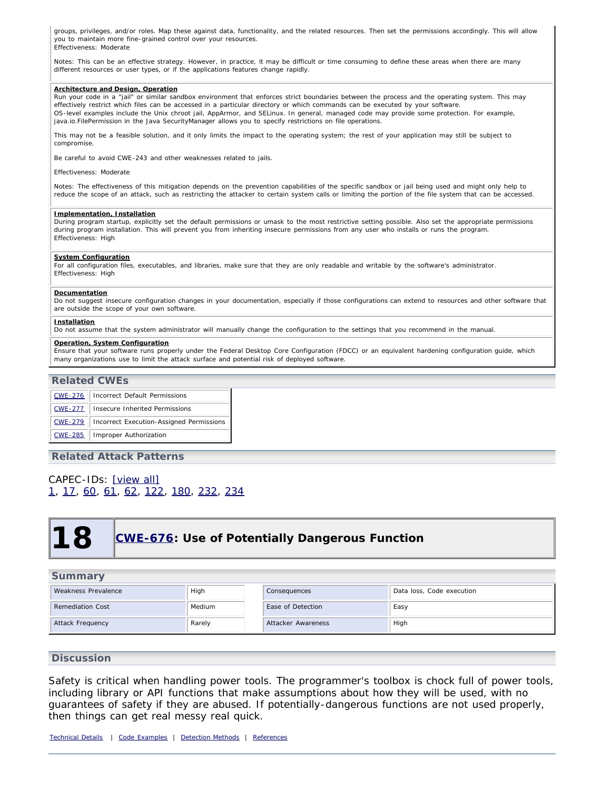groups, privileges, and/or roles. Map these against data, functionality, and the related resources. Then set the permissions accordingly. This will allow you to maintain more fine-grained control over your resources. Effectiveness: Moderate

Notes: This can be an effective strategy. However, in practice, it may be difficult or time consuming to define these areas when there are many different resources or user types, or if the applications features change rapidly.

#### **Architecture and Design, Operation**

Run your code in a "jail" or similar sandbox environment that enforces strict boundaries between the process and the operating system. This may effectively restrict which files can be accessed in a particular directory or which commands can be executed by your software. OS-level examples include the Unix chroot jail, AppArmor, and SELinux. In general, managed code may provide some protection. For example, java.io.FilePermission in the Java SecurityManager allows you to specify restrictions on file operations.

This may not be a feasible solution, and it only limits the impact to the operating system; the rest of your application may still be subject to compromise.

Be careful to avoid CWE-243 and other weaknesses related to jails.

#### Effectiveness: Moderate

Notes: The effectiveness of this mitigation depends on the prevention capabilities of the specific sandbox or jail being used and might only help to reduce the scope of an attack, such as restricting the attacker to certain system calls or limiting the portion of the file system that can be accessed.

#### **Implementation, Installation**

During program startup, explicitly set the default permissions or umask to the most restrictive setting possible. Also set the appropriate permissions during program installation. This will prevent you from inheriting insecure permissions from any user who installs or runs the program. Effectiveness: High

#### **System Configuration**

For all configuration files, executables, and libraries, make sure that they are only readable and writable by the software's administrator. Effectiveness: High

#### **Documentation**

Do not suggest insecure configuration changes in your documentation, especially if those configurations can extend to resources and other software that are outside the scope of your own software.

#### **Installation**

Do not assume that the system administrator will manually change the configuration to the settings that you recommend in the manual.

#### **Operation, System Configuration**

Ensure that your software runs properly under the Federal Desktop Core Configuration (FDCC) or an equivalent hardening configuration guide, which many organizations use to limit the attack surface and potential risk of deployed software.

### **Related CWEs**

| <b>CWE-276</b> | Incorrect Default Permissions            |
|----------------|------------------------------------------|
| <b>CWE-277</b> | <b>Insecure Inherited Permissions</b>    |
| <b>CWE-279</b> | Incorrect Execution-Assigned Permissions |
| <b>CWE-285</b> | Improper Authorization                   |

### **Related Attack Patterns**

### <span id="page-27-0"></span>CAPEC-IDs: [\[view all\]](http://cwe.mitre.org/data/definitions/732.html#Related_Attack_Patterns) [1,](http://capec.mitre.org/data/definitions/1.html) [17](http://capec.mitre.org/data/definitions/17.html), [60,](http://capec.mitre.org/data/definitions/60.html) [61](http://capec.mitre.org/data/definitions/61.html), [62,](http://capec.mitre.org/data/definitions/62.html) [122](http://capec.mitre.org/data/definitions/122.html), [180](http://capec.mitre.org/data/definitions/180.html), [232](http://capec.mitre.org/data/definitions/232.html), [234](http://capec.mitre.org/data/definitions/234.html)

## **18 [CWE-676:](http://cwe.mitre.org/data/definitions/676.html) Use of Potentially Dangerous Function**

| Summary                 |        |                    |                           |  |  |
|-------------------------|--------|--------------------|---------------------------|--|--|
| Weakness Prevalence     | High   | Consequences       | Data loss, Code execution |  |  |
| <b>Remediation Cost</b> | Medium | Ease of Detection  | Easy                      |  |  |
| Attack Frequency        | Rarely | Attacker Awareness | High                      |  |  |

### **Discussion**

Safety is critical when handling power tools. The programmer's toolbox is chock full of power tools, including library or API functions that make assumptions about how they will be used, with no guarantees of safety if they are abused. If potentially-dangerous functions are not used properly, then things can get real messy real quick.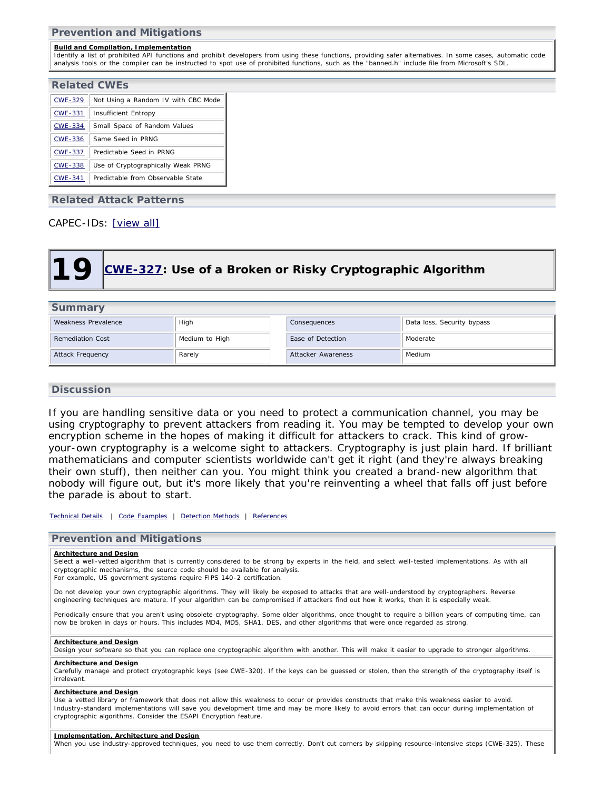**Prevention and Mitigations**

#### **Build and Compilation, Implementation**

Identify a list of prohibited API functions and prohibit developers from using these functions, providing safer alternatives. In some cases, automatic code analysis tools or the compiler can be instructed to spot use of prohibited functions, such as the "banned.h" include file from Microsoft's SDL.

| <b>Related CWEs</b> |                                     |  |  |  |
|---------------------|-------------------------------------|--|--|--|
| <b>CWE-329</b>      | Not Using a Random IV with CBC Mode |  |  |  |
| <b>CWE-331</b>      | Insufficient Entropy                |  |  |  |
| <b>CWE-334</b>      | Small Space of Random Values        |  |  |  |
| <b>CWE-336</b>      | Same Seed in PRNG                   |  |  |  |
| <b>CWE-337</b>      | Predictable Seed in PRNG            |  |  |  |
| <b>CWE-338</b>      | Use of Cryptographically Weak PRNG  |  |  |  |
| <b>CWE-341</b>      | Predictable from Observable State   |  |  |  |

### **Related Attack Patterns**

### CAPEC-IDs: [\[view all\]](http://cwe.mitre.org/data/definitions/676.html#Related_Attack_Patterns)

<span id="page-28-0"></span>

|--|--|

| <b>Summary</b>          |                |                    |                            |  |  |
|-------------------------|----------------|--------------------|----------------------------|--|--|
| Weakness Prevalence     | High           | Consequences       | Data loss, Security bypass |  |  |
| <b>Remediation Cost</b> | Medium to High | Ease of Detection  | Moderate                   |  |  |
| Attack Frequency        | Rarely         | Attacker Awareness | Medium                     |  |  |

### **Discussion**

If you are handling sensitive data or you need to protect a communication channel, you may be using cryptography to prevent attackers from reading it. You may be tempted to develop your own encryption scheme in the hopes of making it difficult for attackers to crack. This kind of growyour-own cryptography is a welcome sight to attackers. Cryptography is just plain hard. If brilliant mathematicians and computer scientists worldwide can't get it right (and they're always breaking their own stuff), then neither can you. You might think you created a brand-new algorithm that nobody will figure out, but it's more likely that you're reinventing a wheel that falls off just before the parade is about to start.

*[Technical Details](http://cwe.mitre.org/data/definitions/327.html) | [Code Examples](http://cwe.mitre.org/data/definitions/327.html#Demonstrative%20Examples) | [Detection Methods](http://cwe.mitre.org/data/definitions/327.html#Detection%20Methods) | [References](http://cwe.mitre.org/data/definitions/327.html#References)*

### **Prevention and Mitigations**

#### **Architecture and Design**

Select a well-vetted algorithm that is currently considered to be strong by experts in the field, and select well-tested implementations. As with all cryptographic mechanisms, the source code should be available for analysis. For example, US government systems require FIPS 140-2 certification.

Do not develop your own cryptographic algorithms. They will likely be exposed to attacks that are well-understood by cryptographers. Reverse engineering techniques are mature. If your algorithm can be compromised if attackers find out how it works, then it is especially weak.

Periodically ensure that you aren't using obsolete cryptography. Some older algorithms, once thought to require a billion years of computing time, can now be broken in days or hours. This includes MD4, MD5, SHA1, DES, and other algorithms that were once regarded as strong.

#### **Architecture and Design**

Design your software so that you can replace one cryptographic algorithm with another. This will make it easier to upgrade to stronger algorithms

### **Architecture and Design**

Carefully manage and protect cryptographic keys (see CWE-320). If the keys can be guessed or stolen, then the strength of the cryptography itself is irrelevant.

#### **Architecture and Design**

Use a vetted library or framework that does not allow this weakness to occur or provides constructs that make this weakness easier to avoid. Industry-standard implementations will save you development time and may be more likely to avoid errors that can occur during implementation of cryptographic algorithms. Consider the ESAPI Encryption feature.

#### **Implementation, Architecture and Design**

When you use industry-approved techniques, you need to use them correctly. Don't cut corners by skipping resource-intensive steps (CWE-325). These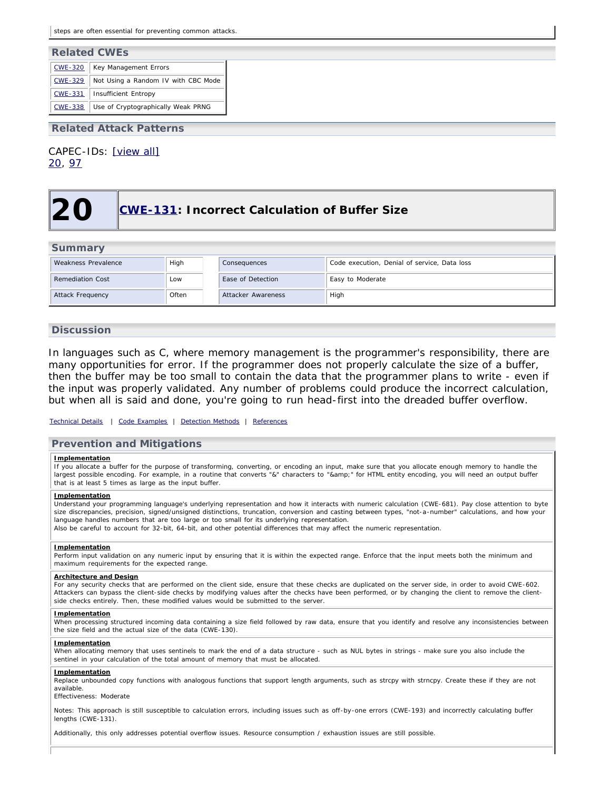| <b>Related CWEs</b> |                                     |  |  |  |
|---------------------|-------------------------------------|--|--|--|
| CWE-320             | Key Management Errors               |  |  |  |
| CWE-329             | Not Using a Random IV with CBC Mode |  |  |  |
| $CWE - 331$         | <b>Insufficient Entropy</b>         |  |  |  |
| <b>CWE-338</b>      | Use of Cryptographically Weak PRNG  |  |  |  |

**Related Attack Patterns**

<span id="page-29-0"></span>CAPEC-IDs: [\[view all\]](http://cwe.mitre.org/data/definitions/327.html#Related_Attack_Patterns) [20,](http://capec.mitre.org/data/definitions/20.html) [97](http://capec.mitre.org/data/definitions/97.html)

### **20 [CWE-131:](http://cwe.mitre.org/data/definitions/131.html) Incorrect Calculation of Buffer Size**

| <b>Summary</b>          |       |                          |                                              |  |  |
|-------------------------|-------|--------------------------|----------------------------------------------|--|--|
| Weakness Prevalence     | High  | Consequences             | Code execution, Denial of service, Data loss |  |  |
| <b>Remediation Cost</b> | Low   | <b>Ease of Detection</b> | Easy to Moderate                             |  |  |
| <b>Attack Frequency</b> | Often | Attacker Awareness       | High                                         |  |  |

### **Discussion**

In languages such as C, where memory management is the programmer's responsibility, there are many opportunities for error. If the programmer does not properly calculate the size of a buffer, then the buffer may be too small to contain the data that the programmer plans to write - even if the input was properly validated. Any number of problems could produce the incorrect calculation, but when all is said and done, you're going to run head-first into the dreaded buffer overflow.

#### *[Technical Details](http://cwe.mitre.org/data/definitions/131.html) | [Code Examples](http://cwe.mitre.org/data/definitions/131.html#Demonstrative%20Examples) | [Detection Methods](http://cwe.mitre.org/data/definitions/131.html#Detection%20Methods) | [References](http://cwe.mitre.org/data/definitions/131.html#References)*

### **Prevention and Mitigations**

#### **Implementation**

If you allocate a buffer for the purpose of transforming, converting, or encoding an input, make sure that you allocate enough memory to handle the largest possible encoding. For example, in a routine that converts "&" characters to "&" for HTML entity encoding, you will need an output buffer that is at least 5 times as large as the input buffer.

#### **Implementation**

Understand your programming language's underlying representation and how it interacts with numeric calculation (CWE-681). Pay close attention to byte size discrepancies, precision, signed/unsigned distinctions, truncation, conversion and casting between types, "not-a-number" calculations, and how your language handles numbers that are too large or too small for its underlying representation. Also be careful to account for 32-bit, 64-bit, and other potential differences that may affect the numeric representation.

#### **Implementation**

Perform input validation on any numeric input by ensuring that it is within the expected range. Enforce that the input meets both the minimum and maximum requirements for the expected range.

#### **Architecture and Design**

For any security checks that are performed on the client side, ensure that these checks are duplicated on the server side, in order to avoid CWE-602. Attackers can bypass the client-side checks by modifying values after the checks have been performed, or by changing the client to remove the clientside checks entirely. Then, these modified values would be submitted to the server.

#### **Implementation**

When processing structured incoming data containing a size field followed by raw data, ensure that you identify and resolve any inconsistencies between the size field and the actual size of the data (CWE-130).

#### **Implementation**

When allocating memory that uses sentinels to mark the end of a data structure - such as NUL bytes in strings - make sure you also include the sentinel in your calculation of the total amount of memory that must be allocated.

#### **Implementation**

Replace unbounded copy functions with analogous functions that support length arguments, such as strcpy with strncpy. Create these if they are not available.

Effectiveness: Moderate

Notes: This approach is still susceptible to calculation errors, including issues such as off-by-one errors (CWE-193) and incorrectly calculating buffer lengths (CWE-131).

Additionally, this only addresses potential overflow issues. Resource consumption / exhaustion issues are still possible.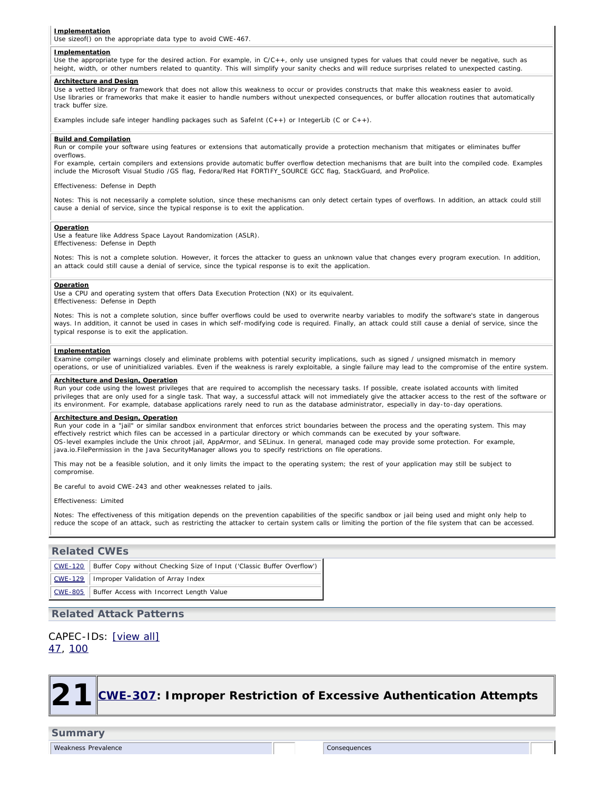#### **Implementation**

Use sizeof() on the appropriate data type to avoid CWE-467.

#### **Implementation**

Use the appropriate type for the desired action. For example, in C/C++, only use unsigned types for values that could never be negative, such as height, width, or other numbers related to quantity. This will simplify your sanity checks and will reduce surprises related to unexpected casting.

#### **Architecture and Design**

Use a vetted library or framework that does not allow this weakness to occur or provides constructs that make this weakness easier to avoid. Use libraries or frameworks that make it easier to handle numbers without unexpected consequences, or buffer allocation routines that automatically track buffer size.

Examples include safe integer handling packages such as SafeInt  $(C++)$  or IntegerLib (C or  $C++$ ).

#### **Build and Compilation**

Run or compile your software using features or extensions that automatically provide a protection mechanism that mitigates or eliminates buffer overflows.

For example, certain compilers and extensions provide automatic buffer overflow detection mechanisms that are built into the compiled code. Examples include the Microsoft Visual Studio /GS flag, Fedora/Red Hat FORTIFY\_SOURCE GCC flag, StackGuard, and ProPolice.

Effectiveness: Defense in Depth

Notes: This is not necessarily a complete solution, since these mechanisms can only detect certain types of overflows. In addition, an attack could still cause a denial of service, since the typical response is to exit the application.

#### **Operation**

Use a feature like Address Space Layout Randomization (ASLR). Effectiveness: Defense in Depth

Notes: This is not a complete solution. However, it forces the attacker to guess an unknown value that changes every program execution. In addition, an attack could still cause a denial of service, since the typical response is to exit the application.

#### **Operation**

Use a CPU and operating system that offers Data Execution Protection (NX) or its equivalent. Effectiveness: Defense in Depth

Notes: This is not a complete solution, since buffer overflows could be used to overwrite nearby variables to modify the software's state in dangerous ways. In addition, it cannot be used in cases in which self-modifying code is required. Finally, an attack could still cause a denial of service, since the typical response is to exit the application.

#### **Implementation**

Examine compiler warnings closely and eliminate problems with potential security implications, such as signed / unsigned mismatch in memory operations, or use of uninitialized variables. Even if the weakness is rarely exploitable, a single failure may lead to the compromise of the entire system.

#### **Architecture and Design, Operation**

Run your code using the lowest privileges that are required to accomplish the necessary tasks. If possible, create isolated accounts with limited privileges that are only used for a single task. That way, a successful attack will not immediately give the attacker access to the rest of the software or its environment. For example, database applications rarely need to run as the database administrator, especially in day-to-day operations.

#### **Architecture and Design, Operation**

Run your code in a "jail" or similar sandbox environment that enforces strict boundaries between the process and the operating system. This may effectively restrict which files can be accessed in a particular directory or which commands can be executed by your software. OS-level examples include the Unix chroot jail, AppArmor, and SELinux. In general, managed code may provide some protection. For example, java.io.FilePermission in the Java SecurityManager allows you to specify restrictions on file operations.

This may not be a feasible solution, and it only limits the impact to the operating system; the rest of your application may still be subject to compromise.

Be careful to avoid CWE-243 and other weaknesses related to jails.

Effectiveness: Limited

Notes: The effectiveness of this mitigation depends on the prevention capabilities of the specific sandbox or jail being used and might only help to reduce the scope of an attack, such as restricting the attacker to certain system calls or limiting the portion of the file system that can be accessed.

### **Related CWEs**

| CWE-120    Buffer Copy without Checking Size of Input ('Classic Buffer Overflow') |
|-----------------------------------------------------------------------------------|
| CWE-129   Improper Validation of Array Index                                      |
| CWE-805 Buffer Access with Incorrect Length Value                                 |

### **Related Attack Patterns**

### <span id="page-30-0"></span>CAPEC-IDs: [\[view all\]](http://cwe.mitre.org/data/definitions/131.html#Related_Attack_Patterns) [47,](http://capec.mitre.org/data/definitions/47.html) [100](http://capec.mitre.org/data/definitions/100.html)



### **Summary**

Weakness Prevalence **Consequences** Consequences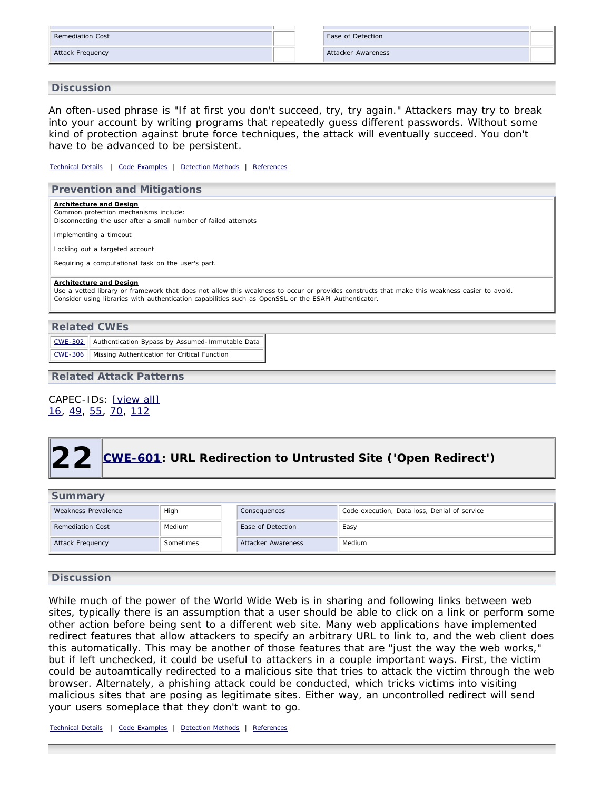| Remediation Cost |  | Ease of Detection  |  |
|------------------|--|--------------------|--|
| Attack Frequency |  | Attacker Awareness |  |

### **Discussion**

An often-used phrase is "If at first you don't succeed, try, try again." Attackers may try to break into your account by writing programs that repeatedly guess different passwords. Without some kind of protection against brute force techniques, the attack will eventually succeed. You don't have to be advanced to be persistent.

*[Technical Details](http://cwe.mitre.org/data/definitions/307.html) | [Code Examples](http://cwe.mitre.org/data/definitions/307.html#Demonstrative%20Examples) | [Detection Methods](http://cwe.mitre.org/data/definitions/307.html#Detection%20Methods) | [References](http://cwe.mitre.org/data/definitions/307.html#References)*

### **Prevention and Mitigations**

**Architecture and Design** Common protection mechanisms include: Disconnecting the user after a small number of failed attempts

Implementing a timeout

Locking out a targeted account

Requiring a computational task on the user's part.

#### **Architecture and Design**

Use a vetted library or framework that does not allow this weakness to occur or provides constructs that make this weakness easier to avoid. Consider using libraries with authentication capabilities such as OpenSSL or the ESAPI Authenticator.

| <b>Related CWEs</b> |                                                 |  |
|---------------------|-------------------------------------------------|--|
| $\text{CWE}-302$    | Authentication Bypass by Assumed-Immutable Data |  |
| CWE-306             | Missing Authentication for Critical Function    |  |

**Related Attack Patterns**

CAPEC-IDs: [\[view all\]](http://cwe.mitre.org/data/definitions/307.html#Related_Attack_Patterns) [16,](http://capec.mitre.org/data/definitions/16.html) [49](http://capec.mitre.org/data/definitions/49.html), [55,](http://capec.mitre.org/data/definitions/55.html) [70](http://capec.mitre.org/data/definitions/70.html), [112](http://capec.mitre.org/data/definitions/112.html)

<span id="page-31-0"></span>

| Summary             |           |                    |                                              |  |  |
|---------------------|-----------|--------------------|----------------------------------------------|--|--|
| Weakness Prevalence | High      | Consequences       | Code execution, Data loss, Denial of service |  |  |
| Remediation Cost    | Medium    | Ease of Detection  | Easy                                         |  |  |
| Attack Frequency    | Sometimes | Attacker Awareness | Medium                                       |  |  |

### **Discussion**

While much of the power of the World Wide Web is in sharing and following links between web sites, typically there is an assumption that a user should be able to click on a link or perform some other action before being sent to a different web site. Many web applications have implemented redirect features that allow attackers to specify an arbitrary URL to link to, and the web client does this automatically. This may be another of those features that are "just the way the web works," but if left unchecked, it could be useful to attackers in a couple important ways. First, the victim could be autoamtically redirected to a malicious site that tries to attack the victim through the web browser. Alternately, a phishing attack could be conducted, which tricks victims into visiting malicious sites that are posing as legitimate sites. Either way, an uncontrolled redirect will send your users someplace that they don't want to go.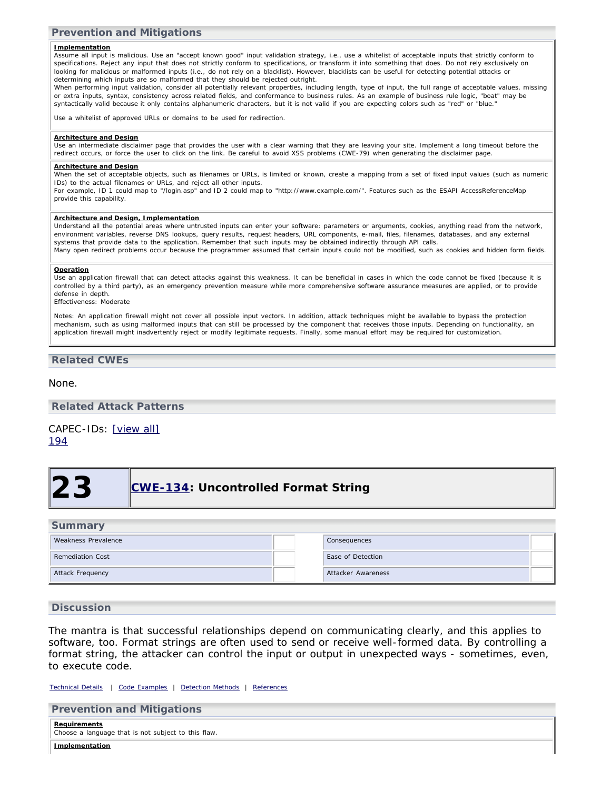### **Prevention and Mitigations**

#### **Implementation**

Assume all input is malicious. Use an "accept known good" input validation strategy, i.e., use a whitelist of acceptable inputs that strictly conform to specifications. Reject any input that does not strictly conform to specifications, or transform it into something that does. Do not rely exclusively on looking for malicious or malformed inputs (i.e., do not rely on a blacklist). However, blacklists can be useful for detecting potential attacks or determining which inputs are so malformed that they should be rejected outright.

When performing input validation, consider all potentially relevant properties, including length, type of input, the full range of acceptable values, missing or extra inputs, syntax, consistency across related fields, and conformance to business rules. As an example of business rule logic, "boat" may be syntactically valid because it only contains alphanumeric characters, but it is not valid if you are expecting colors such as "red" or "blue."

Use a whitelist of approved URLs or domains to be used for redirection.

#### **Architecture and Design**

Use an intermediate disclaimer page that provides the user with a clear warning that they are leaving your site. Implement a long timeout before the redirect occurs, or force the user to click on the link. Be careful to avoid XSS problems (CWE-79) when generating the disclaimer page.

#### **Architecture and Design**

When the set of acceptable objects, such as filenames or URLs, is limited or known, create a mapping from a set of fixed input values (such as numeric IDs) to the actual filenames or URLs, and reject all other inputs.

For example, ID 1 could map to "/login.asp" and ID 2 could map to "http://www.example.com/". Features such as the ESAPI AccessReferenceMap provide this capability.

#### **Architecture and Design, Implementation**

Understand all the potential areas where untrusted inputs can enter your software: parameters or arguments, cookies, anything read from the network, environment variables, reverse DNS lookups, query results, request headers, URL components, e-mail, files, filenames, databases, and any external systems that provide data to the application. Remember that such inputs may be obtained indirectly through API calls. Many open redirect problems occur because the programmer assumed that certain inputs could not be modified, such as cookies and hidden form fields.

#### **Operation**

Use an application firewall that can detect attacks against this weakness. It can be beneficial in cases in which the code cannot be fixed (because it is controlled by a third party), as an emergency prevention measure while more comprehensive software assurance measures are applied, or to provide defense in depth.

Effectiveness: Moderate

Notes: An application firewall might not cover all possible input vectors. In addition, attack techniques might be available to bypass the protection mechanism, such as using malformed inputs that can still be processed by the component that receives those inputs. Depending on functionality, an application firewall might inadvertently reject or modify legitimate requests. Finally, some manual effort may be required for customization.

### **Related CWEs**

#### None.

**Related Attack Patterns**

## CAPEC-IDs: [\[view all\]](http://cwe.mitre.org/data/definitions/601.html#Related_Attack_Patterns)

<span id="page-32-0"></span>[194](http://capec.mitre.org/data/definitions/194.html)

## **23 [CWE-134](http://cwe.mitre.org/data/definitions/134.html): Uncontrolled Format String**

### **Summary**

| Weakness Prevalence     |  | Consequences       |  |
|-------------------------|--|--------------------|--|
| <b>Remediation Cost</b> |  | Ease of Detection  |  |
| Attack Frequency        |  | Attacker Awareness |  |

### **Discussion**

The mantra is that successful relationships depend on communicating clearly, and this applies to software, too. Format strings are often used to send or receive well-formed data. By controlling a format string, the attacker can control the input or output in unexpected ways - sometimes, even, to execute code.

*[Technical Details](http://cwe.mitre.org/data/definitions/134.html) | [Code Examples](http://cwe.mitre.org/data/definitions/134.html#Demonstrative%20Examples) | [Detection Methods](http://cwe.mitre.org/data/definitions/134.html#Detection%20Methods) | [References](http://cwe.mitre.org/data/definitions/134.html#References)*

| <b>Prevention and Mitigations</b>                                          |  |  |
|----------------------------------------------------------------------------|--|--|
| <b>Requirements</b><br>Choose a language that is not subject to this flaw. |  |  |
| Implementation                                                             |  |  |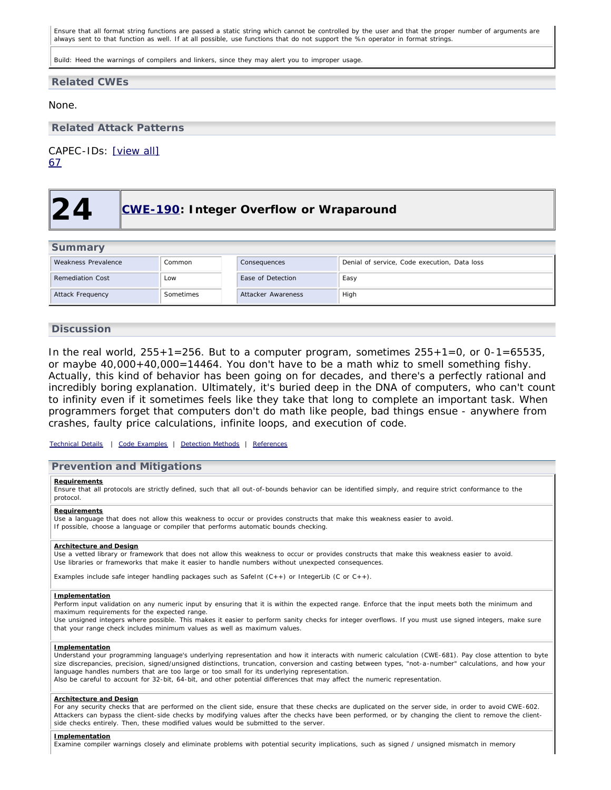Ensure that all format string functions are passed a static string which cannot be controlled by the user and that the proper number of arguments are always sent to that function as well. If at all possible, use functions that do not support the %n operator in format strings.

Build: Heed the warnings of compilers and linkers, since they may alert you to improper usage.

### **Related CWEs**

None.

**Related Attack Patterns**

<span id="page-33-0"></span>CAPEC-IDs: [\[view all\]](http://cwe.mitre.org/data/definitions/134.html#Related_Attack_Patterns) [67](http://capec.mitre.org/data/definitions/67.html)

## **24 [CWE-190:](http://cwe.mitre.org/data/definitions/190.html) Integer Overflow or Wraparound**

| <b>Summary</b>          |           |                    |                                              |  |
|-------------------------|-----------|--------------------|----------------------------------------------|--|
| Weakness Prevalence     | Common    | Consequences       | Denial of service, Code execution, Data loss |  |
| Remediation Cost        | Low       | Ease of Detection  | Easy                                         |  |
| <b>Attack Frequency</b> | Sometimes | Attacker Awareness | High                                         |  |

### **Discussion**

In the real world,  $255+1=256$ . But to a computer program, sometimes  $255+1=0$ , or  $0-1=65535$ , or maybe 40,000+40,000=14464. You don't have to be a math whiz to smell something fishy. Actually, this kind of behavior has been going on for decades, and there's a perfectly rational and incredibly boring explanation. Ultimately, it's buried deep in the DNA of computers, who can't count to infinity even if it sometimes feels like they take that long to complete an important task. When programmers forget that computers don't do math like people, bad things ensue - anywhere from crashes, faulty price calculations, infinite loops, and execution of code.

*[Technical Details](http://cwe.mitre.org/data/definitions/190.html) | [Code Examples](http://cwe.mitre.org/data/definitions/190.html#Demonstrative%20Examples) | [Detection Methods](http://cwe.mitre.org/data/definitions/190.html#Detection%20Methods) | [References](http://cwe.mitre.org/data/definitions/190.html#References)*

### **Prevention and Mitigations**

#### **Requirements**

Ensure that all protocols are strictly defined, such that all out-of-bounds behavior can be identified simply, and require strict conformance to the protocol.

#### **Requirements**

Use a language that does not allow this weakness to occur or provides constructs that make this weakness easier to avoid. If possible, choose a language or compiler that performs automatic bounds checking.

#### **Architecture and Design**

Use a vetted library or framework that does not allow this weakness to occur or provides constructs that make this weakness easier to avoid. Use libraries or frameworks that make it easier to handle numbers without unexpected consequences.

Examples include safe integer handling packages such as SafeInt (C++) or IntegerLib (C or C++).

#### **Implementation**

Perform input validation on any numeric input by ensuring that it is within the expected range. Enforce that the input meets both the minimum and maximum requirements for the expected range.

Use unsigned integers where possible. This makes it easier to perform sanity checks for integer overflows. If you must use signed integers, make sure that your range check includes minimum values as well as maximum values.

#### **Implementation**

Understand your programming language's underlying representation and how it interacts with numeric calculation (CWE-681). Pay close attention to byte size discrepancies, precision, signed/unsigned distinctions, truncation, conversion and casting between types, "not-a-number" calculations, and how your language handles numbers that are too large or too small for its underlying representation.

Also be careful to account for 32-bit, 64-bit, and other potential differences that may affect the numeric representation.

#### **Architecture and Design**

For any security checks that are performed on the client side, ensure that these checks are duplicated on the server side, in order to avoid CWE-602. Attackers can bypass the client-side checks by modifying values after the checks have been performed, or by changing the client to remove the clientside checks entirely. Then, these modified values would be submitted to the server.

#### **Implementation**

Examine compiler warnings closely and eliminate problems with potential security implications, such as signed / unsigned mismatch in memory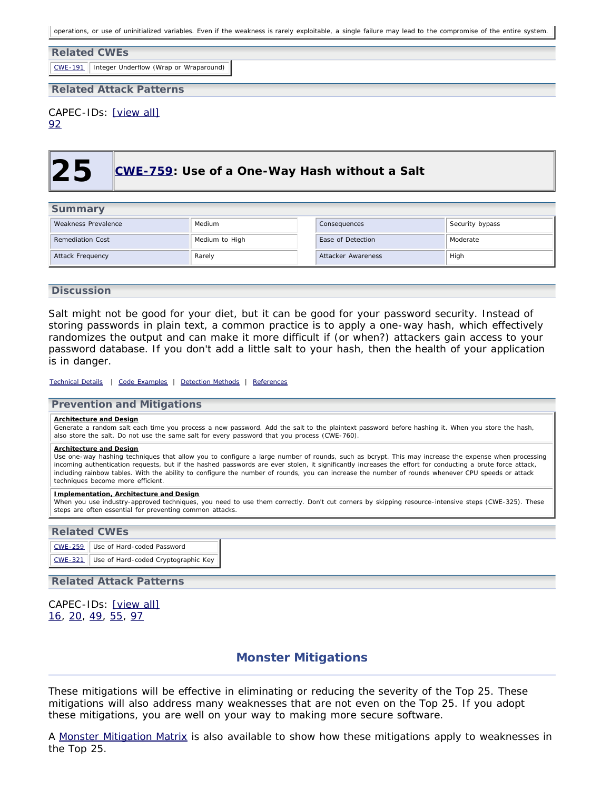operations, or use of uninitialized variables. Even if the weakness is rarely exploitable, a single failure may lead to the compromise of the entire system.

## **Related CWEs** [CWE-191](http://cwe.mitre.org/data/definitions/191.html) Integer Underflow (Wrap or Wraparound) **Related Attack Patterns**

# CAPEC-IDs: [\[view all\]](http://cwe.mitre.org/data/definitions/190.html#Related_Attack_Patterns)

<span id="page-34-1"></span>[92](http://capec.mitre.org/data/definitions/92.html)

## **25 [CWE-759:](http://cwe.mitre.org/data/definitions/759.html) Use of a One-Way Hash without a Salt**

| <b>Summary</b>                            |        |                    |                 |  |
|-------------------------------------------|--------|--------------------|-----------------|--|
| Weakness Prevalence<br>Medium             |        | Consequences       | Security bypass |  |
| <b>Remediation Cost</b><br>Medium to High |        | Ease of Detection  | Moderate        |  |
| Attack Frequency                          | Rarely | Attacker Awareness | High            |  |

### **Discussion**

Salt might not be good for your diet, but it can be good for your password security. Instead of storing passwords in plain text, a common practice is to apply a one-way hash, which effectively randomizes the output and can make it more difficult if (or when?) attackers gain access to your password database. If you don't add a little salt to your hash, then the health of your application is in danger.

#### *[Technical Details](http://cwe.mitre.org/data/definitions/759.html) | [Code Examples](http://cwe.mitre.org/data/definitions/759.html#Demonstrative%20Examples) | [Detection Methods](http://cwe.mitre.org/data/definitions/759.html#Detection%20Methods) | [References](http://cwe.mitre.org/data/definitions/759.html#References)*

### **Prevention and Mitigations**

#### **Architecture and Design**

Generate a random salt each time you process a new password. Add the salt to the plaintext password before hashing it. When you store the hash, also store the salt. Do not use the same salt for every password that you process (CWE-760).

#### **Architecture and Design**

Use one-way hashing techniques that allow you to configure a large number of rounds, such as bcrypt. This may increase the expense when processing incoming authentication requests, but if the hashed passwords are ever stolen, it significantly increases the effort for conducting a brute force attack, including rainbow tables. With the ability to configure the number of rounds, you can increase the number of rounds whenever CPU speeds or attack techniques become more efficient.

#### **Implementation, Architecture and Design**

When you use industry-approved techniques, you need to use them correctly. Don't cut corners by skipping resource-intensive steps (CWE-325). These steps are often essential for preventing common attacks.

### **Related CWEs**

[CWE-259](http://cwe.mitre.org/data/definitions/259.html) Use of Hard-coded Password [CWE-321](http://cwe.mitre.org/data/definitions/321.html) Use of Hard-coded Cryptographic Key

### **Related Attack Patterns**

<span id="page-34-0"></span>CAPEC-IDs: [\[view all\]](http://cwe.mitre.org/data/definitions/759.html#Related_Attack_Patterns) [16,](http://capec.mitre.org/data/definitions/16.html) [20](http://capec.mitre.org/data/definitions/20.html), [49,](http://capec.mitre.org/data/definitions/49.html) [55](http://capec.mitre.org/data/definitions/55.html), [97](http://capec.mitre.org/data/definitions/97.html)

## **Monster Mitigations**

These mitigations will be effective in eliminating or reducing the severity of the Top 25. These mitigations will also address many weaknesses that are not even on the Top 25. If you adopt these mitigations, you are well on your way to making more secure software.

A [Monster Mitigation Matrix](http://cwe.mitre.org/top25/archive/2011/2011_mitigations.html#MitigationMatrix) is also available to show how these mitigations apply to weaknesses in the Top 25.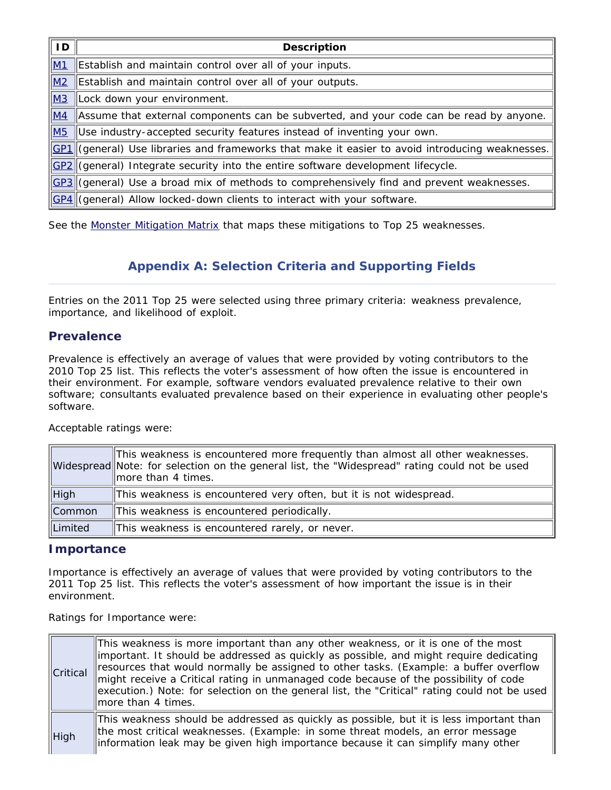| ID        | <b>Description</b>                                                                               |
|-----------|--------------------------------------------------------------------------------------------------|
| M1        | Establish and maintain control over all of your inputs.                                          |
| M2        | Establish and maintain control over all of your outputs.                                         |
| <b>M3</b> | Lock down your environment.                                                                      |
| M4        | Assume that external components can be subverted, and your code can be read by anyone.           |
| <b>M5</b> | Use industry-accepted security features instead of inventing your own.                           |
|           | GP1 (general) Use libraries and frameworks that make it easier to avoid introducing weaknesses.  |
|           | GP2 (general) Integrate security into the entire software development lifecycle.                 |
|           | $GPI$ (general) Use a broad mix of methods to comprehensively find and prevent weaknesses.       |
|           | $\left \frac{GPA}{G}\right $ (general) Allow locked-down clients to interact with your software. |

<span id="page-35-0"></span>See the [Monster Mitigation Matrix](http://cwe.mitre.org/top25/archive/2011/2011_mitigations.html#MitigationMatrix) that maps these mitigations to Top 25 weaknesses.

## **Appendix A: Selection Criteria and Supporting Fields**

Entries on the 2011 Top 25 were selected using three primary criteria: weakness prevalence, importance, and likelihood of exploit.

## **Prevalence**

Prevalence is effectively an average of values that were provided by voting contributors to the 2010 Top 25 list. This reflects the voter's assessment of how often the issue is encountered in their environment. For example, software vendors evaluated prevalence relative to their own software; consultants evaluated prevalence based on their experience in evaluating other people's software.

Acceptable ratings were:

|                      | This weakness is encountered more frequently than almost all other weaknesses.<br>Widespread Note: for selection on the general list, the "Widespread" rating could not be used<br>$\parallel$ more than 4 times. |
|----------------------|-------------------------------------------------------------------------------------------------------------------------------------------------------------------------------------------------------------------|
| $\parallel$ High     | This weakness is encountered very often, but it is not widespread.                                                                                                                                                |
| $\mathsf{\ Common}\$ | This weakness is encountered periodically.                                                                                                                                                                        |
| Limited              | This weakness is encountered rarely, or never.                                                                                                                                                                    |

## **Importance**

Importance is effectively an average of values that were provided by voting contributors to the 2011 Top 25 list. This reflects the voter's assessment of how important the issue is in their environment.

Ratings for Importance were:

| $\ $ Critical    | This weakness is more important than any other weakness, or it is one of the most<br>important. It should be addressed as quickly as possible, and might require dedicating<br>resources that would normally be assigned to other tasks. (Example: a buffer overflow<br>might receive a Critical rating in unmanaged code because of the possibility of code<br>execution.) Note: for selection on the general list, the "Critical" rating could not be used<br>more than 4 times. |
|------------------|------------------------------------------------------------------------------------------------------------------------------------------------------------------------------------------------------------------------------------------------------------------------------------------------------------------------------------------------------------------------------------------------------------------------------------------------------------------------------------|
| $\parallel$ High | $\parallel$ This weakness should be addressed as quickly as possible, but it is less important than<br>the most critical weaknesses. (Example: in some threat models, an error message<br>linformation leak may be given high importance because it can simplify many other                                                                                                                                                                                                        |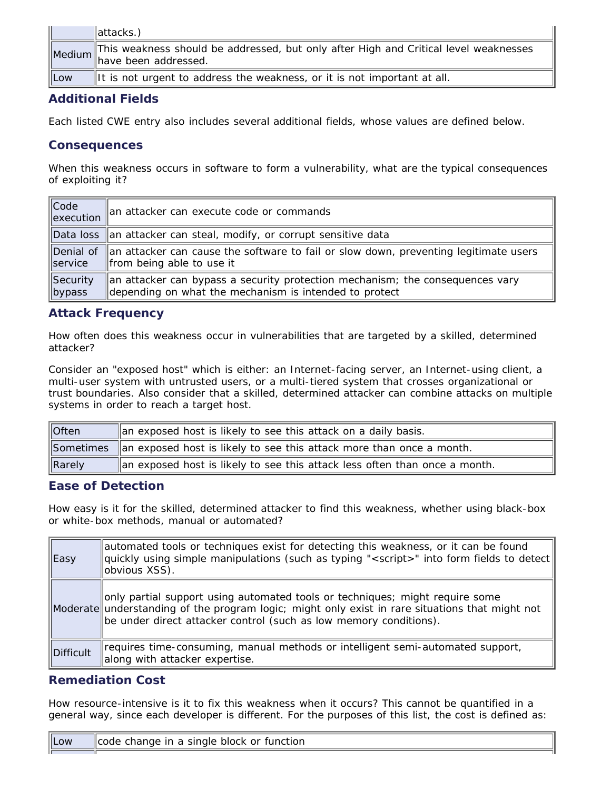|            | $\parallel$ attacks.)                                                                                                      |
|------------|----------------------------------------------------------------------------------------------------------------------------|
|            | Medium This weakness should be addressed, but only after High and Critical level weaknesses<br>Medium have been addressed. |
| <b>Low</b> | It is not urgent to address the weakness, or it is not important at all.                                                   |

## **Additional Fields**

Each listed CWE entry also includes several additional fields, whose values are defined below.

## **Consequences**

When this weakness occurs in software to form a vulnerability, what are the typical consequences of exploiting it?

| $\ $ Code<br>$\parallel$ execution | an attacker can execute code or commands                                             |
|------------------------------------|--------------------------------------------------------------------------------------|
|                                    | Data loss an attacker can steal, modify, or corrupt sensitive data                   |
| Denial of                          | an attacker can cause the software to fail or slow down, preventing legitimate users |
| $\parallel$ service                | from being able to use it                                                            |
| Security                           | an attacker can bypass a security protection mechanism; the consequences vary        |
| bypass                             | depending on what the mechanism is intended to protect                               |

## **Attack Frequency**

How often does this weakness occur in vulnerabilities that are targeted by a skilled, determined attacker?

Consider an "exposed host" which is either: an Internet-facing server, an Internet-using client, a multi-user system with untrusted users, or a multi-tiered system that crosses organizational or trust boundaries. Also consider that a skilled, determined attacker can combine attacks on multiple systems in order to reach a target host.

| $\sqrt{\frac{1}{10}}$ | an exposed host is likely to see this attack on a daily basis.                 |
|-----------------------|--------------------------------------------------------------------------------|
|                       | Sometimes an exposed host is likely to see this attack more than once a month. |
| Rarely                | an exposed host is likely to see this attack less often than once a month.     |

## **Ease of Detection**

How easy is it for the skilled, determined attacker to find this weakness, whether using black-box or white-box methods, manual or automated?

| <b>Easy</b> | automated tools or techniques exist for detecting this weakness, or it can be found<br>$\parallel$ quickly using simple manipulations (such as typing " <script></script> |
|-------------|---------------------------------------------------------------------------------------------------------------------------------------------------------------------------|
|-------------|---------------------------------------------------------------------------------------------------------------------------------------------------------------------------|

## **Remediation Cost**

How resource-intensive is it to fix this weakness when it occurs? This cannot be quantified in a general way, since each developer is different. For the purposes of this list, the cost is defined as:

| $\ $ Low | i single block or function.<br>llcode.<br>nange in a s |
|----------|--------------------------------------------------------|
|          |                                                        |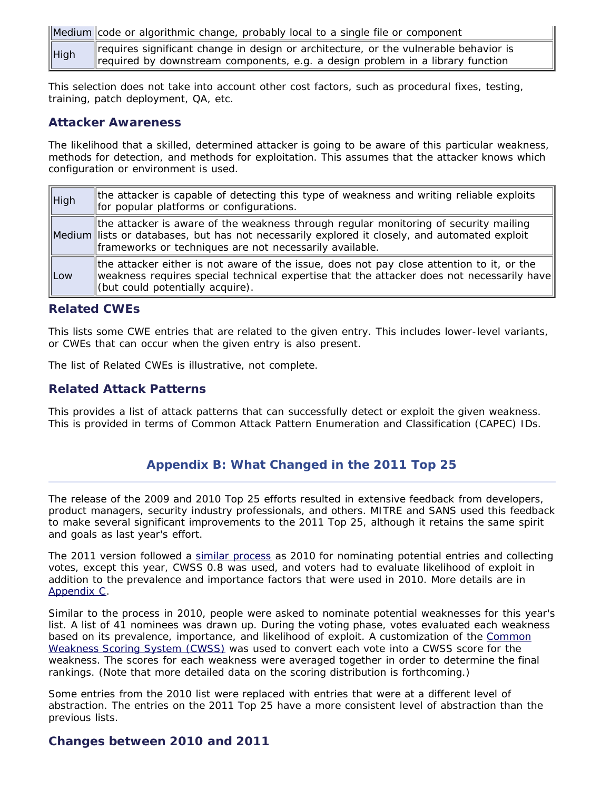Medium code or algorithmic change, probably local to a single file or component

High requires significant change in design or architecture, or the vulnerable behavior is required by downstream components, e.g. a design problem in a library function

This selection does not take into account other cost factors, such as procedural fixes, testing, training, patch deployment, QA, etc.

## **Attacker Awareness**

The likelihood that a skilled, determined attacker is going to be aware of this particular weakness, methods for detection, and methods for exploitation. This assumes that the attacker knows which configuration or environment is used.

| $\parallel$ High | the attacker is capable of detecting this type of weakness and writing reliable exploits<br>for popular platforms or configurations.                                                                                                             |
|------------------|--------------------------------------------------------------------------------------------------------------------------------------------------------------------------------------------------------------------------------------------------|
|                  | the attacker is aware of the weakness through regular monitoring of security mailing<br>Medium lists or databases, but has not necessarily explored it closely, and automated exploit<br>frameworks or techniques are not necessarily available. |
| <b>ILOW</b>      | the attacker either is not aware of the issue, does not pay close attention to it, or the<br>weakness requires special technical expertise that the attacker does not necessarily have<br>(but could potentially acquire).                       |

## **Related CWEs**

This lists some CWE entries that are related to the given entry. This includes lower-level variants, or CWEs that can occur when the given entry is also present.

The list of Related CWEs is illustrative, not complete.

## **Related Attack Patterns**

<span id="page-37-0"></span>This provides a list of attack patterns that can successfully detect or exploit the given weakness. This is provided in terms of Common Attack Pattern Enumeration and Classification (CAPEC) IDs.

## **Appendix B: What Changed in the 2011 Top 25**

The release of the 2009 and 2010 Top 25 efforts resulted in extensive feedback from developers, product managers, security industry professionals, and others. MITRE and SANS used this feedback to make several significant improvements to the 2011 Top 25, although it retains the same spirit and goals as last year's effort.

The 2011 version followed a [similar process](#page-38-0) as 2010 for nominating potential entries and collecting votes, except this year, CWSS 0.8 was used, and voters had to evaluate likelihood of exploit in addition to the prevalence and importance factors that were used in 2010. More details are in [Appendix C.](#page-38-0)

Similar to the process in 2010, people were asked to nominate potential weaknesses for this year's list. A list of 41 nominees was drawn up. During the voting phase, votes evaluated each weakness based on its prevalence, importance, and likelihood of exploit. A customization of the [Common](http://cwe.mitre.org/cwss) [Weakness Scoring System \(CWSS\)](http://cwe.mitre.org/cwss) was used to convert each vote into a CWSS score for the weakness. The scores for each weakness were averaged together in order to determine the final rankings. (Note that more detailed data on the scoring distribution is forthcoming.)

Some entries from the 2010 list were replaced with entries that were at a different level of abstraction. The entries on the 2011 Top 25 have a more consistent level of abstraction than the previous lists.

## **Changes between 2010 and 2011**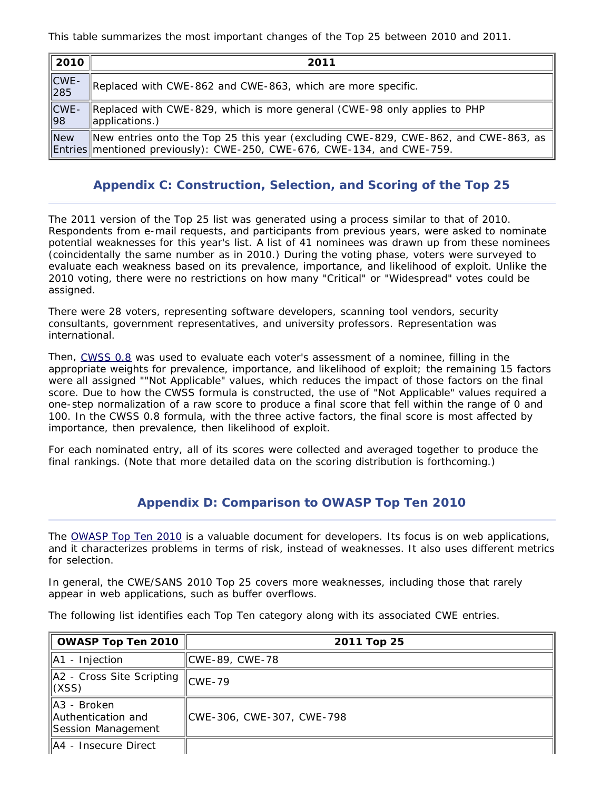This table summarizes the most important changes of the Top 25 between 2010 and 2011.

| 2010                                                                          | 2011                                                                                                                                                         |
|-------------------------------------------------------------------------------|--------------------------------------------------------------------------------------------------------------------------------------------------------------|
| $\left\Vert \begin{matrix} \text{CWE} \\ \text{285} \end{matrix} \right\Vert$ | Replaced with CWE-862 and CWE-863, which are more specific.                                                                                                  |
| $\ CWE -$<br>  98                                                             | Replaced with CWE-829, which is more general (CWE-98 only applies to PHP<br>applications.)                                                                   |
| New                                                                           | New entries onto the Top 25 this year (excluding CWE-829, CWE-862, and CWE-863, as<br>Entries mentioned previously): CWE-250, CWE-676, CWE-134, and CWE-759. |

## **Appendix C: Construction, Selection, and Scoring of the Top 25**

<span id="page-38-0"></span>The 2011 version of the Top 25 list was generated using a process similar to that of 2010. Respondents from e-mail requests, and participants from previous years, were asked to nominate potential weaknesses for this year's list. A list of 41 nominees was drawn up from these nominees (coincidentally the same number as in 2010.) During the voting phase, voters were surveyed to evaluate each weakness based on its prevalence, importance, and likelihood of exploit. Unlike the 2010 voting, there were no restrictions on how many "Critical" or "Widespread" votes could be assigned.

There were 28 voters, representing software developers, scanning tool vendors, security consultants, government representatives, and university professors. Representation was international.

Then, [CWSS 0.8](http://cwe.mitre.org/cwss) was used to evaluate each voter's assessment of a nominee, filling in the appropriate weights for prevalence, importance, and likelihood of exploit; the remaining 15 factors were all assigned ""Not Applicable" values, which reduces the impact of those factors on the final score. Due to how the CWSS formula is constructed, the use of "Not Applicable" values required a one-step normalization of a raw score to produce a final score that fell within the range of 0 and 100. In the CWSS 0.8 formula, with the three active factors, the final score is most affected by importance, then prevalence, then likelihood of exploit.

<span id="page-38-1"></span>For each nominated entry, all of its scores were collected and averaged together to produce the final rankings. (Note that more detailed data on the scoring distribution is forthcoming.)

## **Appendix D: Comparison to OWASP Top Ten 2010**

The [OWASP Top Ten 2010](http://www.owasp.org/index.php/Category:OWASP_Top_Ten_Project) is a valuable document for developers. Its focus is on web applications, and it characterizes problems in terms of risk, instead of weaknesses. It also uses different metrics for selection.

In general, the CWE/SANS 2010 Top 25 covers more weaknesses, including those that rarely appear in web applications, such as buffer overflows.

The following list identifies each Top Ten category along with its associated CWE entries.

| <b>OWASP Top Ten 2010</b>                                  | 2011 Top 25               |
|------------------------------------------------------------|---------------------------|
| $\parallel$ A1 - Injection                                 | CWE-89, CWE-78            |
| $\parallel$ A2 - Cross Site Scripting $\parallel$<br>(XSS) | $ICWE-79$                 |
| A3 - Broken<br>Authentication and<br>Session Management    | CWE-306, CWE-307, CWE-798 |
| A4 - Insecure Direct                                       |                           |